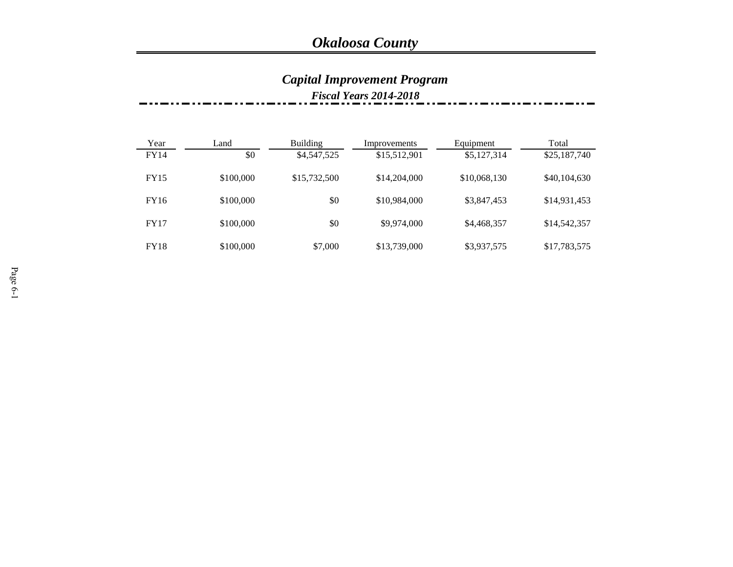## *Capital Improvement Program*

*Fiscal Years 2014-2018*

| Year        | Land      | <b>Building</b> | Improvements | Equipment    | Total        |
|-------------|-----------|-----------------|--------------|--------------|--------------|
| FY14        | \$0       | \$4,547,525     | \$15,512,901 | \$5,127,314  | \$25,187,740 |
| <b>FY15</b> | \$100,000 | \$15,732,500    | \$14,204,000 | \$10,068,130 | \$40,104,630 |
| FY16        | \$100,000 | \$0             | \$10,984,000 | \$3,847,453  | \$14,931,453 |
| <b>FY17</b> | \$100,000 | \$0             | \$9,974,000  | \$4,468,357  | \$14,542,357 |
| FY18        | \$100,000 | \$7,000         | \$13,739,000 | \$3,937,575  | \$17,783,575 |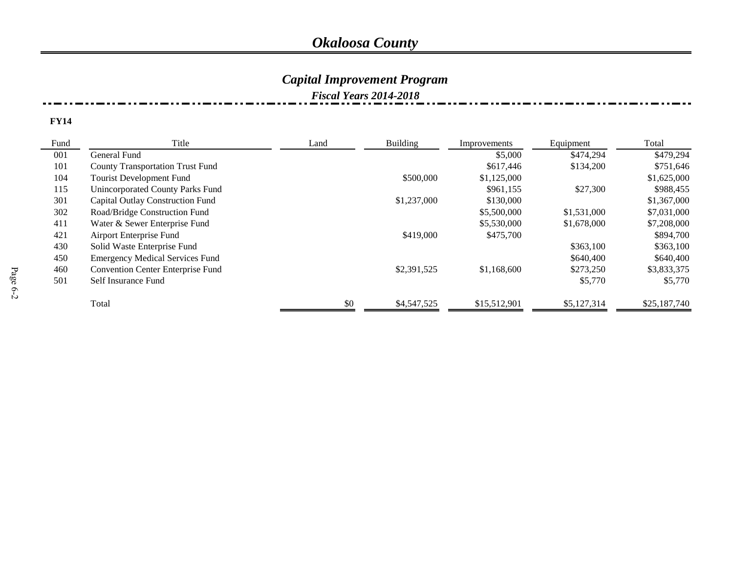### *Capital Improvement Program*

#### *Fiscal Years 2014-2018*

| Fund | Title                                    | Land | Building    | Improvements | Equipment   | Total        |
|------|------------------------------------------|------|-------------|--------------|-------------|--------------|
| 001  | General Fund                             |      |             | \$5,000      | \$474,294   | \$479,294    |
| 101  | <b>County Transportation Trust Fund</b>  |      |             | \$617,446    | \$134,200   | \$751,646    |
| 104  | Tourist Development Fund                 |      | \$500,000   | \$1,125,000  |             | \$1,625,000  |
| 115  | Unincorporated County Parks Fund         |      |             | \$961,155    | \$27,300    | \$988,455    |
| 301  | <b>Capital Outlay Construction Fund</b>  |      | \$1,237,000 | \$130,000    |             | \$1,367,000  |
| 302  | Road/Bridge Construction Fund            |      |             | \$5,500,000  | \$1,531,000 | \$7,031,000  |
| 411  | Water & Sewer Enterprise Fund            |      |             | \$5,530,000  | \$1,678,000 | \$7,208,000  |
| 421  | Airport Enterprise Fund                  |      | \$419,000   | \$475,700    |             | \$894,700    |
| 430  | Solid Waste Enterprise Fund              |      |             |              | \$363,100   | \$363,100    |
| 450  | <b>Emergency Medical Services Fund</b>   |      |             |              | \$640,400   | \$640,400    |
| 460  | <b>Convention Center Enterprise Fund</b> |      | \$2,391,525 | \$1,168,600  | \$273,250   | \$3,833,375  |
| 501  | Self Insurance Fund                      |      |             |              | \$5,770     | \$5,770      |
|      | Total                                    | \$0  | \$4,547,525 | \$15,512,901 | \$5,127,314 | \$25,187,740 |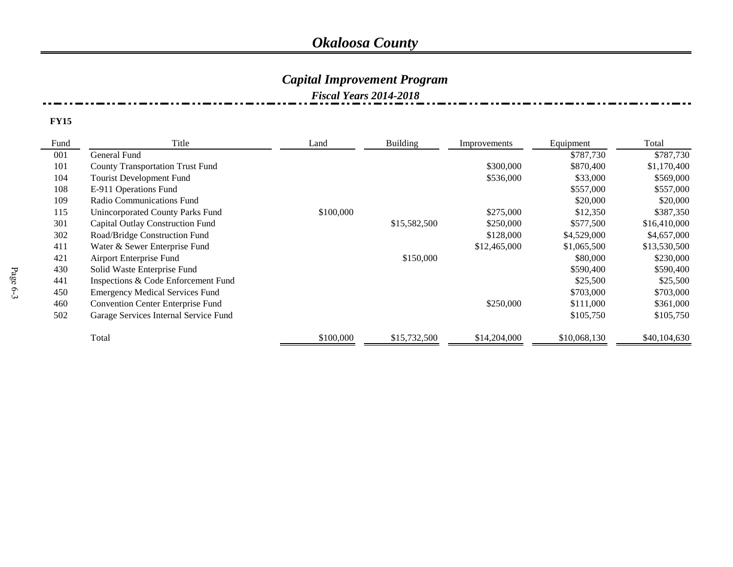### *Capital Improvement Program*

*Fiscal Years 2014-2018*

| Fund | Title                                    | Land      | <b>Building</b> | Improvements | Equipment    | Total        |
|------|------------------------------------------|-----------|-----------------|--------------|--------------|--------------|
| 001  | General Fund                             |           |                 |              | \$787,730    | \$787,730    |
| 101  | <b>County Transportation Trust Fund</b>  |           |                 | \$300,000    | \$870,400    | \$1,170,400  |
| 104  | Tourist Development Fund                 |           |                 | \$536,000    | \$33,000     | \$569,000    |
| 108  | E-911 Operations Fund                    |           |                 |              | \$557,000    | \$557,000    |
| 109  | Radio Communications Fund                |           |                 |              | \$20,000     | \$20,000     |
| 115  | Unincorporated County Parks Fund         | \$100,000 |                 | \$275,000    | \$12,350     | \$387,350    |
| 301  | <b>Capital Outlay Construction Fund</b>  |           | \$15,582,500    | \$250,000    | \$577,500    | \$16,410,000 |
| 302  | Road/Bridge Construction Fund            |           |                 | \$128,000    | \$4,529,000  | \$4,657,000  |
| 411  | Water & Sewer Enterprise Fund            |           |                 | \$12,465,000 | \$1,065,500  | \$13,530,500 |
| 421  | Airport Enterprise Fund                  |           | \$150,000       |              | \$80,000     | \$230,000    |
| 430  | Solid Waste Enterprise Fund              |           |                 |              | \$590,400    | \$590,400    |
| 441  | Inspections & Code Enforcement Fund      |           |                 |              | \$25,500     | \$25,500     |
| 450  | <b>Emergency Medical Services Fund</b>   |           |                 |              | \$703,000    | \$703,000    |
| 460  | <b>Convention Center Enterprise Fund</b> |           |                 | \$250,000    | \$111,000    | \$361,000    |
| 502  | Garage Services Internal Service Fund    |           |                 |              | \$105,750    | \$105,750    |
|      | Total                                    | \$100,000 | \$15,732,500    | \$14,204,000 | \$10,068,130 | \$40,104,630 |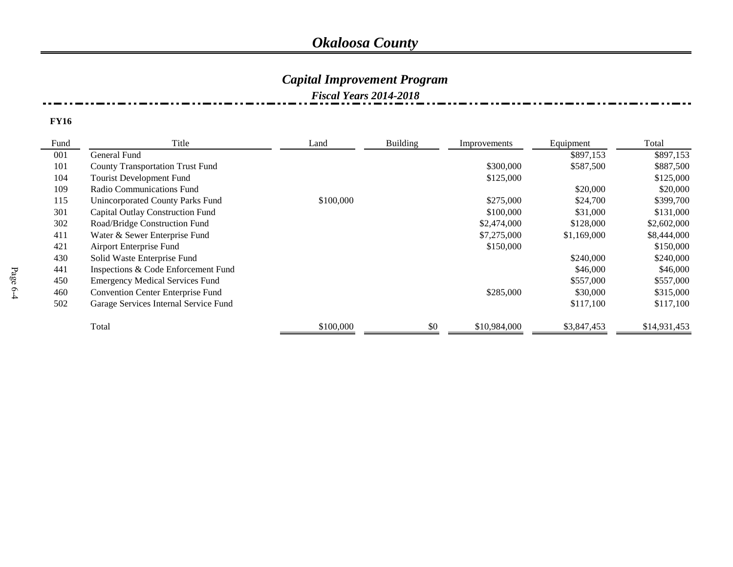### *Capital Improvement Program*

#### *Fiscal Years 2014-2018*

| Fund | Title                                    | Land      | <b>Building</b> | Improvements | Equipment   | Total        |
|------|------------------------------------------|-----------|-----------------|--------------|-------------|--------------|
| 001  | General Fund                             |           |                 |              | \$897,153   | \$897,153    |
| 101  | <b>County Transportation Trust Fund</b>  |           |                 | \$300,000    | \$587,500   | \$887,500    |
| 104  | Tourist Development Fund                 |           |                 | \$125,000    |             | \$125,000    |
| 109  | Radio Communications Fund                |           |                 |              | \$20,000    | \$20,000     |
| 115  | Unincorporated County Parks Fund         | \$100,000 |                 | \$275,000    | \$24,700    | \$399,700    |
| 301  | Capital Outlay Construction Fund         |           |                 | \$100,000    | \$31,000    | \$131,000    |
| 302  | Road/Bridge Construction Fund            |           |                 | \$2,474,000  | \$128,000   | \$2,602,000  |
| 411  | Water & Sewer Enterprise Fund            |           |                 | \$7,275,000  | \$1,169,000 | \$8,444,000  |
| 421  | Airport Enterprise Fund                  |           |                 | \$150,000    |             | \$150,000    |
| 430  | Solid Waste Enterprise Fund              |           |                 |              | \$240,000   | \$240,000    |
| 441  | Inspections & Code Enforcement Fund      |           |                 |              | \$46,000    | \$46,000     |
| 450  | <b>Emergency Medical Services Fund</b>   |           |                 |              | \$557,000   | \$557,000    |
| 460  | <b>Convention Center Enterprise Fund</b> |           |                 | \$285,000    | \$30,000    | \$315,000    |
| 502  | Garage Services Internal Service Fund    |           |                 |              | \$117,100   | \$117,100    |
|      | Total                                    | \$100,000 | \$0             | \$10,984,000 | \$3,847,453 | \$14,931,453 |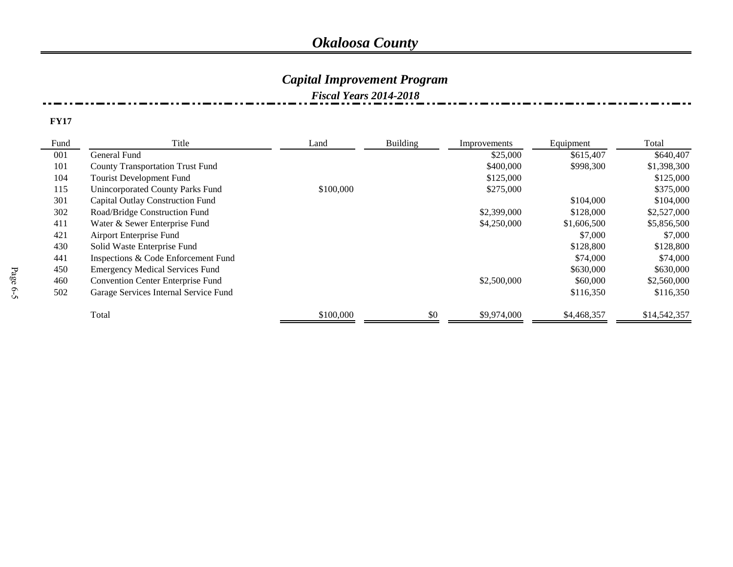### *Capital Improvement Program*

*Fiscal Years 2014-2018*

| Fund | Title                                    | Land      | Building | Improvements | Equipment   | Total        |
|------|------------------------------------------|-----------|----------|--------------|-------------|--------------|
| 001  | General Fund                             |           |          | \$25,000     | \$615,407   | \$640,407    |
| 101  | <b>County Transportation Trust Fund</b>  |           |          | \$400,000    | \$998,300   | \$1,398,300  |
| 104  | Tourist Development Fund                 |           |          | \$125,000    |             | \$125,000    |
| 115  | <b>Unincorporated County Parks Fund</b>  | \$100,000 |          | \$275,000    |             | \$375,000    |
| 301  | Capital Outlay Construction Fund         |           |          |              | \$104,000   | \$104,000    |
| 302  | Road/Bridge Construction Fund            |           |          | \$2,399,000  | \$128,000   | \$2,527,000  |
| 411  | Water & Sewer Enterprise Fund            |           |          | \$4,250,000  | \$1,606,500 | \$5,856,500  |
| 421  | Airport Enterprise Fund                  |           |          |              | \$7,000     | \$7,000      |
| 430  | Solid Waste Enterprise Fund              |           |          |              | \$128,800   | \$128,800    |
| 441  | Inspections & Code Enforcement Fund      |           |          |              | \$74,000    | \$74,000     |
| 450  | <b>Emergency Medical Services Fund</b>   |           |          |              | \$630,000   | \$630,000    |
| 460  | <b>Convention Center Enterprise Fund</b> |           |          | \$2,500,000  | \$60,000    | \$2,560,000  |
| 502  | Garage Services Internal Service Fund    |           |          |              | \$116,350   | \$116,350    |
|      | Total                                    | \$100,000 | \$0      | \$9,974,000  | \$4,468,357 | \$14,542,357 |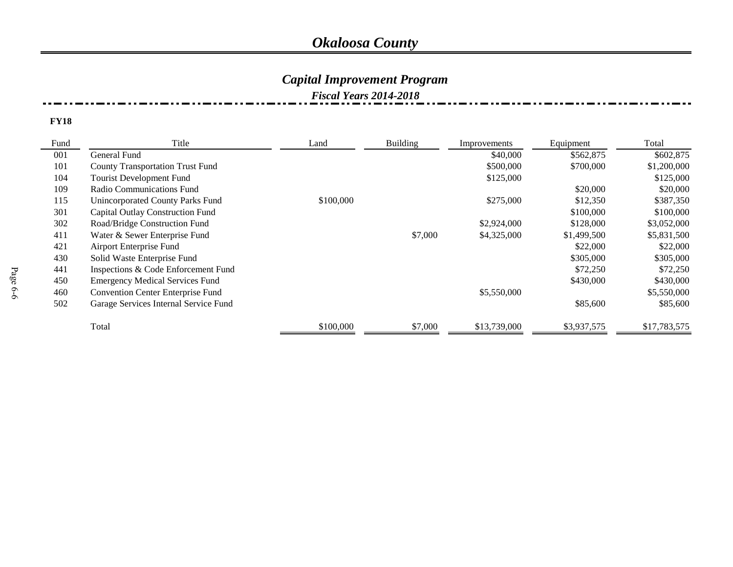### *Capital Improvement Program*

*Fiscal Years 2014-2018*

| Fund | Title                                    | Land      | <b>Building</b> | Improvements | Equipment   | Total        |
|------|------------------------------------------|-----------|-----------------|--------------|-------------|--------------|
| 001  | General Fund                             |           |                 | \$40,000     | \$562,875   | \$602,875    |
| 101  | <b>County Transportation Trust Fund</b>  |           |                 | \$500,000    | \$700,000   | \$1,200,000  |
| 104  | <b>Tourist Development Fund</b>          |           |                 | \$125,000    |             | \$125,000    |
| 109  | Radio Communications Fund                |           |                 |              | \$20,000    | \$20,000     |
| 115  | <b>Unincorporated County Parks Fund</b>  | \$100,000 |                 | \$275,000    | \$12,350    | \$387,350    |
| 301  | Capital Outlay Construction Fund         |           |                 |              | \$100,000   | \$100,000    |
| 302  | Road/Bridge Construction Fund            |           |                 | \$2,924,000  | \$128,000   | \$3,052,000  |
| 411  | Water & Sewer Enterprise Fund            |           | \$7,000         | \$4,325,000  | \$1,499,500 | \$5,831,500  |
| 421  | Airport Enterprise Fund                  |           |                 |              | \$22,000    | \$22,000     |
| 430  | Solid Waste Enterprise Fund              |           |                 |              | \$305,000   | \$305,000    |
| 441  | Inspections & Code Enforcement Fund      |           |                 |              | \$72,250    | \$72,250     |
| 450  | <b>Emergency Medical Services Fund</b>   |           |                 |              | \$430,000   | \$430,000    |
| 460  | <b>Convention Center Enterprise Fund</b> |           |                 | \$5,550,000  |             | \$5,550,000  |
| 502  | Garage Services Internal Service Fund    |           |                 |              | \$85,600    | \$85,600     |
|      | Total                                    | \$100,000 | \$7,000         | \$13,739,000 | \$3,937,575 | \$17,783,575 |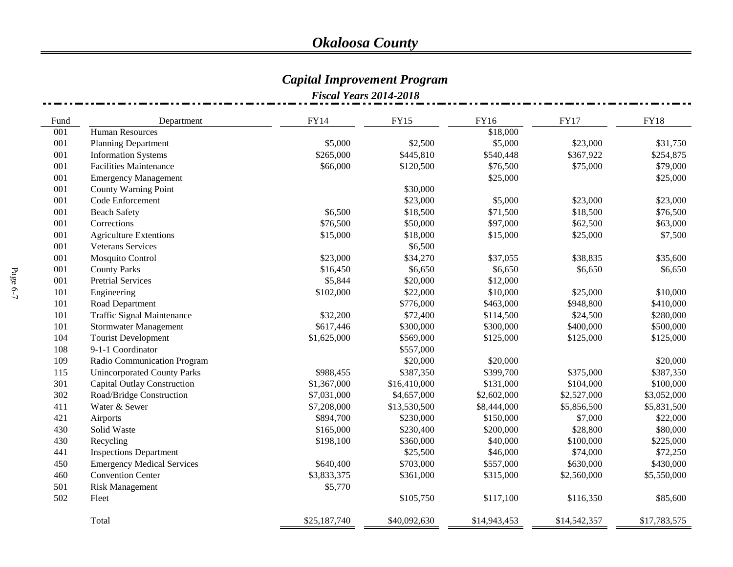#### *Capital Improvement Program*

|      | <b>Fiscal Years 2014-2018</b>      |              |              |              |              |              |  |  |
|------|------------------------------------|--------------|--------------|--------------|--------------|--------------|--|--|
| Fund | Department                         | <b>FY14</b>  | <b>FY15</b>  | <b>FY16</b>  | <b>FY17</b>  | <b>FY18</b>  |  |  |
| 001  | <b>Human Resources</b>             |              |              | \$18,000     |              |              |  |  |
| 001  | <b>Planning Department</b>         | \$5,000      | \$2,500      | \$5,000      | \$23,000     | \$31,750     |  |  |
| 001  | <b>Information Systems</b>         | \$265,000    | \$445,810    | \$540,448    | \$367,922    | \$254,875    |  |  |
| 001  | <b>Facilities Maintenance</b>      | \$66,000     | \$120,500    | \$76,500     | \$75,000     | \$79,000     |  |  |
| 001  | <b>Emergency Management</b>        |              |              | \$25,000     |              | \$25,000     |  |  |
| 001  | <b>County Warning Point</b>        |              | \$30,000     |              |              |              |  |  |
| 001  | Code Enforcement                   |              | \$23,000     | \$5,000      | \$23,000     | \$23,000     |  |  |
| 001  | <b>Beach Safety</b>                | \$6,500      | \$18,500     | \$71,500     | \$18,500     | \$76,500     |  |  |
| 001  | Corrections                        | \$76,500     | \$50,000     | \$97,000     | \$62,500     | \$63,000     |  |  |
| 001  | <b>Agriculture Extentions</b>      | \$15,000     | \$18,000     | \$15,000     | \$25,000     | \$7,500      |  |  |
| 001  | <b>Veterans Services</b>           |              | \$6,500      |              |              |              |  |  |
| 001  | Mosquito Control                   | \$23,000     | \$34,270     | \$37,055     | \$38,835     | \$35,600     |  |  |
| 001  | <b>County Parks</b>                | \$16,450     | \$6,650      | \$6,650      | \$6,650      | \$6,650      |  |  |
| 001  | <b>Pretrial Services</b>           | \$5,844      | \$20,000     | \$12,000     |              |              |  |  |
| 101  | Engineering                        | \$102,000    | \$22,000     | \$10,000     | \$25,000     | \$10,000     |  |  |
| 101  | Road Department                    |              | \$776,000    | \$463,000    | \$948,800    | \$410,000    |  |  |
| 101  | <b>Traffic Signal Maintenance</b>  | \$32,200     | \$72,400     | \$114,500    | \$24,500     | \$280,000    |  |  |
| 101  | <b>Stormwater Management</b>       | \$617,446    | \$300,000    | \$300,000    | \$400,000    | \$500,000    |  |  |
| 104  | <b>Tourist Development</b>         | \$1,625,000  | \$569,000    | \$125,000    | \$125,000    | \$125,000    |  |  |
| 108  | 9-1-1 Coordinator                  |              | \$557,000    |              |              |              |  |  |
| 109  | Radio Communication Program        |              | \$20,000     | \$20,000     |              | \$20,000     |  |  |
| 115  | <b>Unincorporated County Parks</b> | \$988,455    | \$387,350    | \$399,700    | \$375,000    | \$387,350    |  |  |
| 301  | <b>Capital Outlay Construction</b> | \$1,367,000  | \$16,410,000 | \$131,000    | \$104,000    | \$100,000    |  |  |
| 302  | Road/Bridge Construction           | \$7,031,000  | \$4,657,000  | \$2,602,000  | \$2,527,000  | \$3,052,000  |  |  |
| 411  | Water & Sewer                      | \$7,208,000  | \$13,530,500 | \$8,444,000  | \$5,856,500  | \$5,831,500  |  |  |
| 421  | Airports                           | \$894,700    | \$230,000    | \$150,000    | \$7,000      | \$22,000     |  |  |
| 430  | Solid Waste                        | \$165,000    | \$230,400    | \$200,000    | \$28,800     | \$80,000     |  |  |
| 430  | Recycling                          | \$198,100    | \$360,000    | \$40,000     | \$100,000    | \$225,000    |  |  |
| 441  | <b>Inspections Department</b>      |              | \$25,500     | \$46,000     | \$74,000     | \$72,250     |  |  |
| 450  | <b>Emergency Medical Services</b>  | \$640,400    | \$703,000    | \$557,000    | \$630,000    | \$430,000    |  |  |
| 460  | <b>Convention Center</b>           | \$3,833,375  | \$361,000    | \$315,000    | \$2,560,000  | \$5,550,000  |  |  |
| 501  | <b>Risk Management</b>             | \$5,770      |              |              |              |              |  |  |
| 502  | Fleet                              |              | \$105,750    | \$117,100    | \$116,350    | \$85,600     |  |  |
|      | Total                              | \$25,187,740 | \$40,092,630 | \$14,943,453 | \$14,542,357 | \$17,783,575 |  |  |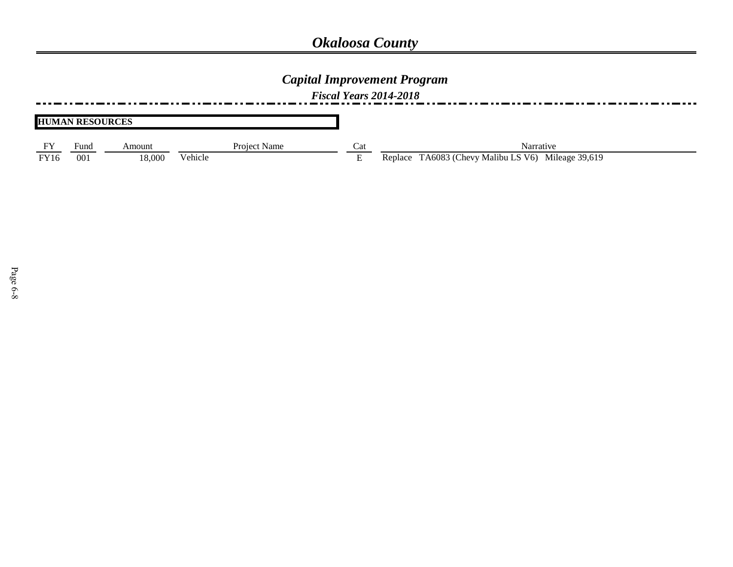### *Capital Improvement Program*

*Fiscal Years 2014-2018*

|             | <b>HUMAN RESOURCES</b> |        |              |                           |                                                    |
|-------------|------------------------|--------|--------------|---------------------------|----------------------------------------------------|
|             | Fund                   | Amount | Project Name | Cat                       | Narrative                                          |
| <b>FY16</b> | 001                    | 18.000 | Vehicle      | $\blacksquare$<br>н.<br>- | Replace TA6083 (Chevy Malibu LS V6) Mileage 39,619 |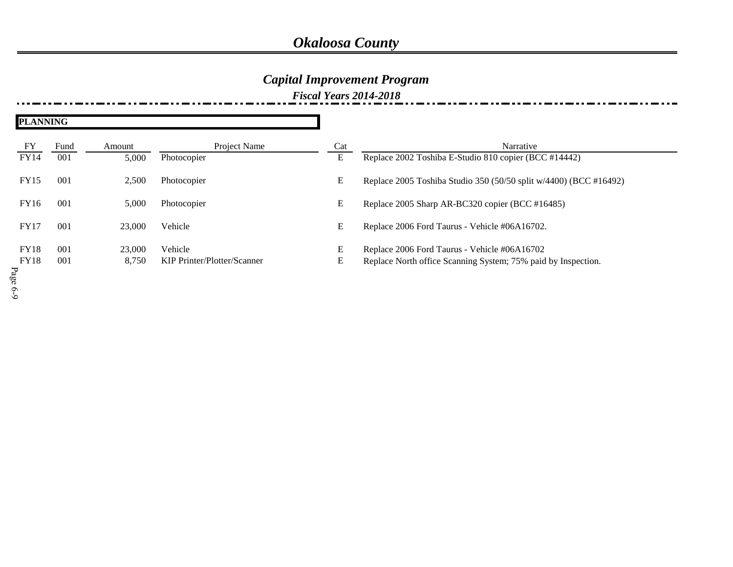## *Capital Improvement Program*

*Fiscal Years 2014-2018*

| <b>PLANNING</b> |      |        |                             |     |                                                                   |
|-----------------|------|--------|-----------------------------|-----|-------------------------------------------------------------------|
| ${\rm FY}$      | Fund | Amount | Project Name                | Cat | Narrative                                                         |
| <b>FY14</b>     | 001  | 5,000  | Photocopier                 | E   | Replace 2002 Toshiba E-Studio 810 copier (BCC #14442)             |
| <b>FY15</b>     | 001  | 2,500  | Photocopier                 | E   | Replace 2005 Toshiba Studio 350 (50/50 split w/4400) (BCC #16492) |
| FY16            | 001  | 5,000  | Photocopier                 | E   | Replace 2005 Sharp AR-BC320 copier (BCC #16485)                   |
| <b>FY17</b>     | 001  | 23,000 | Vehicle                     | E   | Replace 2006 Ford Taurus - Vehicle #06A16702.                     |
| <b>FY18</b>     | 001  | 23,000 | Vehicle                     | E   | Replace 2006 Ford Taurus - Vehicle #06A16702                      |
| <b>FY18</b>     | 001  | 8,750  | KIP Printer/Plotter/Scanner | E   | Replace North office Scanning System; 75% paid by Inspection.     |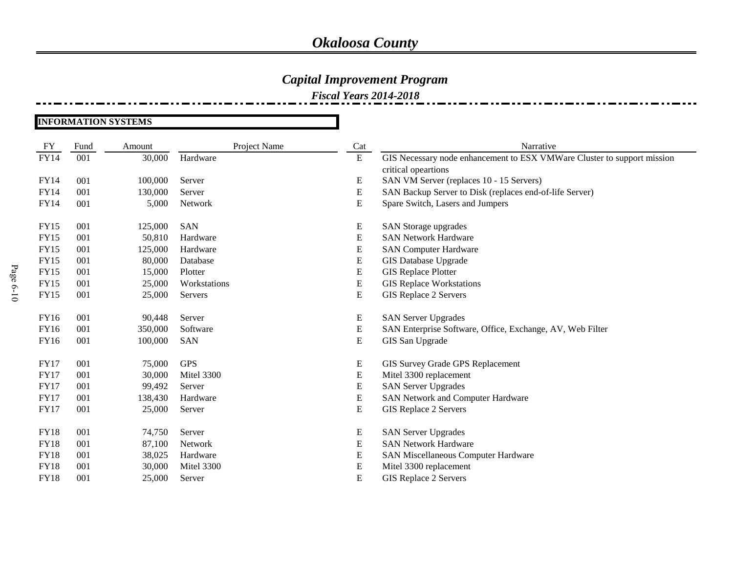### *Capital Improvement Program*

*Fiscal Years 2014-2018*

#### **INFORMATION SYSTEMS**

| FY          | Fund | Amount  | Project Name | Cat         | Narrative                                                               |
|-------------|------|---------|--------------|-------------|-------------------------------------------------------------------------|
| <b>FY14</b> | 001  | 30,000  | Hardware     | ${\bf E}$   | GIS Necessary node enhancement to ESX VMWare Cluster to support mission |
|             |      |         |              |             | critical opeartions                                                     |
| FY14        | 001  | 100,000 | Server       | E           | SAN VM Server (replaces 10 - 15 Servers)                                |
| <b>FY14</b> | 001  | 130,000 | Server       | ${\bf E}$   | SAN Backup Server to Disk (replaces end-of-life Server)                 |
| FY14        | 001  | 5,000   | Network      | ${\bf E}$   | Spare Switch, Lasers and Jumpers                                        |
|             |      |         |              |             |                                                                         |
| <b>FY15</b> | 001  | 125,000 | <b>SAN</b>   | E           | SAN Storage upgrades                                                    |
| <b>FY15</b> | 001  | 50,810  | Hardware     | ${\bf E}$   | <b>SAN Network Hardware</b>                                             |
| <b>FY15</b> | 001  | 125,000 | Hardware     | ${\bf E}$   | <b>SAN Computer Hardware</b>                                            |
| <b>FY15</b> | 001  | 80,000  | Database     | ${\bf E}$   | <b>GIS Database Upgrade</b>                                             |
| <b>FY15</b> | 001  | 15,000  | Plotter      | ${\bf E}$   | <b>GIS Replace Plotter</b>                                              |
| <b>FY15</b> | 001  | 25,000  | Workstations | ${\bf E}$   | <b>GIS Replace Workstations</b>                                         |
| <b>FY15</b> | 001  | 25,000  | Servers      | $\mathbf E$ | GIS Replace 2 Servers                                                   |
|             |      |         |              |             |                                                                         |
| FY16        | 001  | 90,448  | Server       | E           | <b>SAN Server Upgrades</b>                                              |
| FY16        | 001  | 350,000 | Software     | E           | SAN Enterprise Software, Office, Exchange, AV, Web Filter               |
| FY16        | 001  | 100,000 | <b>SAN</b>   | ${\bf E}$   | GIS San Upgrade                                                         |
|             |      |         |              |             |                                                                         |
| <b>FY17</b> | 001  | 75,000  | <b>GPS</b>   | E           | GIS Survey Grade GPS Replacement                                        |
| <b>FY17</b> | 001  | 30,000  | Mitel 3300   | E           | Mitel 3300 replacement                                                  |
| <b>FY17</b> | 001  | 99,492  | Server       | ${\bf E}$   | <b>SAN Server Upgrades</b>                                              |
| <b>FY17</b> | 001  | 138,430 | Hardware     | ${\bf E}$   | SAN Network and Computer Hardware                                       |
| <b>FY17</b> | 001  | 25,000  | Server       | E           | GIS Replace 2 Servers                                                   |
|             |      |         |              |             |                                                                         |
| <b>FY18</b> | 001  | 74,750  | Server       | E           | <b>SAN Server Upgrades</b>                                              |
| <b>FY18</b> | 001  | 87,100  | Network      | ${\bf E}$   | <b>SAN Network Hardware</b>                                             |
| <b>FY18</b> | 001  | 38,025  | Hardware     | ${\bf E}$   | SAN Miscellaneous Computer Hardware                                     |
| <b>FY18</b> | 001  | 30,000  | Mitel 3300   | ${\bf E}$   | Mitel 3300 replacement                                                  |
| <b>FY18</b> | 001  | 25,000  | Server       | ${\bf E}$   | <b>GIS Replace 2 Servers</b>                                            |
|             |      |         |              |             |                                                                         |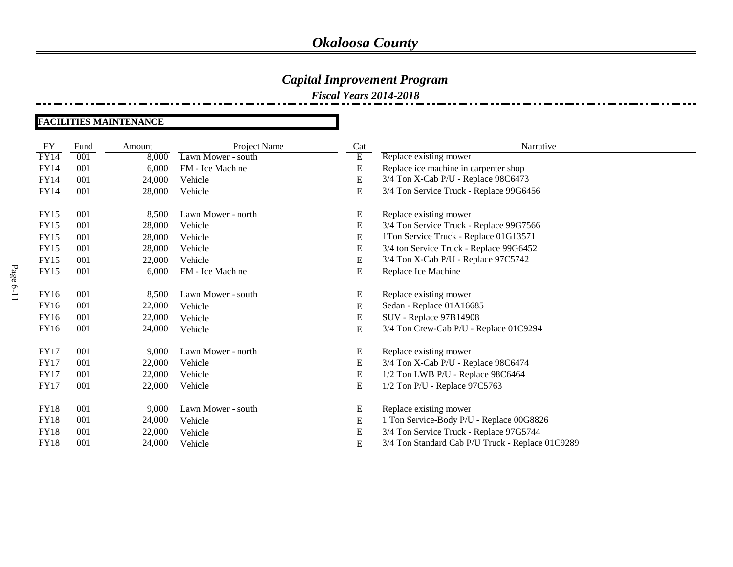### *Capital Improvement Program*

*Fiscal Years 2014-2018*

#### **FACILITIES MAINTENANCE**

| FY          | Fund | Amount | Project Name       | Cat       | Narrative                                        |
|-------------|------|--------|--------------------|-----------|--------------------------------------------------|
| FY14        | 001  | 8,000  | Lawn Mower - south | Ε         | Replace existing mower                           |
| FY14        | 001  | 6,000  | FM - Ice Machine   | E         | Replace ice machine in carpenter shop            |
| <b>FY14</b> | 001  | 24,000 | Vehicle            | E         | 3/4 Ton X-Cab P/U - Replace 98C6473              |
| FY14        | 001  | 28,000 | Vehicle            | E         | 3/4 Ton Service Truck - Replace 99G6456          |
| <b>FY15</b> | 001  | 8,500  | Lawn Mower - north | E         | Replace existing mower                           |
| <b>FY15</b> | 001  | 28,000 | Vehicle            | E         | 3/4 Ton Service Truck - Replace 99G7566          |
| <b>FY15</b> | 001  | 28,000 | Vehicle            | E         | 1Ton Service Truck - Replace 01G13571            |
| <b>FY15</b> | 001  | 28,000 | Vehicle            | E         | 3/4 ton Service Truck - Replace 99G6452          |
| <b>FY15</b> | 001  | 22,000 | Vehicle            | ${\bf E}$ | 3/4 Ton X-Cab P/U - Replace 97C5742              |
| <b>FY15</b> | 001  | 6,000  | FM - Ice Machine   | E         | Replace Ice Machine                              |
| FY16        | 001  | 8,500  | Lawn Mower - south | E         | Replace existing mower                           |
| FY16        | 001  | 22,000 | Vehicle            | E         | Sedan - Replace 01A16685                         |
| <b>FY16</b> | 001  | 22,000 | Vehicle            | ${\bf E}$ | <b>SUV</b> - Replace 97B14908                    |
| FY16        | 001  | 24,000 | Vehicle            | E         | 3/4 Ton Crew-Cab P/U - Replace 01C9294           |
| <b>FY17</b> | 001  | 9,000  | Lawn Mower - north | E         | Replace existing mower                           |
| <b>FY17</b> | 001  | 22,000 | Vehicle            | E         | 3/4 Ton X-Cab P/U - Replace 98C6474              |
| FY17        | 001  | 22,000 | Vehicle            | E         | 1/2 Ton LWB P/U - Replace 98C6464                |
| <b>FY17</b> | 001  | 22,000 | Vehicle            | E         | 1/2 Ton P/U - Replace 97C5763                    |
| <b>FY18</b> | 001  | 9,000  | Lawn Mower - south | Ε         | Replace existing mower                           |
| <b>FY18</b> | 001  | 24,000 | Vehicle            | E         | 1 Ton Service-Body P/U - Replace 00G8826         |
| <b>FY18</b> | 001  | 22,000 | Vehicle            | ${\bf E}$ | 3/4 Ton Service Truck - Replace 97G5744          |
| <b>FY18</b> | 001  | 24,000 | Vehicle            | ${\bf E}$ | 3/4 Ton Standard Cab P/U Truck - Replace 01C9289 |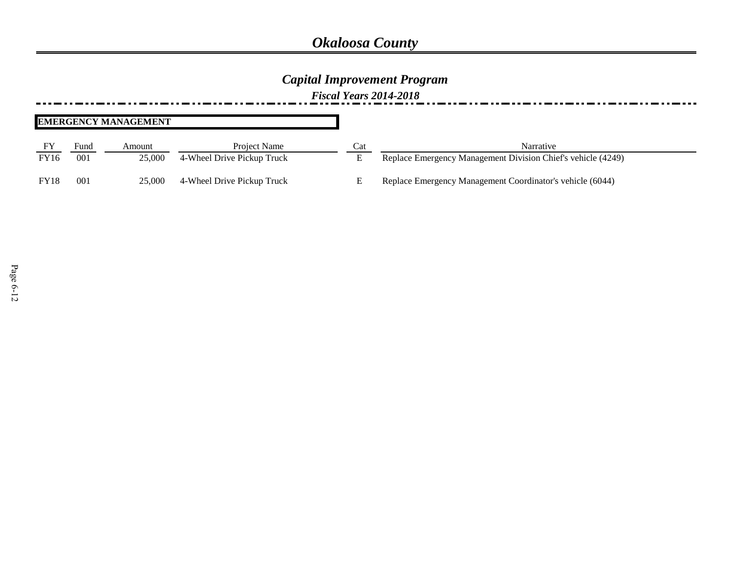### *Capital Improvement Program*

*Fiscal Years 2014-2018*

#### **EMERGENCY MANAGEMENT**

|             | Fund | Amount | Project Name               | Cat | Narrative                                                    |
|-------------|------|--------|----------------------------|-----|--------------------------------------------------------------|
| <b>FY16</b> | 001  | 25,000 | 4-Wheel Drive Pickup Truck |     | Replace Emergency Management Division Chief's vehicle (4249) |
| <b>FY18</b> | 001  | 25,000 | 4-Wheel Drive Pickup Truck |     | Replace Emergency Management Coordinator's vehicle (6044)    |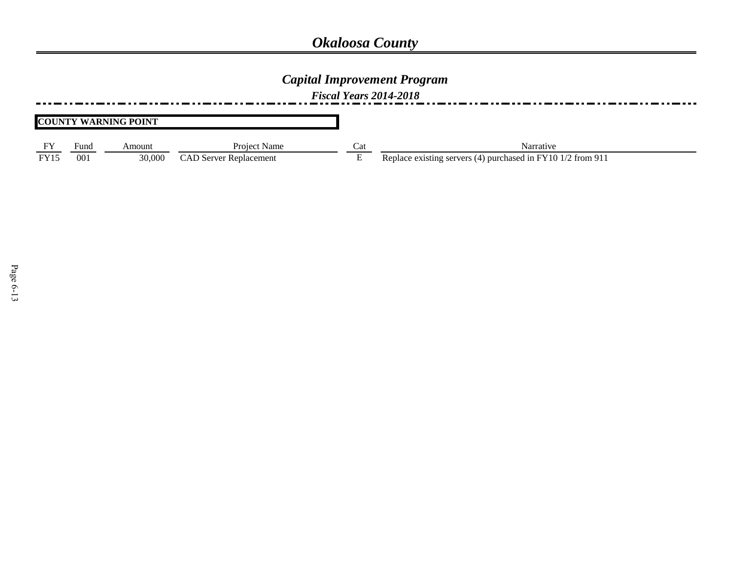### *Capital Improvement Program*

*Fiscal Years 2014-2018*

#### **COUNTY WARNING POINT**

|     | ∗und | Amoun  | Name<br>Project         | vu. | Jarratıv                                                             |
|-----|------|--------|-------------------------|-----|----------------------------------------------------------------------|
| EVI | 00.  | 30,000 | ' Replacement<br>. Serv |     | . 10.<br>trom 9<br>Durchased in FY 4<br>e existing servers<br>l≏nia⊾ |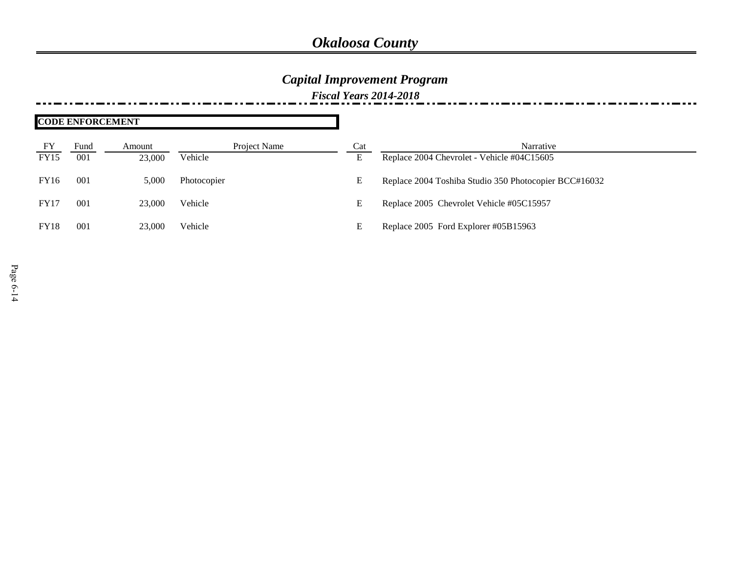### *Capital Improvement Program*

*Fiscal Years 2014-2018*

|             | <b>CODE ENFORCEMENT</b> |        |              |     |                                                       |  |
|-------------|-------------------------|--------|--------------|-----|-------------------------------------------------------|--|
| FY          | Fund                    | Amount | Project Name | Cat | Narrative                                             |  |
| <b>FY15</b> | 001                     | 23,000 | Vehicle      | E   | Replace 2004 Chevrolet - Vehicle #04C15605            |  |
| FY16        | 001                     | 5,000  | Photocopier  | E   | Replace 2004 Toshiba Studio 350 Photocopier BCC#16032 |  |
| <b>FY17</b> | 001                     | 23,000 | Vehicle      | E   | Replace 2005 Chevrolet Vehicle #05C15957              |  |
| <b>FY18</b> | 001                     | 23,000 | Vehicle      | E   | Replace 2005 Ford Explorer #05B15963                  |  |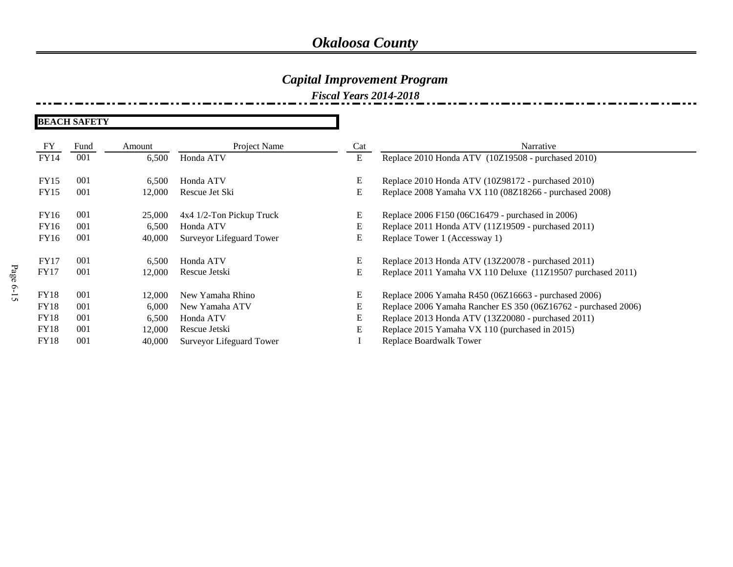### *Capital Improvement Program*

*Fiscal Years 2014-2018*

**BEACH SAFETY**

| ${\rm FY}$  | Fund | Amount | Project Name             | Cat | Narrative                                                      |
|-------------|------|--------|--------------------------|-----|----------------------------------------------------------------|
| <b>FY14</b> | 001  | 6,500  | Honda ATV                | E   | Replace 2010 Honda ATV (10Z19508 - purchased 2010)             |
|             |      |        |                          |     |                                                                |
| <b>FY15</b> | 001  | 6,500  | Honda ATV                | E   | Replace 2010 Honda ATV (10Z98172 - purchased 2010)             |
| <b>FY15</b> | 001  | 12,000 | Rescue Jet Ski           | E   | Replace 2008 Yamaha VX 110 (08Z18266 - purchased 2008)         |
| FY16        | 001  | 25,000 | 4x4 1/2-Ton Pickup Truck | E   | Replace 2006 F150 (06C16479 - purchased in 2006)               |
|             |      |        |                          |     |                                                                |
| FY16        | 001  | 6,500  | Honda ATV                | E   | Replace 2011 Honda ATV (11Z19509 - purchased 2011)             |
| FY16        | 001  | 40,000 | Surveyor Lifeguard Tower | E   | Replace Tower 1 (Accessway 1)                                  |
| FY17        | 001  |        | Honda ATV                | E   |                                                                |
|             |      | 6,500  |                          |     | Replace 2013 Honda ATV (13Z20078 - purchased 2011)             |
| <b>FY17</b> | 001  | 12,000 | Rescue Jetski            | E   | Replace 2011 Yamaha VX 110 Deluxe (11Z19507 purchased 2011)    |
| <b>FY18</b> | 001  | 12,000 | New Yamaha Rhino         | E   | Replace 2006 Yamaha R450 (06Z16663 - purchased 2006)           |
| <b>FY18</b> | 001  | 6,000  | New Yamaha ATV           | E   | Replace 2006 Yamaha Rancher ES 350 (06Z16762 - purchased 2006) |
| <b>FY18</b> | 001  | 6,500  | Honda ATV                | Е   | Replace 2013 Honda ATV (13Z20080 - purchased 2011)             |
| <b>FY18</b> | 001  | 12,000 | Rescue Jetski            | E   | Replace 2015 Yamaha VX 110 (purchased in 2015)                 |
| <b>FY18</b> | 001  | 40,000 | Surveyor Lifeguard Tower |     | Replace Boardwalk Tower                                        |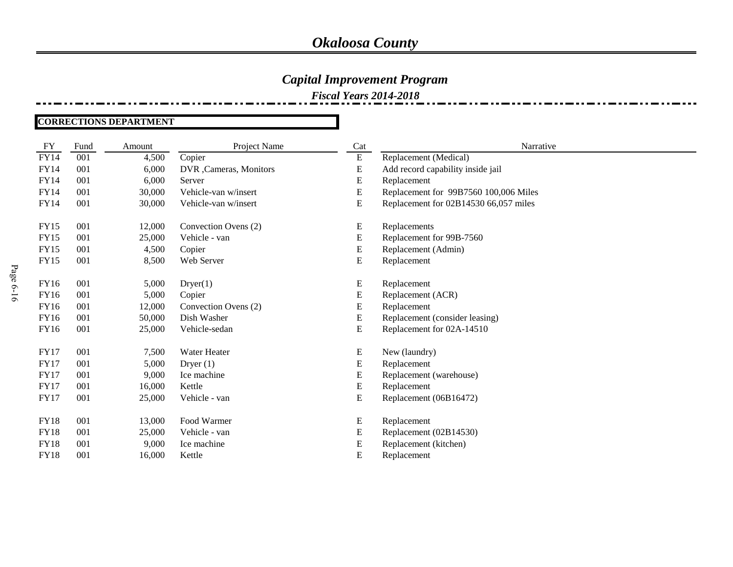### *Capital Improvement Program*

*Fiscal Years 2014-2018*

#### **CORRECTIONS DEPARTMENT**

| <b>FY</b>   | Fund | Amount | Project Name            | Cat       | Narrative                             |
|-------------|------|--------|-------------------------|-----------|---------------------------------------|
| FY14        | 001  | 4,500  | Copier                  | ${\bf E}$ | Replacement (Medical)                 |
| FY14        | 001  | 6,000  | DVR , Cameras, Monitors | ${\bf E}$ | Add record capability inside jail     |
| FY14        | 001  | 6,000  | Server                  | ${\bf E}$ | Replacement                           |
| <b>FY14</b> | 001  | 30,000 | Vehicle-van w/insert    | E         | Replacement for 99B7560 100,006 Miles |
| FY14        | 001  | 30,000 | Vehicle-van w/insert    | ${\bf E}$ | Replacement for 02B14530 66,057 miles |
| <b>FY15</b> | 001  | 12,000 | Convection Ovens (2)    | ${\bf E}$ | Replacements                          |
| <b>FY15</b> | 001  | 25,000 | Vehicle - van           | ${\bf E}$ | Replacement for 99B-7560              |
| <b>FY15</b> | 001  | 4,500  | Copier                  | ${\bf E}$ | Replacement (Admin)                   |
| <b>FY15</b> | 001  | 8,500  | Web Server              | ${\bf E}$ | Replacement                           |
| FY16        | 001  | 5,000  | Dryer(1)                | ${\bf E}$ | Replacement                           |
| FY16        | 001  | 5,000  | Copier                  | ${\bf E}$ | Replacement (ACR)                     |
| FY16        | 001  | 12,000 | Convection Ovens (2)    | E         | Replacement                           |
| FY16        | 001  | 50,000 | Dish Washer             | E         | Replacement (consider leasing)        |
| FY16        | 001  | 25,000 | Vehicle-sedan           | ${\bf E}$ | Replacement for 02A-14510             |
| <b>FY17</b> | 001  | 7,500  | Water Heater            | ${\bf E}$ | New (laundry)                         |
| <b>FY17</b> | 001  | 5,000  | Dryer $(1)$             | ${\bf E}$ | Replacement                           |
| <b>FY17</b> | 001  | 9,000  | Ice machine             | ${\bf E}$ | Replacement (warehouse)               |
| <b>FY17</b> | 001  | 16,000 | Kettle                  | ${\bf E}$ | Replacement                           |
| <b>FY17</b> | 001  | 25,000 | Vehicle - van           | ${\bf E}$ | Replacement (06B16472)                |
| <b>FY18</b> | 001  | 13,000 | Food Warmer             | ${\bf E}$ | Replacement                           |
| <b>FY18</b> | 001  | 25,000 | Vehicle - van           | ${\bf E}$ | Replacement (02B14530)                |
| <b>FY18</b> | 001  | 9,000  | Ice machine             | E         | Replacement (kitchen)                 |
| <b>FY18</b> | 001  | 16,000 | Kettle                  | ${\bf E}$ | Replacement                           |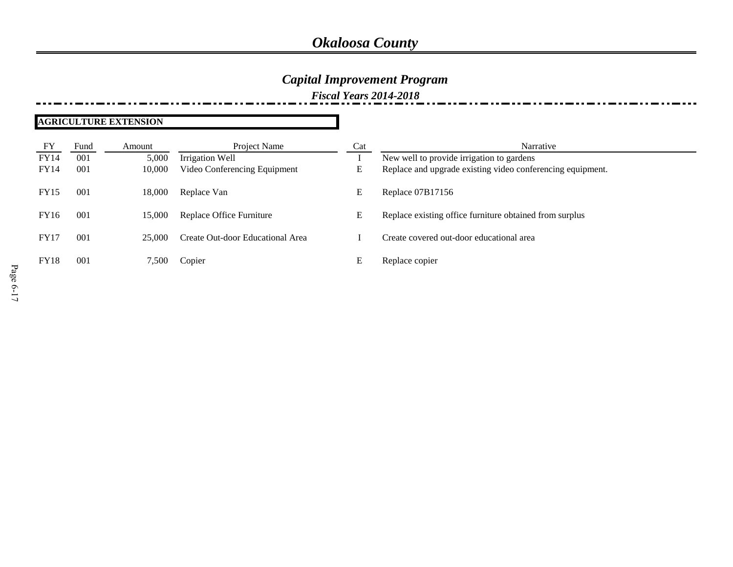### *Capital Improvement Program*

*Fiscal Years 2014-2018*

#### **AGRICULTURE EXTENSION**

| FY          | Fund | Amount | Project Name                     | Cat | Narrative                                                  |
|-------------|------|--------|----------------------------------|-----|------------------------------------------------------------|
| <b>FY14</b> | 001  | 5,000  | Irrigation Well                  |     | New well to provide irrigation to gardens                  |
| <b>FY14</b> | 001  | 10,000 | Video Conferencing Equipment     | E   | Replace and upgrade existing video conferencing equipment. |
| <b>FY15</b> | 001  | 18,000 | Replace Van                      | E   | Replace 07B17156                                           |
| <b>FY16</b> | 001  | 15,000 | Replace Office Furniture         | E   | Replace existing office furniture obtained from surplus    |
| <b>FY17</b> | 001  | 25,000 | Create Out-door Educational Area |     | Create covered out-door educational area                   |
| <b>FY18</b> | 001  | 7.500  | Copier                           | E   | Replace copier                                             |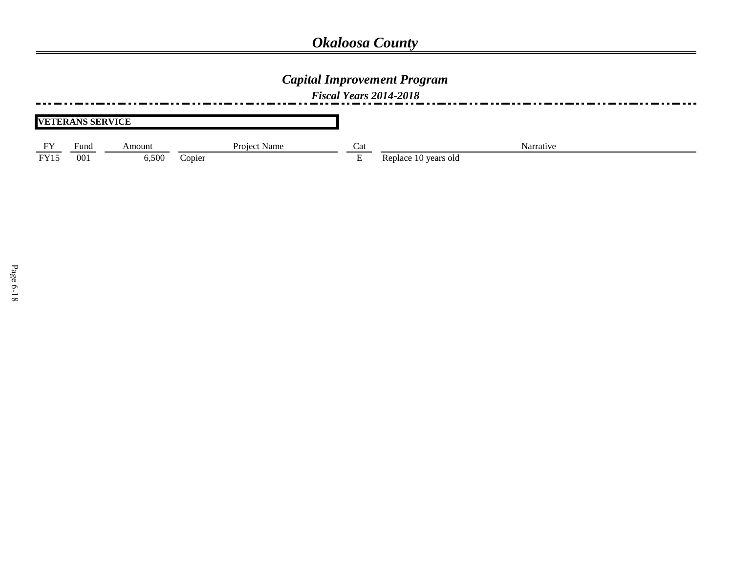### *Capital Improvement Program*

*Fiscal Years 2014-2018*

|                  | <b>VETERANS SERVICE</b> |        |              |          |                      |
|------------------|-------------------------|--------|--------------|----------|----------------------|
| EV               | Fund                    | Amount | Project Name | Cat      | Narrative            |
| EVI <sub>5</sub> | 001                     | 6,500  | Copier       | <u>.</u> | Replace 10 years old |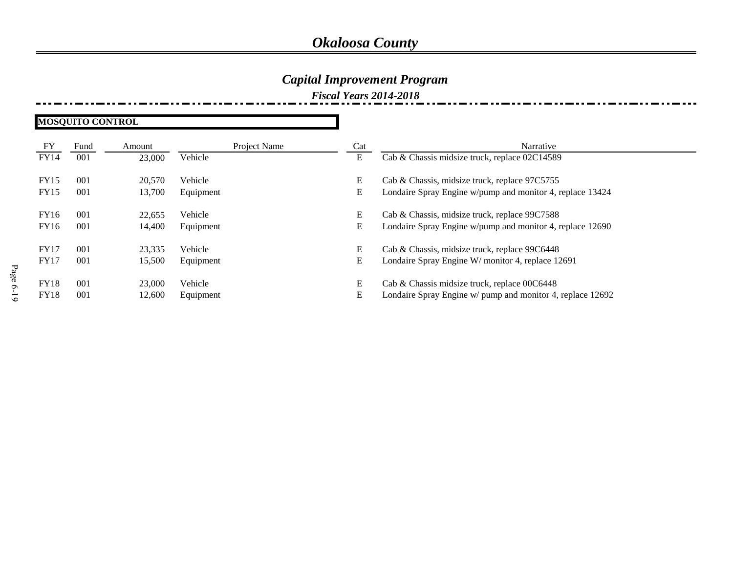### *Capital Improvement Program*

*Fiscal Years 2014-2018*

**MOSQUITO CONTROL**

| FY          | Fund | Amount | Project Name | Cat | Narrative                                                  |
|-------------|------|--------|--------------|-----|------------------------------------------------------------|
| <b>FY14</b> | 001  | 23,000 | Vehicle      | E   | Cab & Chassis midsize truck, replace 02C14589              |
| <b>FY15</b> | 001  | 20,570 | Vehicle      | E   | Cab & Chassis, midsize truck, replace 97C5755              |
| <b>FY15</b> | 001  | 13,700 | Equipment    | E   | Londaire Spray Engine w/pump and monitor 4, replace 13424  |
| FY16        | 001  | 22,655 | Vehicle      | E   | Cab & Chassis, midsize truck, replace 99C7588              |
| FY16        | 001  | 14,400 | Equipment    | E   | Londaire Spray Engine w/pump and monitor 4, replace 12690  |
| <b>FY17</b> | 001  | 23,335 | Vehicle      | E   | Cab & Chassis, midsize truck, replace 99C6448              |
| <b>FY17</b> | 001  | 15,500 | Equipment    | E   | Londaire Spray Engine W/ monitor 4, replace 12691          |
| <b>FY18</b> | 001  | 23,000 | Vehicle      | E   | Cab & Chassis midsize truck, replace 00C6448               |
| <b>FY18</b> | 001  | 12,600 | Equipment    | E   | Londaire Spray Engine w/ pump and monitor 4, replace 12692 |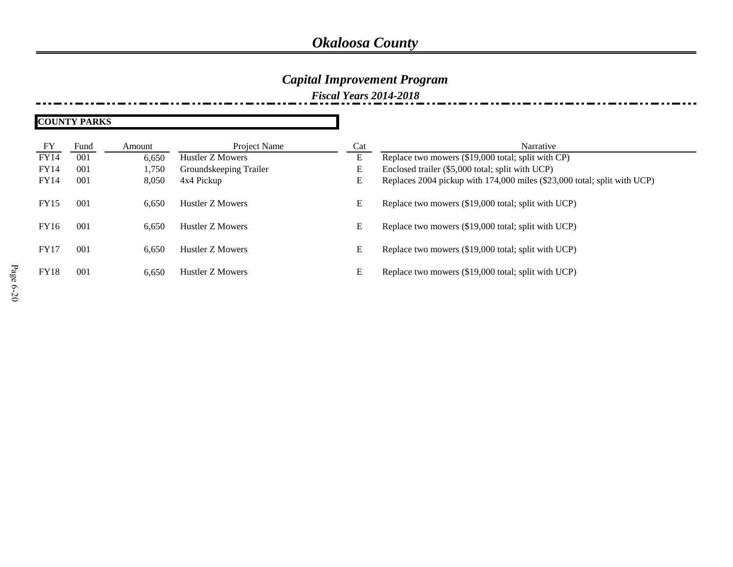## *Capital Improvement Program*

*Fiscal Years 2014-2018*

| <b>COUNTY PARKS</b> |  |
|---------------------|--|
|---------------------|--|

| FY          | Fund            | Amount | Project Name           | Cat | Narrative                                                                |
|-------------|-----------------|--------|------------------------|-----|--------------------------------------------------------------------------|
| <b>FY14</b> | 001             | 6,650  | Hustler Z Mowers       | E   | Replace two mowers (\$19,000 total; split with CP)                       |
| <b>FY14</b> | 001             | .750   | Groundskeeping Trailer | E   | Enclosed trailer (\$5,000 total; split with UCP)                         |
| <b>FY14</b> | 001             | 8,050  | 4x4 Pickup             | E   | Replaces 2004 pickup with 174,000 miles (\$23,000 total; split with UCP) |
| <b>FY15</b> | 00 <sup>1</sup> | 6,650  | Hustler Z Mowers       | E   | Replace two mowers (\$19,000 total; split with UCP)                      |
| <b>FY16</b> | 001             | 6,650  | Hustler Z Mowers       | E   | Replace two mowers (\$19,000 total; split with UCP)                      |
| <b>FY17</b> | 001             | 6,650  | Hustler Z Mowers       | E   | Replace two mowers (\$19,000 total; split with UCP)                      |
| <b>FY18</b> | 00 <sup>1</sup> | 6.650  | Hustler Z Mowers       | E   | Replace two mowers (\$19,000 total; split with UCP)                      |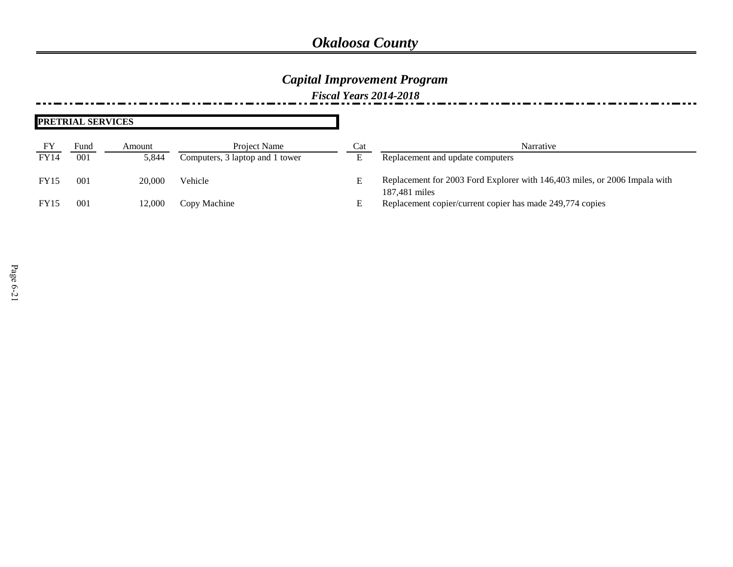### *Capital Improvement Program*

*Fiscal Years 2014-2018*

| PRETRIAL SERVICES |      |        |                                 |     |                                                                                             |  |
|-------------------|------|--------|---------------------------------|-----|---------------------------------------------------------------------------------------------|--|
| FY                | Fund | Amount | <b>Project Name</b>             | Cat | Narrative                                                                                   |  |
| <b>FY14</b>       | 001  | 5,844  | Computers, 3 laptop and 1 tower |     | Replacement and update computers                                                            |  |
| <b>FY15</b>       | 001  | 20,000 | Vehicle                         |     | Replacement for 2003 Ford Explorer with 146,403 miles, or 2006 Impala with<br>187,481 miles |  |
| <b>FY15</b>       | 001  | 12,000 | Copy Machine                    |     | Replacement copier/current copier has made 249,774 copies                                   |  |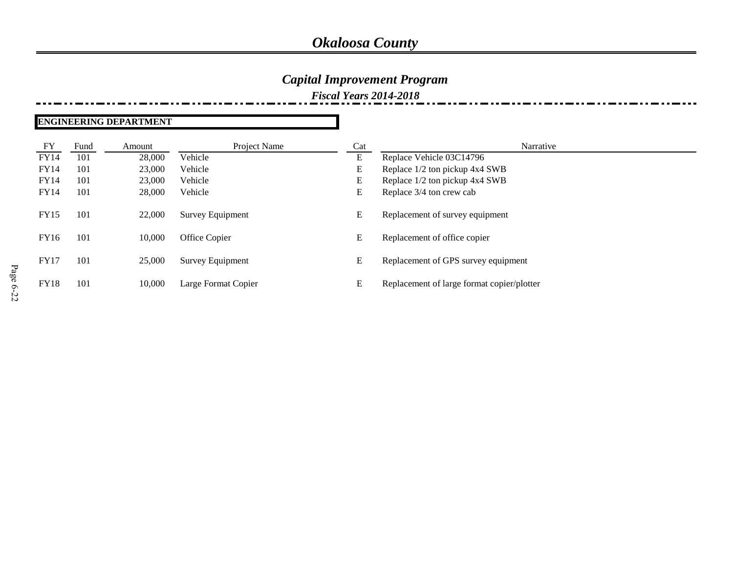### *Capital Improvement Program*

*Fiscal Years 2014-2018*

#### **ENGINEERING DEPARTMENT**

| FY          | Fund | Amount | Project Name        | Cat | Narrative                                  |
|-------------|------|--------|---------------------|-----|--------------------------------------------|
| <b>FY14</b> | 101  | 28,000 | Vehicle             | E   | Replace Vehicle 03C14796                   |
| <b>FY14</b> | 101  | 23,000 | Vehicle             | E   | Replace 1/2 ton pickup 4x4 SWB             |
| <b>FY14</b> | 101  | 23,000 | Vehicle             | E   | Replace 1/2 ton pickup 4x4 SWB             |
| <b>FY14</b> | 101  | 28,000 | Vehicle             | E   | Replace 3/4 ton crew cab                   |
| <b>FY15</b> | 101  | 22,000 | Survey Equipment    | E   | Replacement of survey equipment            |
| FY16        | 101  | 10,000 | Office Copier       | E   | Replacement of office copier               |
| <b>FY17</b> | 101  | 25,000 | Survey Equipment    | E   | Replacement of GPS survey equipment        |
| <b>FY18</b> | 101  | 10,000 | Large Format Copier | E   | Replacement of large format copier/plotter |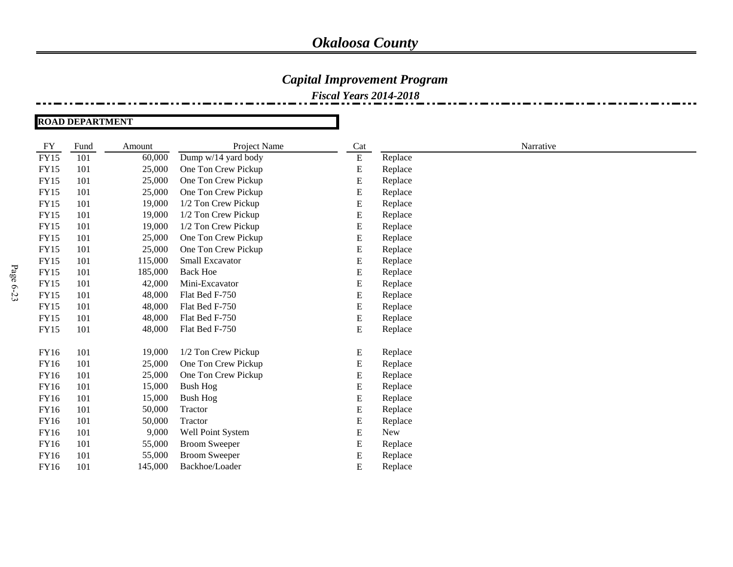### *Capital Improvement Program*

*Fiscal Years 2014-2018*

**ROAD DEPARTMENT**

| FY          | Fund | Amount  | Project Name         | Cat       |         | Narrative |  |
|-------------|------|---------|----------------------|-----------|---------|-----------|--|
| <b>FY15</b> | 101  | 60,000  | Dump w/14 yard body  | ${\bf E}$ | Replace |           |  |
| <b>FY15</b> | 101  | 25,000  | One Ton Crew Pickup  | E         | Replace |           |  |
| <b>FY15</b> | 101  | 25,000  | One Ton Crew Pickup  | E         | Replace |           |  |
| <b>FY15</b> | 101  | 25,000  | One Ton Crew Pickup  | E         | Replace |           |  |
| <b>FY15</b> | 101  | 19,000  | 1/2 Ton Crew Pickup  | E         | Replace |           |  |
| <b>FY15</b> | 101  | 19,000  | 1/2 Ton Crew Pickup  | E         | Replace |           |  |
| <b>FY15</b> | 101  | 19,000  | 1/2 Ton Crew Pickup  | E         | Replace |           |  |
| <b>FY15</b> | 101  | 25,000  | One Ton Crew Pickup  | E         | Replace |           |  |
| <b>FY15</b> | 101  | 25,000  | One Ton Crew Pickup  | E         | Replace |           |  |
| <b>FY15</b> | 101  | 115,000 | Small Excavator      | E         | Replace |           |  |
| <b>FY15</b> | 101  | 185,000 | <b>Back Hoe</b>      | E         | Replace |           |  |
| <b>FY15</b> | 101  | 42,000  | Mini-Excavator       | E         | Replace |           |  |
| <b>FY15</b> | 101  | 48,000  | Flat Bed F-750       | E         | Replace |           |  |
| <b>FY15</b> | 101  | 48,000  | Flat Bed F-750       | E         | Replace |           |  |
| <b>FY15</b> | 101  | 48,000  | Flat Bed F-750       | E         | Replace |           |  |
| <b>FY15</b> | 101  | 48,000  | Flat Bed F-750       | E         | Replace |           |  |
|             |      |         |                      |           |         |           |  |
| FY16        | 101  | 19,000  | 1/2 Ton Crew Pickup  | E         | Replace |           |  |
| FY16        | 101  | 25,000  | One Ton Crew Pickup  | E         | Replace |           |  |
| FY16        | 101  | 25,000  | One Ton Crew Pickup  | E         | Replace |           |  |
| FY16        | 101  | 15,000  | <b>Bush Hog</b>      | E         | Replace |           |  |
| <b>FY16</b> | 101  | 15,000  | <b>Bush Hog</b>      | E         | Replace |           |  |
| FY16        | 101  | 50,000  | Tractor              | E         | Replace |           |  |
| FY16        | 101  | 50,000  | Tractor              | E         | Replace |           |  |
| FY16        | 101  | 9,000   | Well Point System    | E         | New     |           |  |
| <b>FY16</b> | 101  | 55,000  | <b>Broom Sweeper</b> | E         | Replace |           |  |
| <b>FY16</b> | 101  | 55,000  | <b>Broom Sweeper</b> | E         | Replace |           |  |
| <b>FY16</b> | 101  | 145,000 | Backhoe/Loader       | E         | Replace |           |  |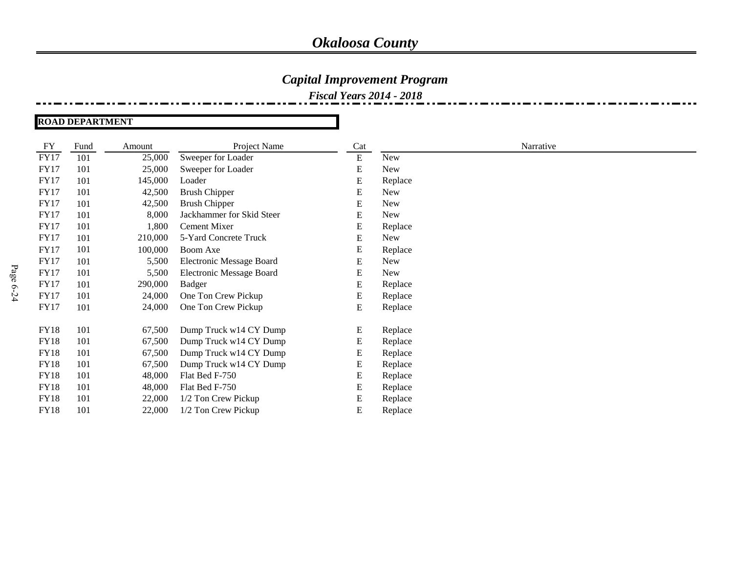### *Capital Improvement Program*

*Fiscal Years 2014 - 2018*

#### **ROAD DEPARTMENT**

| <b>FY</b>   | Fund | Amount  | Project Name                    | Cat       |         | Narrative |  |
|-------------|------|---------|---------------------------------|-----------|---------|-----------|--|
| <b>FY17</b> | 101  | 25,000  | Sweeper for Loader              | ${\bf E}$ | New     |           |  |
| <b>FY17</b> | 101  | 25,000  | Sweeper for Loader              | E         | New     |           |  |
| <b>FY17</b> | 101  | 145,000 | Loader                          | E         | Replace |           |  |
| <b>FY17</b> | 101  | 42,500  | <b>Brush Chipper</b>            | E         | New     |           |  |
| <b>FY17</b> | 101  | 42,500  | <b>Brush Chipper</b>            | E         | New     |           |  |
| <b>FY17</b> | 101  | 8,000   | Jackhammer for Skid Steer       | E         | New     |           |  |
| <b>FY17</b> | 101  | 1,800   | Cement Mixer                    | E         | Replace |           |  |
| <b>FY17</b> | 101  | 210,000 | 5-Yard Concrete Truck           | E         | New     |           |  |
| <b>FY17</b> | 101  | 100,000 | Boom Axe                        | E         | Replace |           |  |
| <b>FY17</b> | 101  | 5,500   | <b>Electronic Message Board</b> | E         | New     |           |  |
| <b>FY17</b> | 101  | 5,500   | <b>Electronic Message Board</b> | E         | New     |           |  |
| <b>FY17</b> | 101  | 290,000 | <b>Badger</b>                   | E         | Replace |           |  |
| <b>FY17</b> | 101  | 24,000  | One Ton Crew Pickup             | E         | Replace |           |  |
| <b>FY17</b> | 101  | 24,000  | One Ton Crew Pickup             | E         | Replace |           |  |
| <b>FY18</b> | 101  | 67,500  | Dump Truck w14 CY Dump          | E         | Replace |           |  |
| <b>FY18</b> | 101  | 67,500  | Dump Truck w14 CY Dump          | E         | Replace |           |  |
| <b>FY18</b> | 101  | 67,500  | Dump Truck w14 CY Dump          | E         | Replace |           |  |
| <b>FY18</b> | 101  | 67,500  | Dump Truck w14 CY Dump          | E         | Replace |           |  |
| <b>FY18</b> | 101  | 48,000  | Flat Bed F-750                  | E         | Replace |           |  |
| <b>FY18</b> | 101  | 48,000  | Flat Bed F-750                  | E         | Replace |           |  |
| <b>FY18</b> | 101  | 22,000  | 1/2 Ton Crew Pickup             | E         | Replace |           |  |
| <b>FY18</b> | 101  | 22,000  | 1/2 Ton Crew Pickup             | E         | Replace |           |  |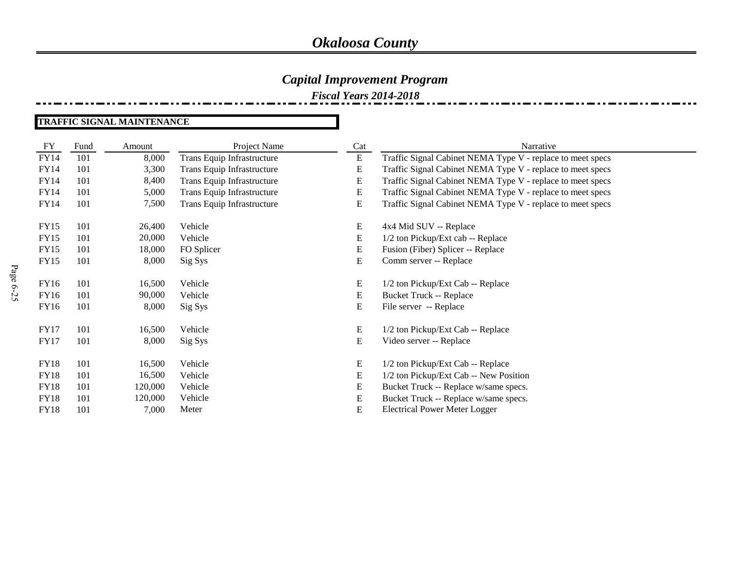### *Capital Improvement Program*

*Fiscal Years 2014-2018*

#### **TRAFFIC SIGNAL MAINTENANCE**

| FY          | Fund | Amount  | Project Name               | Cat       | Narrative                                                  |
|-------------|------|---------|----------------------------|-----------|------------------------------------------------------------|
| FY14        | 101  | 8,000   | Trans Equip Infrastructure | ${\bf E}$ | Traffic Signal Cabinet NEMA Type V - replace to meet specs |
| FY14        | 101  | 3,300   | Trans Equip Infrastructure | E         | Traffic Signal Cabinet NEMA Type V - replace to meet specs |
| FY14        | 101  | 8,400   | Trans Equip Infrastructure | E         | Traffic Signal Cabinet NEMA Type V - replace to meet specs |
| FY14        | 101  | 5,000   | Trans Equip Infrastructure | E         | Traffic Signal Cabinet NEMA Type V - replace to meet specs |
| FY14        | 101  | 7,500   | Trans Equip Infrastructure | Ε         | Traffic Signal Cabinet NEMA Type V - replace to meet specs |
| FY15        | 101  | 26,400  | Vehicle                    | E         | 4x4 Mid SUV -- Replace                                     |
| FY15        | 101  | 20,000  | Vehicle                    | E         | 1/2 ton Pickup/Ext cab -- Replace                          |
| FY15        | 101  | 18,000  | FO Splicer                 | E         | Fusion (Fiber) Splicer -- Replace                          |
| FY15        | 101  | 8,000   | Sig Sys                    | E         | Comm server -- Replace                                     |
| FY16        | 101  | 16,500  | Vehicle                    | E         | 1/2 ton Pickup/Ext Cab -- Replace                          |
| FY16        | 101  | 90,000  | Vehicle                    | E         | <b>Bucket Truck -- Replace</b>                             |
| FY16        | 101  | 8,000   | Sig Sys                    | Ε         | File server -- Replace                                     |
| <b>FY17</b> | 101  | 16,500  | Vehicle                    | E         | 1/2 ton Pickup/Ext Cab -- Replace                          |
| <b>FY17</b> | 101  | 8,000   | Sig Sys                    | E         | Video server -- Replace                                    |
| <b>FY18</b> | 101  | 16,500  | Vehicle                    | E         | 1/2 ton Pickup/Ext Cab -- Replace                          |
| <b>FY18</b> | 101  | 16,500  | Vehicle                    | E         | 1/2 ton Pickup/Ext Cab -- New Position                     |
| <b>FY18</b> | 101  | 120,000 | Vehicle                    | Ε         | Bucket Truck -- Replace w/same specs.                      |
| <b>FY18</b> | 101  | 120,000 | Vehicle                    | E         | Bucket Truck -- Replace w/same specs.                      |
| <b>FY18</b> | 101  | 7,000   | Meter                      | E         | <b>Electrical Power Meter Logger</b>                       |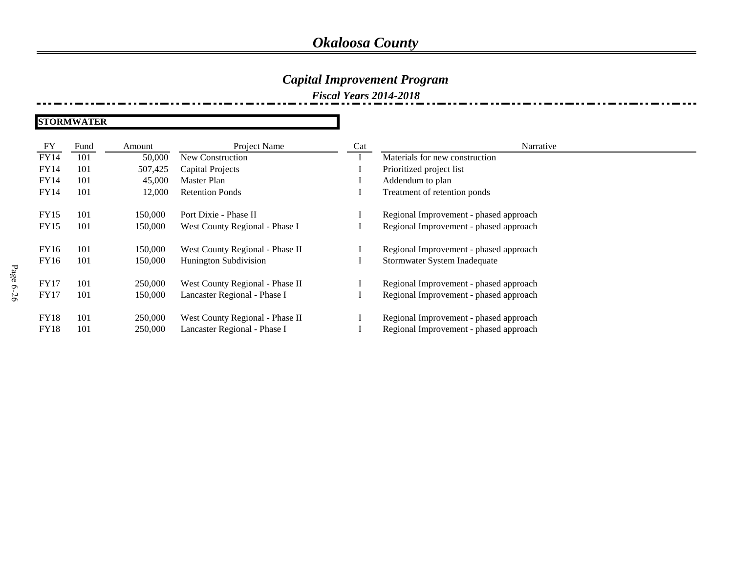### *Capital Improvement Program*

*Fiscal Years 2014-2018*

**STORMWATER**

| FY          | Fund | Amount  | Project Name                    | Cat | Narrative                              |
|-------------|------|---------|---------------------------------|-----|----------------------------------------|
| <b>FY14</b> | 101  | 50,000  | New Construction                |     | Materials for new construction         |
| FY14        | 101  | 507,425 | Capital Projects                |     | Prioritized project list               |
| <b>FY14</b> | 101  | 45,000  | Master Plan                     |     | Addendum to plan                       |
| FY14        | 101  | 12,000  | <b>Retention Ponds</b>          |     | Treatment of retention ponds           |
|             |      |         |                                 |     |                                        |
| <b>FY15</b> | 101  | 150,000 | Port Dixie - Phase II           |     | Regional Improvement - phased approach |
| <b>FY15</b> | 101  | 150,000 | West County Regional - Phase I  |     | Regional Improvement - phased approach |
|             |      |         |                                 |     |                                        |
| FY16        | 101  | 150,000 | West County Regional - Phase II |     | Regional Improvement - phased approach |
| FY16        | 101  | 150,000 | <b>Hunington Subdivision</b>    |     | Stormwater System Inadequate           |
|             |      |         |                                 |     |                                        |
| <b>FY17</b> | 101  | 250,000 | West County Regional - Phase II |     | Regional Improvement - phased approach |
| <b>FY17</b> | 101  | 150,000 | Lancaster Regional - Phase I    |     | Regional Improvement - phased approach |
|             |      |         |                                 |     |                                        |
| <b>FY18</b> | 101  | 250,000 | West County Regional - Phase II |     | Regional Improvement - phased approach |
| <b>FY18</b> | 101  | 250,000 | Lancaster Regional - Phase I    |     | Regional Improvement - phased approach |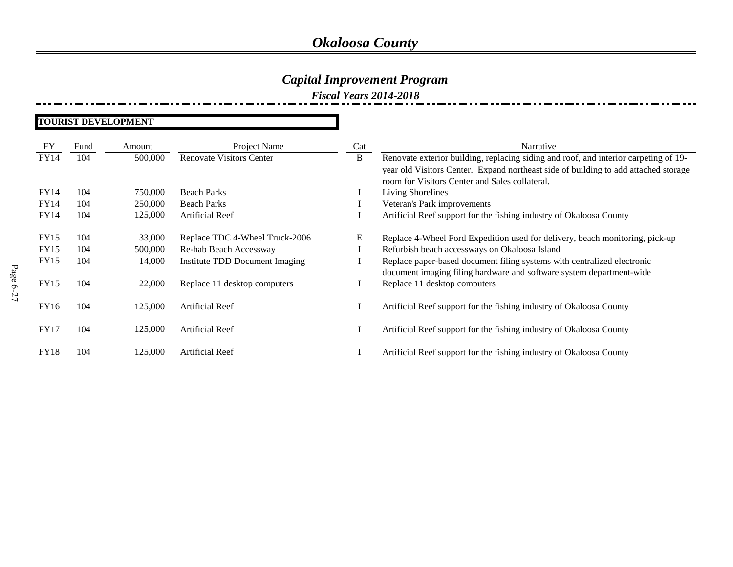### *Capital Improvement Program*

*Fiscal Years 2014-2018*

#### **TOURIST DEVELOPMENT**

| FY          | Fund | Amount  | Project Name                    | Cat | Narrative                                                                            |
|-------------|------|---------|---------------------------------|-----|--------------------------------------------------------------------------------------|
| <b>FY14</b> | 104  | 500,000 | <b>Renovate Visitors Center</b> | B   | Renovate exterior building, replacing siding and roof, and interior carpeting of 19- |
|             |      |         |                                 |     | year old Visitors Center. Expand northeast side of building to add attached storage  |
|             |      |         |                                 |     | room for Visitors Center and Sales collateral.                                       |
| <b>FY14</b> | 104  | 750,000 | <b>Beach Parks</b>              |     | Living Shorelines                                                                    |
| <b>FY14</b> | 104  | 250,000 | <b>Beach Parks</b>              |     | Veteran's Park improvements                                                          |
| FY14        | 104  | 125,000 | Artificial Reef                 |     | Artificial Reef support for the fishing industry of Okaloosa County                  |
|             |      |         |                                 |     |                                                                                      |
| FY15        | 104  | 33,000  | Replace TDC 4-Wheel Truck-2006  | E   | Replace 4-Wheel Ford Expedition used for delivery, beach monitoring, pick-up         |
| <b>FY15</b> | 104  | 500,000 | Re-hab Beach Accessway          |     | Refurbish beach accessways on Okaloosa Island                                        |
| <b>FY15</b> | 104  | 14,000  | Institute TDD Document Imaging  |     | Replace paper-based document filing systems with centralized electronic              |
|             |      |         |                                 |     | document imaging filing hardware and software system department-wide                 |
| <b>FY15</b> | 104  | 22,000  | Replace 11 desktop computers    |     | Replace 11 desktop computers                                                         |
|             |      |         |                                 |     |                                                                                      |
| FY16        | 104  | 125,000 | <b>Artificial Reef</b>          |     | Artificial Reef support for the fishing industry of Okaloosa County                  |
|             |      |         |                                 |     |                                                                                      |
| <b>FY17</b> | 104  | 125,000 | Artificial Reef                 |     | Artificial Reef support for the fishing industry of Okaloosa County                  |
|             |      |         |                                 |     |                                                                                      |
| <b>FY18</b> | 104  | 125,000 | <b>Artificial Reef</b>          |     | Artificial Reef support for the fishing industry of Okaloosa County                  |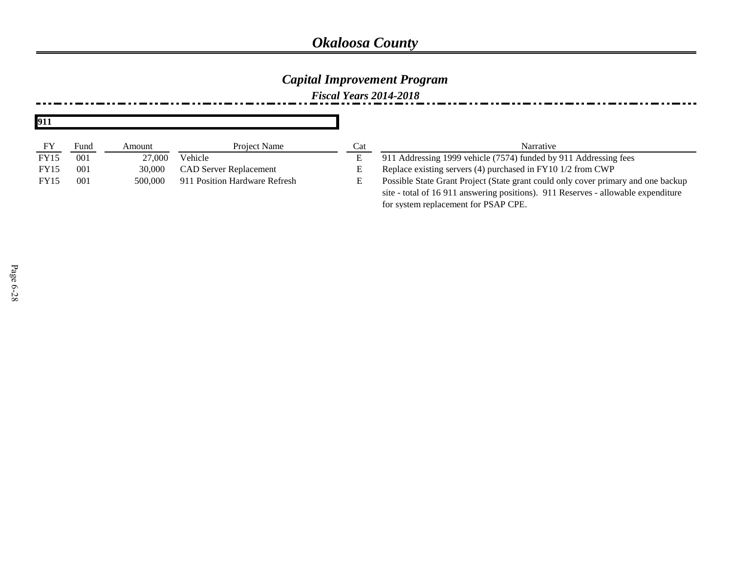### *Capital Improvement Program*

*Fiscal Years 2014-2018*

| 911         |      |         |                               |     |                                                                                   |
|-------------|------|---------|-------------------------------|-----|-----------------------------------------------------------------------------------|
| FY          | Fund | Amount  | <b>Project Name</b>           | Cat | Narrative                                                                         |
| <b>FY15</b> | 001  | 27,000  | Vehicle                       |     | 911 Addressing 1999 vehicle (7574) funded by 911 Addressing fees                  |
| <b>FY15</b> | 001  | 30,000  | <b>CAD Server Replacement</b> | Е.  | Replace existing servers (4) purchased in FY10 1/2 from CWP                       |
| <b>FY15</b> | 001  | 500,000 | 911 Position Hardware Refresh | Е.  | Possible State Grant Project (State grant could only cover primary and one backup |
|             |      |         |                               |     | site - total of 16 911 answering positions). 911 Reserves - allowable expenditure |
|             |      |         |                               |     | for system replacement for PSAP CPE.                                              |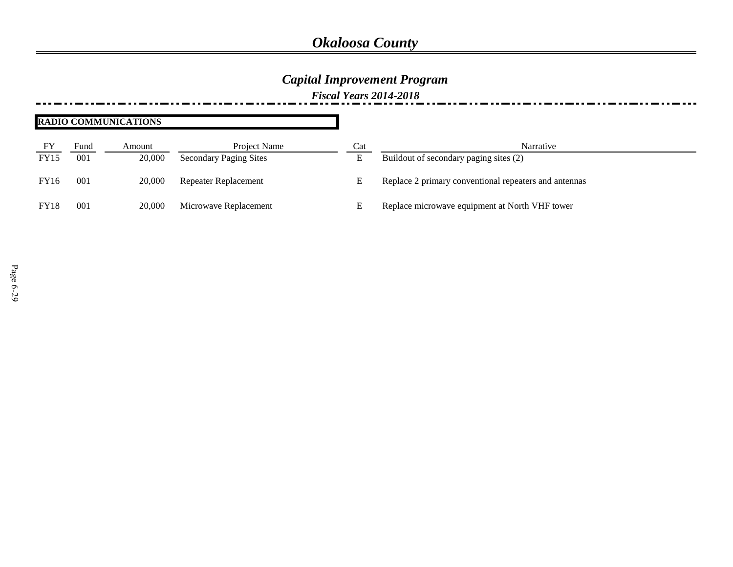### *Capital Improvement Program*

*Fiscal Years 2014-2018*

#### **RADIO COMMUNICATIONS**

| FY          | Fund            | Amount | Project Name                  | Cat | Narrative                                             |
|-------------|-----------------|--------|-------------------------------|-----|-------------------------------------------------------|
| <b>FY15</b> | 00 <sup>1</sup> | 20,000 | <b>Secondary Paging Sites</b> | E   | Buildout of secondary paging sites (2)                |
| <b>FY16</b> | 00 <sup>j</sup> | 20,000 | <b>Repeater Replacement</b>   | E   | Replace 2 primary conventional repeaters and antennas |
| <b>FY18</b> | $00^{\circ}$    | 20,000 | Microwave Replacement         | E   | Replace microwave equipment at North VHF tower        |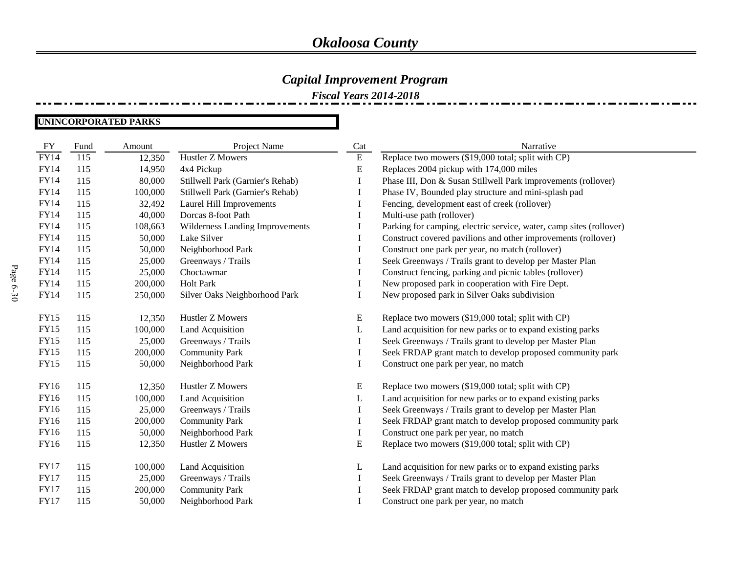### *Capital Improvement Program*

*Fiscal Years 2014-2018*

#### **UNINCORPORATED PARKS**

| <b>FY</b>   | Fund | Amount  | Project Name                     | Cat       | Narrative                                                           |
|-------------|------|---------|----------------------------------|-----------|---------------------------------------------------------------------|
| <b>FY14</b> | 115  | 12,350  | <b>Hustler Z Mowers</b>          | ${\bf E}$ | Replace two mowers (\$19,000 total; split with CP)                  |
| <b>FY14</b> | 115  | 14,950  | 4x4 Pickup                       | E         | Replaces 2004 pickup with 174,000 miles                             |
| FY14        | 115  | 80,000  | Stillwell Park (Garnier's Rehab) | I         | Phase III, Don & Susan Stillwell Park improvements (rollover)       |
| FY14        | 115  | 100,000 | Stillwell Park (Garnier's Rehab) |           | Phase IV, Bounded play structure and mini-splash pad                |
| <b>FY14</b> | 115  | 32,492  | Laurel Hill Improvements         | 1         | Fencing, development east of creek (rollover)                       |
| FY14        | 115  | 40,000  | Dorcas 8-foot Path               | I         | Multi-use path (rollover)                                           |
| FY14        | 115  | 108,663 | Wilderness Landing Improvements  |           | Parking for camping, electric service, water, camp sites (rollover) |
| <b>FY14</b> | 115  | 50,000  | Lake Silver                      | 1         | Construct covered pavilions and other improvements (rollover)       |
| <b>FY14</b> | 115  | 50,000  | Neighborhood Park                |           | Construct one park per year, no match (rollover)                    |
| <b>FY14</b> | 115  | 25,000  | Greenways / Trails               |           | Seek Greenways / Trails grant to develop per Master Plan            |
| <b>FY14</b> | 115  | 25,000  | Choctawmar                       | 1         | Construct fencing, parking and picnic tables (rollover)             |
| FY14        | 115  | 200,000 | <b>Holt Park</b>                 |           | New proposed park in cooperation with Fire Dept.                    |
| <b>FY14</b> | 115  | 250,000 | Silver Oaks Neighborhood Park    |           | New proposed park in Silver Oaks subdivision                        |
|             |      |         |                                  |           |                                                                     |
| <b>FY15</b> | 115  | 12,350  | Hustler Z Mowers                 | E         | Replace two mowers (\$19,000 total; split with CP)                  |
| <b>FY15</b> | 115  | 100,000 | <b>Land Acquisition</b>          | L         | Land acquisition for new parks or to expand existing parks          |
| <b>FY15</b> | 115  | 25,000  | Greenways / Trails               | I         | Seek Greenways / Trails grant to develop per Master Plan            |
| <b>FY15</b> | 115  | 200,000 | <b>Community Park</b>            | I         | Seek FRDAP grant match to develop proposed community park           |
| <b>FY15</b> | 115  | 50,000  | Neighborhood Park                | I         | Construct one park per year, no match                               |
|             |      |         |                                  |           |                                                                     |
| FY16        | 115  | 12,350  | Hustler Z Mowers                 | E         | Replace two mowers (\$19,000 total; split with CP)                  |
| FY16        | 115  | 100,000 | Land Acquisition                 | L         | Land acquisition for new parks or to expand existing parks          |
| FY16        | 115  | 25,000  | Greenways / Trails               | $\bf{I}$  | Seek Greenways / Trails grant to develop per Master Plan            |
| FY16        | 115  | 200,000 | <b>Community Park</b>            | $\bf{l}$  | Seek FRDAP grant match to develop proposed community park           |
| FY16        | 115  | 50,000  | Neighborhood Park                | 1         | Construct one park per year, no match                               |
| FY16        | 115  | 12,350  | Hustler Z Mowers                 | E         | Replace two mowers (\$19,000 total; split with CP)                  |
|             |      |         |                                  |           |                                                                     |
| <b>FY17</b> | 115  | 100,000 | Land Acquisition                 | L         | Land acquisition for new parks or to expand existing parks          |
| <b>FY17</b> | 115  | 25,000  | Greenways / Trails               | Ι.        | Seek Greenways / Trails grant to develop per Master Plan            |
| <b>FY17</b> | 115  | 200,000 | <b>Community Park</b>            | I         | Seek FRDAP grant match to develop proposed community park           |
| <b>FY17</b> | 115  | 50,000  | Neighborhood Park                |           | Construct one park per year, no match                               |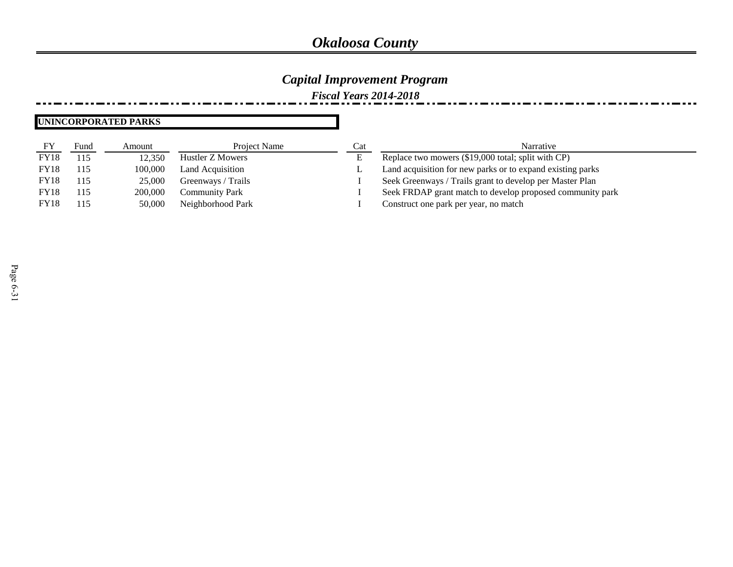### *Capital Improvement Program*

*Fiscal Years 2014-2018*

#### **UNINCORPORATED PARKS**

| FY          | Fund | Amount  | Project Name          | Cat | Narrative                                                  |
|-------------|------|---------|-----------------------|-----|------------------------------------------------------------|
| <b>FY18</b> | 115  | 12.350  | Hustler Z Mowers      | E   | Replace two mowers (\$19,000 total; split with CP)         |
| <b>FY18</b> | 115  | 100,000 | Land Acquisition      | ∸   | Land acquisition for new parks or to expand existing parks |
| <b>FY18</b> | 115  | 25,000  | Greenways / Trails    |     | Seek Greenways / Trails grant to develop per Master Plan   |
| <b>FY18</b> | 115  | 200,000 | <b>Community Park</b> |     | Seek FRDAP grant match to develop proposed community park  |
| <b>FY18</b> | 115  | 50,000  | Neighborhood Park     |     | Construct one park per year, no match                      |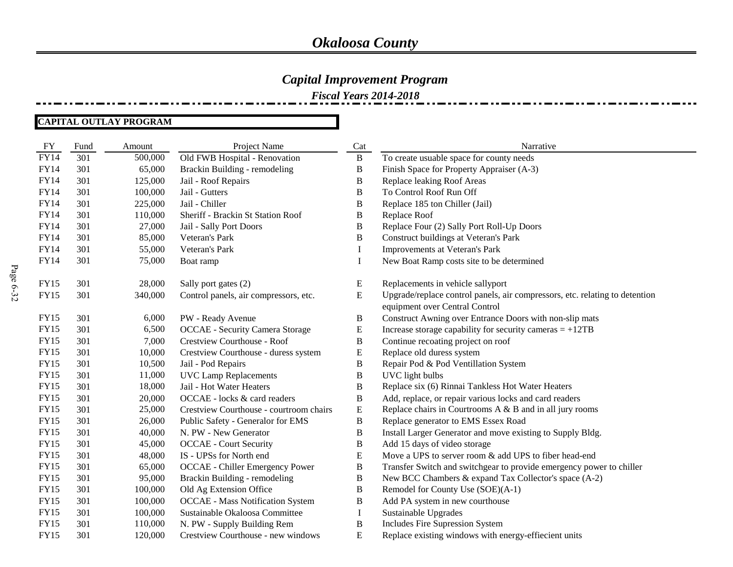*Fiscal Years 2014-2018*

#### **CAPITAL OUTLAY PROGRAM**

| FY          | Fund | Amount  | Project Name                            | Cat          | Narrative                                                                                                     |
|-------------|------|---------|-----------------------------------------|--------------|---------------------------------------------------------------------------------------------------------------|
| <b>FY14</b> | 301  | 500,000 | Old FWB Hospital - Renovation           | B            | To create usuable space for county needs                                                                      |
| <b>FY14</b> | 301  | 65,000  | Brackin Building - remodeling           | B            | Finish Space for Property Appraiser (A-3)                                                                     |
| <b>FY14</b> | 301  | 125,000 | Jail - Roof Repairs                     | B            | Replace leaking Roof Areas                                                                                    |
| <b>FY14</b> | 301  | 100,000 | Jail - Gutters                          | $\, {\bf B}$ | To Control Roof Run Off                                                                                       |
| FY14        | 301  | 225,000 | Jail - Chiller                          | B            | Replace 185 ton Chiller (Jail)                                                                                |
| FY14        | 301  | 110,000 | Sheriff - Brackin St Station Roof       | B            | Replace Roof                                                                                                  |
| FY14        | 301  | 27,000  | Jail - Sally Port Doors                 | B            | Replace Four (2) Sally Port Roll-Up Doors                                                                     |
| <b>FY14</b> | 301  | 85,000  | Veteran's Park                          | $\, {\bf B}$ | Construct buildings at Veteran's Park                                                                         |
| FY14        | 301  | 55,000  | Veteran's Park                          | I            | Improvements at Veteran's Park                                                                                |
| <b>FY14</b> | 301  | 75,000  | Boat ramp                               | Ι.           | New Boat Ramp costs site to be determined                                                                     |
|             |      |         |                                         |              |                                                                                                               |
| <b>FY15</b> | 301  | 28,000  | Sally port gates (2)                    | E            | Replacements in vehicle sallyport                                                                             |
| <b>FY15</b> | 301  | 340,000 | Control panels, air compressors, etc.   | ${\bf E}$    | Upgrade/replace control panels, air compressors, etc. relating to detention<br>equipment over Central Control |
| <b>FY15</b> | 301  | 6,000   | PW - Ready Avenue                       | B            | Construct Awning over Entrance Doors with non-slip mats                                                       |
| <b>FY15</b> | 301  | 6,500   | <b>OCCAE</b> - Security Camera Storage  | ${\bf E}$    | Increase storage capability for security cameras $= +12TB$                                                    |
| <b>FY15</b> | 301  | 7,000   | Crestview Courthouse - Roof             | B            | Continue recoating project on roof                                                                            |
| <b>FY15</b> | 301  | 10,000  | Crestview Courthouse - duress system    | ${\bf E}$    | Replace old duress system                                                                                     |
| <b>FY15</b> | 301  | 10,500  | Jail - Pod Repairs                      | $\, {\bf B}$ | Repair Pod & Pod Ventillation System                                                                          |
| <b>FY15</b> | 301  | 11,000  | <b>UVC Lamp Replacements</b>            | $\, {\bf B}$ | UVC light bulbs                                                                                               |
| <b>FY15</b> | 301  | 18,000  | Jail - Hot Water Heaters                | $\, {\bf B}$ | Replace six (6) Rinnai Tankless Hot Water Heaters                                                             |
| <b>FY15</b> | 301  | 20,000  | OCCAE - locks & card readers            | $\, {\bf B}$ | Add, replace, or repair various locks and card readers                                                        |
| <b>FY15</b> | 301  | 25,000  | Crestview Courthouse - courtroom chairs | ${\bf E}$    | Replace chairs in Courtrooms A & B and in all jury rooms                                                      |
| <b>FY15</b> | 301  | 26,000  | Public Safety - Generalor for EMS       | $\, {\bf B}$ | Replace generator to EMS Essex Road                                                                           |
| <b>FY15</b> | 301  | 40,000  | N. PW - New Generator                   | B            | Install Larger Generator and move existing to Supply Bldg.                                                    |
| <b>FY15</b> | 301  | 45,000  | <b>OCCAE</b> - Court Security           | $\, {\bf B}$ | Add 15 days of video storage                                                                                  |
| <b>FY15</b> | 301  | 48,000  | IS - UPSs for North end                 | ${\bf E}$    | Move a UPS to server room & add UPS to fiber head-end                                                         |
| <b>FY15</b> | 301  | 65,000  | <b>OCCAE</b> - Chiller Emergency Power  | $\, {\bf B}$ | Transfer Switch and switchgear to provide emergency power to chiller                                          |
| <b>FY15</b> | 301  | 95,000  | Brackin Building - remodeling           | B            | New BCC Chambers & expand Tax Collector's space (A-2)                                                         |
| <b>FY15</b> | 301  | 100,000 | Old Ag Extension Office                 | $\, {\bf B}$ | Remodel for County Use (SOE)(A-1)                                                                             |
| <b>FY15</b> | 301  | 100,000 | <b>OCCAE</b> - Mass Notification System | $\, {\bf B}$ | Add PA system in new courthouse                                                                               |
| <b>FY15</b> | 301  | 100,000 | Sustainable Okaloosa Committee          | $\bf{I}$     | Sustainable Upgrades                                                                                          |
| <b>FY15</b> | 301  | 110,000 | N. PW - Supply Building Rem             | $\, {\bf B}$ | Includes Fire Supression System                                                                               |
| <b>FY15</b> | 301  | 120,000 | Crestview Courthouse - new windows      | ${\bf E}$    | Replace existing windows with energy-effiecient units                                                         |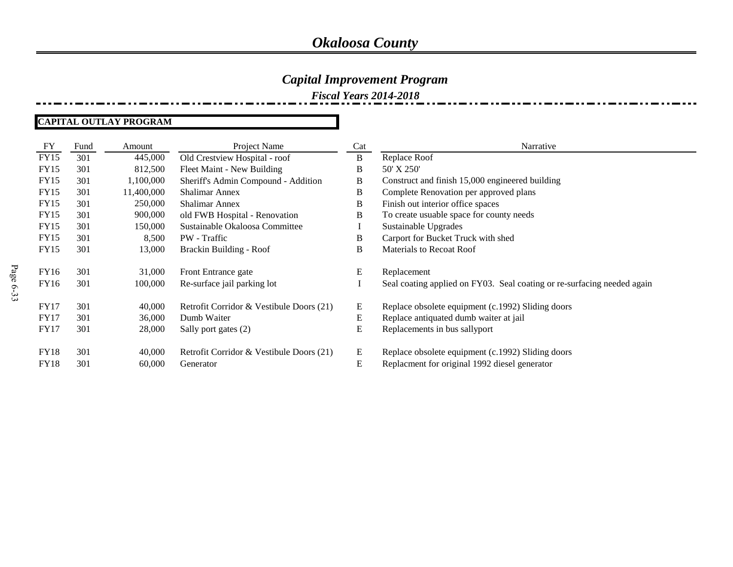### *Capital Improvement Program*

*Fiscal Years 2014-2018*

#### **CAPITAL OUTLAY PROGRAM**

| FY          | Fund | Amount     | Project Name                             | Cat | Narrative                                                               |
|-------------|------|------------|------------------------------------------|-----|-------------------------------------------------------------------------|
| <b>FY15</b> | 301  | 445,000    | Old Crestview Hospital - roof            | B   | Replace Roof                                                            |
| <b>FY15</b> | 301  | 812,500    | Fleet Maint - New Building               | В   | 50' X 250'                                                              |
| <b>FY15</b> | 301  | 1,100,000  | Sheriff's Admin Compound - Addition      | B   | Construct and finish 15,000 engineered building                         |
| <b>FY15</b> | 301  | 11,400,000 | <b>Shalimar Annex</b>                    | B   | Complete Renovation per approved plans                                  |
| <b>FY15</b> | 301  | 250,000    | <b>Shalimar Annex</b>                    | B   | Finish out interior office spaces                                       |
| <b>FY15</b> | 301  | 900,000    | old FWB Hospital - Renovation            | B   | To create usuable space for county needs                                |
| <b>FY15</b> | 301  | 150,000    | Sustainable Okaloosa Committee           |     | Sustainable Upgrades                                                    |
| <b>FY15</b> | 301  | 8,500      | PW - Traffic                             | В   | Carport for Bucket Truck with shed                                      |
| <b>FY15</b> | 301  | 13,000     | Brackin Building - Roof                  | B   | <b>Materials to Recoat Roof</b>                                         |
| FY16        | 301  | 31,000     | Front Entrance gate                      | E   | Replacement                                                             |
| FY16        | 301  | 100,000    | Re-surface jail parking lot              |     | Seal coating applied on FY03. Seal coating or re-surfacing needed again |
| <b>FY17</b> | 301  | 40,000     | Retrofit Corridor & Vestibule Doors (21) | E   | Replace obsolete equipment (c.1992) Sliding doors                       |
| <b>FY17</b> | 301  | 36,000     | Dumb Waiter                              | E   | Replace antiquated dumb waiter at jail                                  |
| <b>FY17</b> | 301  | 28,000     | Sally port gates (2)                     | E   | Replacements in bus sallyport                                           |
| <b>FY18</b> | 301  | 40,000     | Retrofit Corridor & Vestibule Doors (21) | E   | Replace obsolete equipment (c.1992) Sliding doors                       |
| <b>FY18</b> | 301  | 60,000     | Generator                                | E   | Replacment for original 1992 diesel generator                           |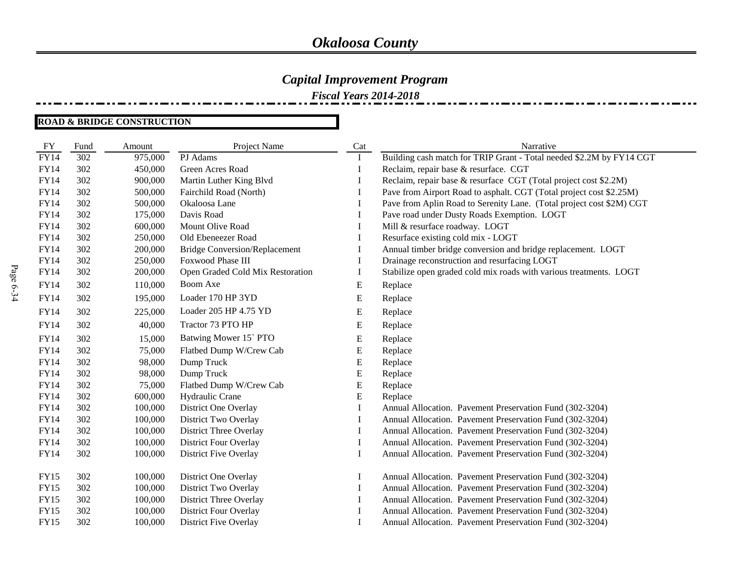*Fiscal Years 2014-2018*

#### **ROAD & BRIDGE CONSTRUCTION**

| FY          | Fund | Amount  | Project Name                         | Cat         | Narrative                                                            |
|-------------|------|---------|--------------------------------------|-------------|----------------------------------------------------------------------|
| <b>FY14</b> | 302  | 975,000 | PJ Adams                             | $\mathbf I$ | Building cash match for TRIP Grant - Total needed \$2.2M by FY14 CGT |
| <b>FY14</b> | 302  | 450,000 | Green Acres Road                     | $\bf{I}$    | Reclaim, repair base & resurface. CGT                                |
| <b>FY14</b> | 302  | 900,000 | Martin Luther King Blvd              | Ι.          | Reclaim, repair base & resurface CGT (Total project cost \$2.2M)     |
| <b>FY14</b> | 302  | 500,000 | Fairchild Road (North)               | Ι.          | Pave from Airport Road to asphalt. CGT (Total project cost \$2.25M)  |
| <b>FY14</b> | 302  | 500,000 | Okaloosa Lane                        | I           | Pave from Aplin Road to Serenity Lane. (Total project cost \$2M) CGT |
| <b>FY14</b> | 302  | 175,000 | Davis Road                           | I           | Pave road under Dusty Roads Exemption. LOGT                          |
| <b>FY14</b> | 302  | 600,000 | Mount Olive Road                     | $\bf{I}$    | Mill & resurface roadway. LOGT                                       |
| <b>FY14</b> | 302  | 250,000 | Old Ebeneezer Road                   | Ι.          | Resurface existing cold mix - LOGT                                   |
| <b>FY14</b> | 302  | 200,000 | <b>Bridge Conversion/Replacement</b> | Ι.          | Annual timber bridge conversion and bridge replacement. LOGT         |
| <b>FY14</b> | 302  | 250,000 | Foxwood Phase III                    | I           | Drainage reconstruction and resurfacing LOGT                         |
| <b>FY14</b> | 302  | 200,000 | Open Graded Cold Mix Restoration     | Ι.          | Stabilize open graded cold mix roads with various treatments. LOGT   |
| <b>FY14</b> | 302  | 110,000 | Boom Axe                             | ${\bf E}$   | Replace                                                              |
| <b>FY14</b> | 302  | 195,000 | Loader 170 HP 3YD                    | E           | Replace                                                              |
| <b>FY14</b> | 302  | 225,000 | Loader 205 HP 4.75 YD                | Е           | Replace                                                              |
| <b>FY14</b> | 302  | 40,000  | Tractor 73 PTO HP                    | ${\bf E}$   | Replace                                                              |
| <b>FY14</b> | 302  | 15,000  | Batwing Mower 15 PTO                 | E           | Replace                                                              |
| <b>FY14</b> | 302  | 75,000  | Flatbed Dump W/Crew Cab              | ${\bf E}$   | Replace                                                              |
| <b>FY14</b> | 302  | 98,000  | Dump Truck                           | ${\bf E}$   | Replace                                                              |
| <b>FY14</b> | 302  | 98,000  | Dump Truck                           | E           | Replace                                                              |
| <b>FY14</b> | 302  | 75,000  | Flatbed Dump W/Crew Cab              | ${\bf E}$   | Replace                                                              |
| <b>FY14</b> | 302  | 600,000 | Hydraulic Crane                      | ${\bf E}$   | Replace                                                              |
| <b>FY14</b> | 302  | 100,000 | District One Overlay                 | I           | Annual Allocation. Pavement Preservation Fund (302-3204)             |
| FY14        | 302  | 100,000 | District Two Overlay                 | Ι.          | Annual Allocation. Pavement Preservation Fund (302-3204)             |
| FY14        | 302  | 100,000 | District Three Overlay               | I           | Annual Allocation. Pavement Preservation Fund (302-3204)             |
| <b>FY14</b> | 302  | 100,000 | <b>District Four Overlay</b>         | I           | Annual Allocation. Pavement Preservation Fund (302-3204)             |
| <b>FY14</b> | 302  | 100,000 | District Five Overlay                | I           | Annual Allocation. Pavement Preservation Fund (302-3204)             |
| <b>FY15</b> | 302  | 100,000 | District One Overlay                 | $\bf{l}$    | Annual Allocation. Pavement Preservation Fund (302-3204)             |
| <b>FY15</b> | 302  | 100,000 | District Two Overlay                 | Ι.          | Annual Allocation. Pavement Preservation Fund (302-3204)             |
| <b>FY15</b> | 302  | 100,000 | District Three Overlay               |             | Annual Allocation. Pavement Preservation Fund (302-3204)             |
| <b>FY15</b> | 302  | 100,000 | <b>District Four Overlay</b>         | I           | Annual Allocation. Pavement Preservation Fund (302-3204)             |
| <b>FY15</b> | 302  | 100,000 | District Five Overlay                |             | Annual Allocation. Pavement Preservation Fund (302-3204)             |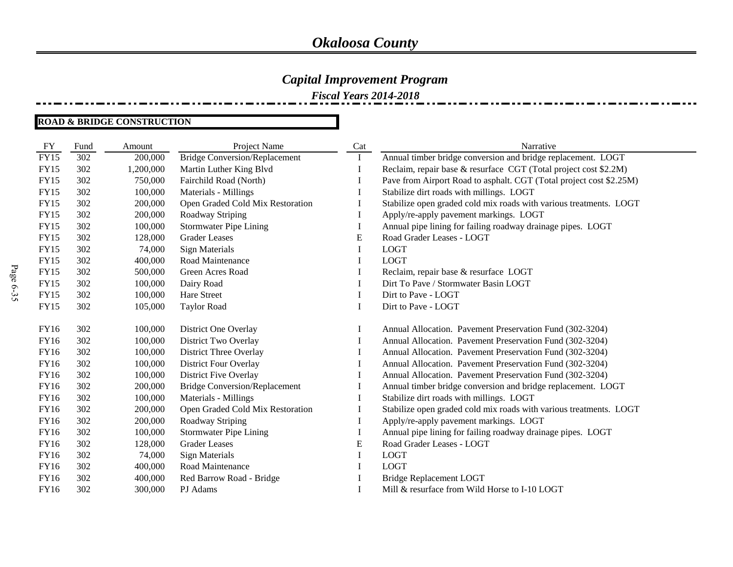*Fiscal Years 2014-2018*

#### **ROAD & BRIDGE CONSTRUCTION**

| FY          | Fund | Amount    | Project Name                         | Cat          | Narrative                                                           |
|-------------|------|-----------|--------------------------------------|--------------|---------------------------------------------------------------------|
| <b>FY15</b> | 302  | 200,000   | <b>Bridge Conversion/Replacement</b> | $\bf{I}$     | Annual timber bridge conversion and bridge replacement. LOGT        |
| <b>FY15</b> | 302  | 1,200,000 | Martin Luther King Blvd              |              | Reclaim, repair base & resurface CGT (Total project cost \$2.2M)    |
| <b>FY15</b> | 302  | 750,000   | Fairchild Road (North)               |              | Pave from Airport Road to asphalt. CGT (Total project cost \$2.25M) |
| <b>FY15</b> | 302  | 100,000   | Materials - Millings                 |              | Stabilize dirt roads with millings. LOGT                            |
| <b>FY15</b> | 302  | 200,000   | Open Graded Cold Mix Restoration     |              | Stabilize open graded cold mix roads with various treatments. LOGT  |
| <b>FY15</b> | 302  | 200,000   | Roadway Striping                     | 1            | Apply/re-apply pavement markings. LOGT                              |
| <b>FY15</b> | 302  | 100,000   | <b>Stormwater Pipe Lining</b>        |              | Annual pipe lining for failing roadway drainage pipes. LOGT         |
| <b>FY15</b> | 302  | 128,000   | <b>Grader Leases</b>                 | E            | Road Grader Leases - LOGT                                           |
| <b>FY15</b> | 302  | 74,000    | <b>Sign Materials</b>                |              | <b>LOGT</b>                                                         |
| <b>FY15</b> | 302  | 400,000   | Road Maintenance                     |              | <b>LOGT</b>                                                         |
| <b>FY15</b> | 302  | 500,000   | Green Acres Road                     |              | Reclaim, repair base & resurface LOGT                               |
| <b>FY15</b> | 302  | 100,000   | Dairy Road                           |              | Dirt To Pave / Stormwater Basin LOGT                                |
| <b>FY15</b> | 302  | 100,000   | Hare Street                          |              | Dirt to Pave - LOGT                                                 |
| <b>FY15</b> | 302  | 105,000   | Taylor Road                          |              | Dirt to Pave - LOGT                                                 |
|             |      |           |                                      |              |                                                                     |
| FY16        | 302  | 100,000   | District One Overlay                 |              | Annual Allocation. Pavement Preservation Fund (302-3204)            |
| FY16        | 302  | 100,000   | District Two Overlay                 |              | Annual Allocation. Pavement Preservation Fund (302-3204)            |
| FY16        | 302  | 100,000   | District Three Overlay               |              | Annual Allocation. Pavement Preservation Fund (302-3204)            |
| FY16        | 302  | 100,000   | <b>District Four Overlay</b>         |              | Annual Allocation. Pavement Preservation Fund (302-3204)            |
| FY16        | 302  | 100,000   | District Five Overlay                |              | Annual Allocation. Pavement Preservation Fund (302-3204)            |
| FY16        | 302  | 200,000   | <b>Bridge Conversion/Replacement</b> |              | Annual timber bridge conversion and bridge replacement. LOGT        |
| FY16        | 302  | 100,000   | Materials - Millings                 |              | Stabilize dirt roads with millings. LOGT                            |
| <b>FY16</b> | 302  | 200,000   | Open Graded Cold Mix Restoration     |              | Stabilize open graded cold mix roads with various treatments. LOGT  |
| FY16        | 302  | 200,000   | Roadway Striping                     | $\mathbf{I}$ | Apply/re-apply pavement markings. LOGT                              |
| FY16        | 302  | 100,000   | <b>Stormwater Pipe Lining</b>        | 1            | Annual pipe lining for failing roadway drainage pipes. LOGT         |
| FY16        | 302  | 128,000   | <b>Grader Leases</b>                 | E            | Road Grader Leases - LOGT                                           |
| FY16        | 302  | 74,000    | <b>Sign Materials</b>                |              | <b>LOGT</b>                                                         |
| FY16        | 302  | 400,000   | Road Maintenance                     |              | <b>LOGT</b>                                                         |
| FY16        | 302  | 400,000   | Red Barrow Road - Bridge             |              | <b>Bridge Replacement LOGT</b>                                      |
| FY16        | 302  | 300,000   | PJ Adams                             |              | Mill & resurface from Wild Horse to I-10 LOGT                       |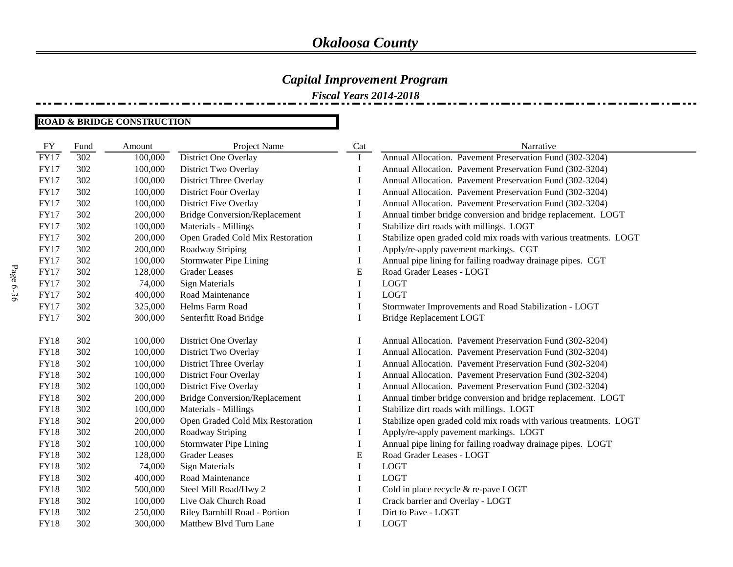*Fiscal Years 2014-2018*

#### **ROAD & BRIDGE CONSTRUCTION**

| FY          | Fund | Amount  | Project Name                         | Cat       | Narrative                                                          |
|-------------|------|---------|--------------------------------------|-----------|--------------------------------------------------------------------|
| <b>FY17</b> | 302  | 100,000 | District One Overlay                 | Ι.        | Annual Allocation. Pavement Preservation Fund (302-3204)           |
| <b>FY17</b> | 302  | 100,000 | District Two Overlay                 | I         | Annual Allocation. Pavement Preservation Fund (302-3204)           |
| <b>FY17</b> | 302  | 100,000 | District Three Overlay               | 1         | Annual Allocation. Pavement Preservation Fund (302-3204)           |
| <b>FY17</b> | 302  | 100,000 | <b>District Four Overlay</b>         | 1         | Annual Allocation. Pavement Preservation Fund (302-3204)           |
| <b>FY17</b> | 302  | 100,000 | District Five Overlay                |           | Annual Allocation. Pavement Preservation Fund (302-3204)           |
| <b>FY17</b> | 302  | 200,000 | <b>Bridge Conversion/Replacement</b> |           | Annual timber bridge conversion and bridge replacement. LOGT       |
| <b>FY17</b> | 302  | 100,000 | Materials - Millings                 |           | Stabilize dirt roads with millings. LOGT                           |
| <b>FY17</b> | 302  | 200,000 | Open Graded Cold Mix Restoration     | I         | Stabilize open graded cold mix roads with various treatments. LOGT |
| <b>FY17</b> | 302  | 200,000 | Roadway Striping                     | I         | Apply/re-apply pavement markings. CGT                              |
| <b>FY17</b> | 302  | 100,000 | <b>Stormwater Pipe Lining</b>        | $\bf{I}$  | Annual pipe lining for failing roadway drainage pipes. CGT         |
| <b>FY17</b> | 302  | 128,000 | <b>Grader Leases</b>                 | ${\bf E}$ | Road Grader Leases - LOGT                                          |
| <b>FY17</b> | 302  | 74,000  | <b>Sign Materials</b>                | I         | <b>LOGT</b>                                                        |
| <b>FY17</b> | 302  | 400,000 | Road Maintenance                     | I         | <b>LOGT</b>                                                        |
| <b>FY17</b> | 302  | 325,000 | Helms Farm Road                      | I         | Stormwater Improvements and Road Stabilization - LOGT              |
| <b>FY17</b> | 302  | 300,000 | Senterfitt Road Bridge               | I         | <b>Bridge Replacement LOGT</b>                                     |
|             |      |         |                                      |           |                                                                    |
| <b>FY18</b> | 302  | 100,000 | District One Overlay                 |           | Annual Allocation. Pavement Preservation Fund (302-3204)           |
| <b>FY18</b> | 302  | 100,000 | District Two Overlay                 | I         | Annual Allocation. Pavement Preservation Fund (302-3204)           |
| <b>FY18</b> | 302  | 100,000 | District Three Overlay               | I         | Annual Allocation. Pavement Preservation Fund (302-3204)           |
| <b>FY18</b> | 302  | 100,000 | <b>District Four Overlay</b>         | I         | Annual Allocation. Pavement Preservation Fund (302-3204)           |
| <b>FY18</b> | 302  | 100,000 | District Five Overlay                | I         | Annual Allocation. Pavement Preservation Fund (302-3204)           |
| <b>FY18</b> | 302  | 200,000 | <b>Bridge Conversion/Replacement</b> |           | Annual timber bridge conversion and bridge replacement. LOGT       |
| <b>FY18</b> | 302  | 100,000 | Materials - Millings                 | I         | Stabilize dirt roads with millings. LOGT                           |
| <b>FY18</b> | 302  | 200,000 | Open Graded Cold Mix Restoration     | I         | Stabilize open graded cold mix roads with various treatments. LOGT |
| <b>FY18</b> | 302  | 200,000 | Roadway Striping                     | I         | Apply/re-apply pavement markings. LOGT                             |
| <b>FY18</b> | 302  | 100,000 | <b>Stormwater Pipe Lining</b>        | I         | Annual pipe lining for failing roadway drainage pipes. LOGT        |
| <b>FY18</b> | 302  | 128,000 | <b>Grader Leases</b>                 | E         | Road Grader Leases - LOGT                                          |
| <b>FY18</b> | 302  | 74,000  | <b>Sign Materials</b>                | I         | <b>LOGT</b>                                                        |
| <b>FY18</b> | 302  | 400,000 | Road Maintenance                     | 1         | <b>LOGT</b>                                                        |
| <b>FY18</b> | 302  | 500,000 | Steel Mill Road/Hwy 2                |           | Cold in place recycle & re-pave LOGT                               |
| <b>FY18</b> | 302  | 100,000 | Live Oak Church Road                 |           | Crack barrier and Overlay - LOGT                                   |
| <b>FY18</b> | 302  | 250,000 | Riley Barnhill Road - Portion        |           | Dirt to Pave - LOGT                                                |
| <b>FY18</b> | 302  | 300,000 | Matthew Blvd Turn Lane               | I         | <b>LOGT</b>                                                        |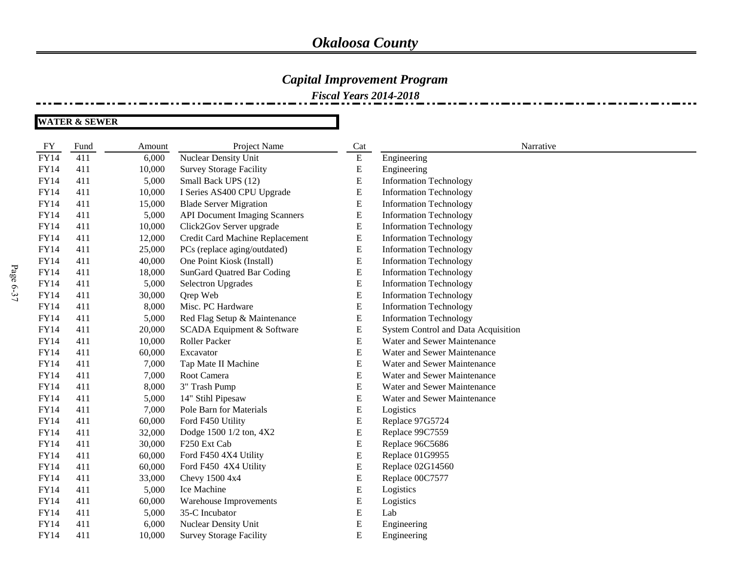### *Capital Improvement Program*

*Fiscal Years 2014-2018*

| <b>FY</b>   | Fund | Amount | Project Name                         | Cat       | Narrative                           |
|-------------|------|--------|--------------------------------------|-----------|-------------------------------------|
| <b>FY14</b> | 411  | 6,000  | Nuclear Density Unit                 | ${\bf E}$ | Engineering                         |
| <b>FY14</b> | 411  | 10,000 | <b>Survey Storage Facility</b>       | E         | Engineering                         |
| <b>FY14</b> | 411  | 5,000  | Small Back UPS (12)                  | ${\bf E}$ | <b>Information Technology</b>       |
| <b>FY14</b> | 411  | 10,000 | I Series AS400 CPU Upgrade           | ${\bf E}$ | <b>Information Technology</b>       |
| FY14        | 411  | 15,000 | <b>Blade Server Migration</b>        | ${\bf E}$ | <b>Information Technology</b>       |
| FY14        | 411  | 5,000  | <b>API Document Imaging Scanners</b> | E         | <b>Information Technology</b>       |
| FY14        | 411  | 10,000 | Click2Gov Server upgrade             | ${\bf E}$ | <b>Information Technology</b>       |
| <b>FY14</b> | 411  | 12,000 | Credit Card Machine Replacement      | E         | <b>Information Technology</b>       |
| FY14        | 411  | 25,000 | PCs (replace aging/outdated)         | E         | <b>Information Technology</b>       |
| FY14        | 411  | 40,000 | One Point Kiosk (Install)            | ${\bf E}$ | <b>Information Technology</b>       |
| <b>FY14</b> | 411  | 18,000 | SunGard Quatred Bar Coding           | ${\bf E}$ | <b>Information Technology</b>       |
| <b>FY14</b> | 411  | 5,000  | Selectron Upgrades                   | ${\bf E}$ | <b>Information Technology</b>       |
| <b>FY14</b> | 411  | 30,000 | Qrep Web                             | ${\bf E}$ | <b>Information Technology</b>       |
| <b>FY14</b> | 411  | 8,000  | Misc. PC Hardware                    | ${\bf E}$ | <b>Information Technology</b>       |
| <b>FY14</b> | 411  | 5,000  | Red Flag Setup & Maintenance         | ${\bf E}$ | <b>Information Technology</b>       |
| <b>FY14</b> | 411  | 20,000 | SCADA Equipment & Software           | E         | System Control and Data Acquisition |
| <b>FY14</b> | 411  | 10,000 | Roller Packer                        | E         | Water and Sewer Maintenance         |
| <b>FY14</b> | 411  | 60,000 | Excavator                            | ${\bf E}$ | Water and Sewer Maintenance         |
| <b>FY14</b> | 411  | 7,000  | Tap Mate II Machine                  | ${\bf E}$ | Water and Sewer Maintenance         |
| FY14        | 411  | 7,000  | Root Camera                          | ${\bf E}$ | Water and Sewer Maintenance         |
| <b>FY14</b> | 411  | 8,000  | 3" Trash Pump                        | ${\bf E}$ | Water and Sewer Maintenance         |
| <b>FY14</b> | 411  | 5,000  | 14" Stihl Pipesaw                    | ${\bf E}$ | Water and Sewer Maintenance         |
| <b>FY14</b> | 411  | 7,000  | Pole Barn for Materials              | E         | Logistics                           |
| <b>FY14</b> | 411  | 60,000 | Ford F450 Utility                    | E         | Replace 97G5724                     |
| <b>FY14</b> | 411  | 32,000 | Dodge 1500 1/2 ton, 4X2              | ${\bf E}$ | Replace 99C7559                     |
| <b>FY14</b> | 411  | 30,000 | F250 Ext Cab                         | E         | Replace 96C5686                     |
| <b>FY14</b> | 411  | 60,000 | Ford F450 4X4 Utility                | E         | Replace 01G9955                     |
| <b>FY14</b> | 411  | 60,000 | Ford F450 4X4 Utility                | ${\bf E}$ | Replace 02G14560                    |
| <b>FY14</b> | 411  | 33,000 | Chevy 1500 4x4                       | E         | Replace 00C7577                     |
| <b>FY14</b> | 411  | 5,000  | Ice Machine                          | E         | Logistics                           |
| <b>FY14</b> | 411  | 60,000 | Warehouse Improvements               | E         | Logistics                           |
| <b>FY14</b> | 411  | 5,000  | 35-C Incubator                       | E         | Lab                                 |
| FY14        | 411  | 6,000  | Nuclear Density Unit                 | ${\bf E}$ | Engineering                         |
| FY14        | 411  | 10,000 | <b>Survey Storage Facility</b>       | Ε         | Engineering                         |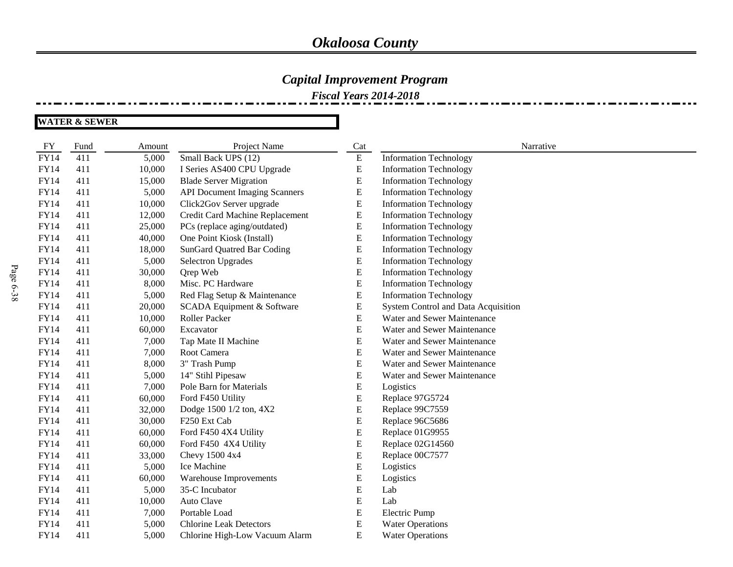### *Capital Improvement Program*

*Fiscal Years 2014-2018*

| <b>FY</b>   | Fund | Amount | Project Name                         | Cat       | Narrative                           |
|-------------|------|--------|--------------------------------------|-----------|-------------------------------------|
| <b>FY14</b> | 411  | 5,000  | Small Back UPS (12)                  | ${\bf E}$ | <b>Information Technology</b>       |
| <b>FY14</b> | 411  | 10,000 | I Series AS400 CPU Upgrade           | ${\bf E}$ | <b>Information Technology</b>       |
| <b>FY14</b> | 411  | 15,000 | <b>Blade Server Migration</b>        | ${\bf E}$ | <b>Information Technology</b>       |
| FY14        | 411  | 5,000  | <b>API Document Imaging Scanners</b> | ${\bf E}$ | <b>Information Technology</b>       |
| FY14        | 411  | 10,000 | Click2Gov Server upgrade             | ${\bf E}$ | <b>Information Technology</b>       |
| FY14        | 411  | 12,000 | Credit Card Machine Replacement      | ${\bf E}$ | <b>Information Technology</b>       |
| FY14        | 411  | 25,000 | PCs (replace aging/outdated)         | ${\bf E}$ | <b>Information Technology</b>       |
| FY14        | 411  | 40,000 | One Point Kiosk (Install)            | ${\bf E}$ | <b>Information Technology</b>       |
| FY14        | 411  | 18,000 | <b>SunGard Quatred Bar Coding</b>    | ${\bf E}$ | <b>Information Technology</b>       |
| <b>FY14</b> | 411  | 5,000  | <b>Selectron Upgrades</b>            | ${\bf E}$ | <b>Information Technology</b>       |
| FY14        | 411  | 30,000 | Qrep Web                             | ${\bf E}$ | <b>Information Technology</b>       |
| FY14        | 411  | 8,000  | Misc. PC Hardware                    | ${\bf E}$ | <b>Information Technology</b>       |
| FY14        | 411  | 5,000  | Red Flag Setup & Maintenance         | ${\bf E}$ | <b>Information Technology</b>       |
| <b>FY14</b> | 411  | 20,000 | SCADA Equipment & Software           | ${\bf E}$ | System Control and Data Acquisition |
| FY14        | 411  | 10,000 | Roller Packer                        | ${\bf E}$ | Water and Sewer Maintenance         |
| FY14        | 411  | 60,000 | Excavator                            | ${\bf E}$ | Water and Sewer Maintenance         |
| FY14        | 411  | 7,000  | Tap Mate II Machine                  | ${\bf E}$ | Water and Sewer Maintenance         |
| <b>FY14</b> | 411  | 7,000  | Root Camera                          | ${\bf E}$ | Water and Sewer Maintenance         |
| <b>FY14</b> | 411  | 8,000  | 3" Trash Pump                        | ${\bf E}$ | Water and Sewer Maintenance         |
| <b>FY14</b> | 411  | 5,000  | 14" Stihl Pipesaw                    | ${\bf E}$ | Water and Sewer Maintenance         |
| FY14        | 411  | 7,000  | Pole Barn for Materials              | ${\bf E}$ | Logistics                           |
| <b>FY14</b> | 411  | 60,000 | Ford F450 Utility                    | ${\bf E}$ | Replace 97G5724                     |
| FY14        | 411  | 32,000 | Dodge 1500 1/2 ton, 4X2              | ${\bf E}$ | Replace 99C7559                     |
| FY14        | 411  | 30,000 | F250 Ext Cab                         | ${\bf E}$ | Replace 96C5686                     |
| FY14        | 411  | 60,000 | Ford F450 4X4 Utility                | ${\bf E}$ | Replace 01G9955                     |
| FY14        | 411  | 60,000 | Ford F450 4X4 Utility                | ${\bf E}$ | Replace 02G14560                    |
| <b>FY14</b> | 411  | 33,000 | Chevy 1500 4x4                       | ${\bf E}$ | Replace 00C7577                     |
| <b>FY14</b> | 411  | 5,000  | Ice Machine                          | ${\bf E}$ | Logistics                           |
| <b>FY14</b> | 411  | 60,000 | Warehouse Improvements               | ${\bf E}$ | Logistics                           |
| <b>FY14</b> | 411  | 5,000  | 35-C Incubator                       | ${\bf E}$ | Lab                                 |
| <b>FY14</b> | 411  | 10,000 | Auto Clave                           | ${\bf E}$ | Lab                                 |
| FY14        | 411  | 7,000  | Portable Load                        | ${\bf E}$ | <b>Electric Pump</b>                |
| FY14        | 411  | 5,000  | <b>Chlorine Leak Detectors</b>       | ${\bf E}$ | <b>Water Operations</b>             |
| FY14        | 411  | 5,000  | Chlorine High-Low Vacuum Alarm       | ${\bf E}$ | <b>Water Operations</b>             |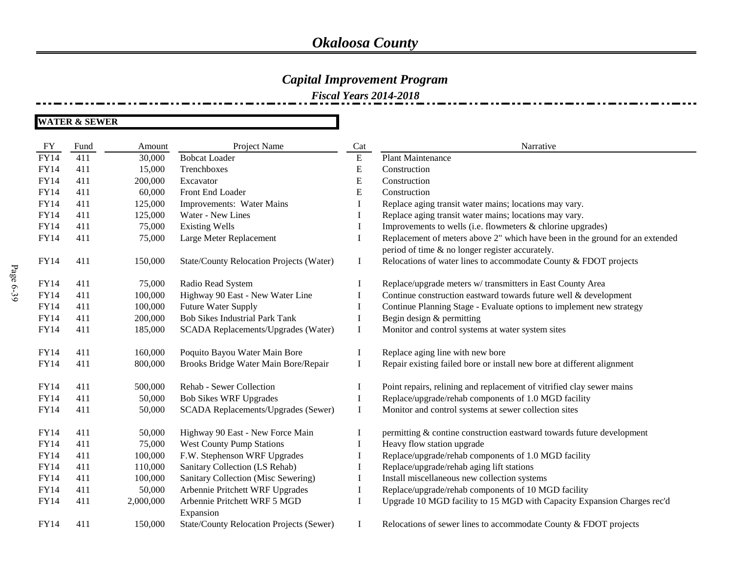#### *Capital Improvement Program*

*Fiscal Years 2014-2018*

**WATER & SEWER**

FY Fund Amount Project Name Cat Cat Narrative FY14 411 30,000 Bobcat Loader E Plant Maintenance FY14 411 15,000 Trenchboxes E Construction FY14 411 200,000 Excavator E Construction FY14 411 60,000 Front End Loader E Construction FY14 411 125,000 Improvements: Water Mains I Replace aging transit water mains; locations may vary. FY14 411 125,000 Water - New Lines I Replace aging transit water mains; locations may vary. FY14 411 75,000 Existing Wells I Improvements to wells (i.e. flowmeters & chlorine upgrades) FY14 411 75,000 Large Meter Replacement I Replacement of meters above 2" which have been in the ground for an extended period of time & no longer register accurately. FY14 411 150,000 State/County Relocation Projects (Water) I Relocations of water lines to accommodate County & FDOT projects FY14 411 75,000 Radio Read System I Replace/upgrade meters w/ transmitters in East County Area FY14 411 100,000 Highway 90 East - New Water Line I Continue construction eastward towards future well & development FY14 411 100,000 Future Water Supply I Continue Planning Stage - Evaluate options to implement new strategy FY14 411 200,000 Bob Sikes Industrial Park Tank I Begin design & permitting FY14 411 185,000 SCADA Replacements/Upgrades (Water) I Monitor and control systems at water system sites FY14 411 160,000 Poquito Bayou Water Main Bore I Replace aging line with new bore FY14 411 800,000 Brooks Bridge Water Main Bore/Repair I Repair existing failed bore or install new bore at different alignment FY14 411 500,000 Rehab - Sewer Collection I Point repairs, relining and replacement of vitrified clay sewer mains FY14 411 50,000 Bob Sikes WRF Upgrades I Replace/upgrade/rehab components of 1.0 MGD facility FY14 411 50,000 SCADA Replacements/Upgrades (Sewer) I Monitor and control systems at sewer collection sites FY14 411 50,000 Highway 90 East - New Force Main I permitting & contine construction eastward towards future development FY14 411 75,000 West County Pump Stations I Heavy flow station upgrade FY14 411 100,000 F.W. Stephenson WRF Upgrades I Replace/upgrade/rehab components of 1.0 MGD facility FY14 411 110,000 Sanitary Collection (LS Rehab) I Replace/upgrade/rehab aging lift stations FY14 411 100,000 Sanitary Collection (Misc Sewering) I Install miscellaneous new collection systems FY14 411 50,000 Arbennie Pritchett WRF Upgrades I Replace/upgrade/rehab components of 10 MGD facility FY14 411 2,000,000 Arbennie Pritchett WRF 5 MGD Expansion I Upgrade 10 MGD facility to 15 MGD with Capacity Expansion Charges rec'd FY14 411 150,000 State/County Relocation Projects (Sewer) I Relocations of sewer lines to accommodate County & FDOT projects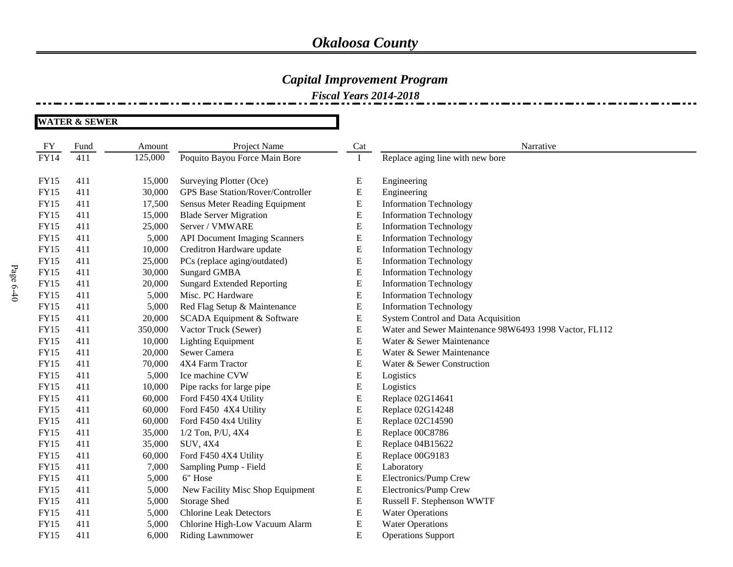### *Capital Improvement Program*

*Fiscal Years 2014-2018*

| <b>FY</b>   | Fund | Amount  | Project Name                             | Cat       | Narrative                                              |
|-------------|------|---------|------------------------------------------|-----------|--------------------------------------------------------|
| <b>FY14</b> | 411  | 125,000 | Poquito Bayou Force Main Bore            | $\bf{I}$  | Replace aging line with new bore                       |
|             |      |         |                                          |           |                                                        |
| <b>FY15</b> | 411  | 15,000  | Surveying Plotter (Oce)                  | E         | Engineering                                            |
| <b>FY15</b> | 411  | 30,000  | <b>GPS Base Station/Rover/Controller</b> | ${\bf E}$ | Engineering                                            |
| <b>FY15</b> | 411  | 17,500  | Sensus Meter Reading Equipment           | E         | <b>Information Technology</b>                          |
| <b>FY15</b> | 411  | 15,000  | <b>Blade Server Migration</b>            | ${\bf E}$ | <b>Information Technology</b>                          |
| <b>FY15</b> | 411  | 25,000  | Server / VMWARE                          | E         | <b>Information Technology</b>                          |
| <b>FY15</b> | 411  | 5,000   | <b>API Document Imaging Scanners</b>     | ${\bf E}$ | <b>Information Technology</b>                          |
| <b>FY15</b> | 411  | 10,000  | Creditron Hardware update                | ${\bf E}$ | <b>Information Technology</b>                          |
| <b>FY15</b> | 411  | 25,000  | PCs (replace aging/outdated)             | E         | <b>Information Technology</b>                          |
| <b>FY15</b> | 411  | 30,000  | <b>Sungard GMBA</b>                      | E         | <b>Information Technology</b>                          |
| <b>FY15</b> | 411  | 20,000  | <b>Sungard Extended Reporting</b>        | E         | <b>Information Technology</b>                          |
| <b>FY15</b> | 411  | 5,000   | Misc. PC Hardware                        | E         | <b>Information Technology</b>                          |
| <b>FY15</b> | 411  | 5,000   | Red Flag Setup & Maintenance             | E         | <b>Information Technology</b>                          |
| <b>FY15</b> | 411  | 20,000  | SCADA Equipment & Software               | E         | System Control and Data Acquisition                    |
| <b>FY15</b> | 411  | 350,000 | Vactor Truck (Sewer)                     | ${\bf E}$ | Water and Sewer Maintenance 98W6493 1998 Vactor, FL112 |
| <b>FY15</b> | 411  | 10,000  | <b>Lighting Equipment</b>                | E         | Water & Sewer Maintenance                              |
| <b>FY15</b> | 411  | 20,000  | Sewer Camera                             | ${\bf E}$ | Water & Sewer Maintenance                              |
| <b>FY15</b> | 411  | 70,000  | 4X4 Farm Tractor                         | ${\bf E}$ | Water & Sewer Construction                             |
| <b>FY15</b> | 411  | 5,000   | Ice machine CVW                          | E         | Logistics                                              |
| <b>FY15</b> | 411  | 10,000  | Pipe racks for large pipe                | E         | Logistics                                              |
| <b>FY15</b> | 411  | 60,000  | Ford F450 4X4 Utility                    | ${\bf E}$ | Replace 02G14641                                       |
| <b>FY15</b> | 411  | 60,000  | Ford F450 4X4 Utility                    | E         | Replace 02G14248                                       |
| <b>FY15</b> | 411  | 60,000  | Ford F450 4x4 Utility                    | ${\bf E}$ | Replace 02C14590                                       |
| <b>FY15</b> | 411  | 35,000  | 1/2 Ton, P/U, 4X4                        | E         | Replace 00C8786                                        |
| <b>FY15</b> | 411  | 35,000  | <b>SUV, 4X4</b>                          | E         | Replace 04B15622                                       |
| <b>FY15</b> | 411  | 60,000  | Ford F450 4X4 Utility                    | ${\bf E}$ | Replace 00G9183                                        |
| <b>FY15</b> | 411  | 7,000   | Sampling Pump - Field                    | E         | Laboratory                                             |
| <b>FY15</b> | 411  | 5,000   | 6" Hose                                  | E         | Electronics/Pump Crew                                  |
| <b>FY15</b> | 411  | 5,000   | New Facility Misc Shop Equipment         | E         | Electronics/Pump Crew                                  |
| <b>FY15</b> | 411  | 5,000   | Storage Shed                             | ${\bf E}$ | Russell F. Stephenson WWTF                             |
| <b>FY15</b> | 411  | 5,000   | <b>Chlorine Leak Detectors</b>           | E         | <b>Water Operations</b>                                |
| <b>FY15</b> | 411  | 5,000   | Chlorine High-Low Vacuum Alarm           | E         | <b>Water Operations</b>                                |
| <b>FY15</b> | 411  | 6,000   | <b>Riding Lawnmower</b>                  | E         | <b>Operations Support</b>                              |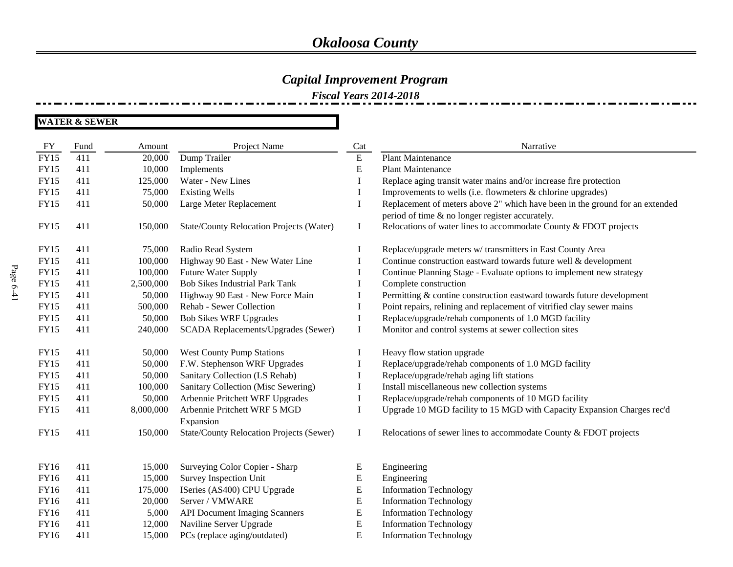### *Capital Improvement Program*

*Fiscal Years 2014-2018*

| <b>FY</b>   | Fund | Amount    | Project Name                                    | Cat         | Narrative                                                                                                                       |
|-------------|------|-----------|-------------------------------------------------|-------------|---------------------------------------------------------------------------------------------------------------------------------|
| <b>FY15</b> | 411  | 20,000    | Dump Trailer                                    | ${\bf E}$   | <b>Plant Maintenance</b>                                                                                                        |
| FY15        | 411  | 10,000    | Implements                                      | E           | <b>Plant Maintenance</b>                                                                                                        |
| <b>FY15</b> | 411  | 125,000   | Water - New Lines                               | $\bf{I}$    | Replace aging transit water mains and/or increase fire protection                                                               |
| FY15        | 411  | 75,000    | <b>Existing Wells</b>                           | $\bf{I}$    | Improvements to wells (i.e. flowmeters & chlorine upgrades)                                                                     |
| <b>FY15</b> | 411  | 50,000    | Large Meter Replacement                         | I           | Replacement of meters above 2" which have been in the ground for an extended<br>period of time & no longer register accurately. |
| FY15        | 411  | 150,000   | <b>State/County Relocation Projects (Water)</b> | $\bf{I}$    | Relocations of water lines to accommodate County & FDOT projects                                                                |
| <b>FY15</b> | 411  | 75,000    | Radio Read System                               | I           | Replace/upgrade meters w/ transmitters in East County Area                                                                      |
| <b>FY15</b> | 411  | 100,000   | Highway 90 East - New Water Line                |             | Continue construction eastward towards future well & development                                                                |
| FY15        | 411  | 100,000   | Future Water Supply                             | I           | Continue Planning Stage - Evaluate options to implement new strategy                                                            |
| <b>FY15</b> | 411  | 2,500,000 | <b>Bob Sikes Industrial Park Tank</b>           | I           | Complete construction                                                                                                           |
| FY15        | 411  | 50,000    | Highway 90 East - New Force Main                | I           | Permitting & contine construction eastward towards future development                                                           |
| <b>FY15</b> | 411  | 500,000   | Rehab - Sewer Collection                        | I           | Point repairs, relining and replacement of vitrified clay sewer mains                                                           |
| FY15        | 411  | 50,000    | <b>Bob Sikes WRF Upgrades</b>                   | $\mathbf I$ | Replace/upgrade/rehab components of 1.0 MGD facility                                                                            |
| <b>FY15</b> | 411  | 240,000   | SCADA Replacements/Upgrades (Sewer)             | $\bf{I}$    | Monitor and control systems at sewer collection sites                                                                           |
| <b>FY15</b> | 411  | 50,000    | <b>West County Pump Stations</b>                | Ι.          | Heavy flow station upgrade                                                                                                      |
| <b>FY15</b> | 411  | 50,000    | F.W. Stephenson WRF Upgrades                    | $\mathbf I$ | Replace/upgrade/rehab components of 1.0 MGD facility                                                                            |
| <b>FY15</b> | 411  | 50,000    | Sanitary Collection (LS Rehab)                  | 1           | Replace/upgrade/rehab aging lift stations                                                                                       |
| <b>FY15</b> | 411  | 100,000   | Sanitary Collection (Misc Sewering)             | 1           | Install miscellaneous new collection systems                                                                                    |
| <b>FY15</b> | 411  | 50,000    | Arbennie Pritchett WRF Upgrades                 | I           | Replace/upgrade/rehab components of 10 MGD facility                                                                             |
| <b>FY15</b> | 411  | 8,000,000 | Arbennie Pritchett WRF 5 MGD<br>Expansion       | I           | Upgrade 10 MGD facility to 15 MGD with Capacity Expansion Charges rec'd                                                         |
| <b>FY15</b> | 411  | 150,000   | <b>State/County Relocation Projects (Sewer)</b> | $\bf{I}$    | Relocations of sewer lines to accommodate County & FDOT projects                                                                |
| FY16        | 411  | 15,000    | Surveying Color Copier - Sharp                  | E           | Engineering                                                                                                                     |
| <b>FY16</b> | 411  | 15,000    | Survey Inspection Unit                          | E           | Engineering                                                                                                                     |
| FY16        | 411  | 175,000   | ISeries (AS400) CPU Upgrade                     | E           | <b>Information Technology</b>                                                                                                   |
| <b>FY16</b> | 411  | 20,000    | Server / VMWARE                                 | ${\bf E}$   | <b>Information Technology</b>                                                                                                   |
| FY16        | 411  | 5,000     | <b>API Document Imaging Scanners</b>            | ${\bf E}$   | <b>Information Technology</b>                                                                                                   |
| FY16        | 411  | 12,000    | Naviline Server Upgrade                         | E           | <b>Information Technology</b>                                                                                                   |
| FY16        | 411  | 15,000    | PCs (replace aging/outdated)                    | ${\bf E}$   | <b>Information Technology</b>                                                                                                   |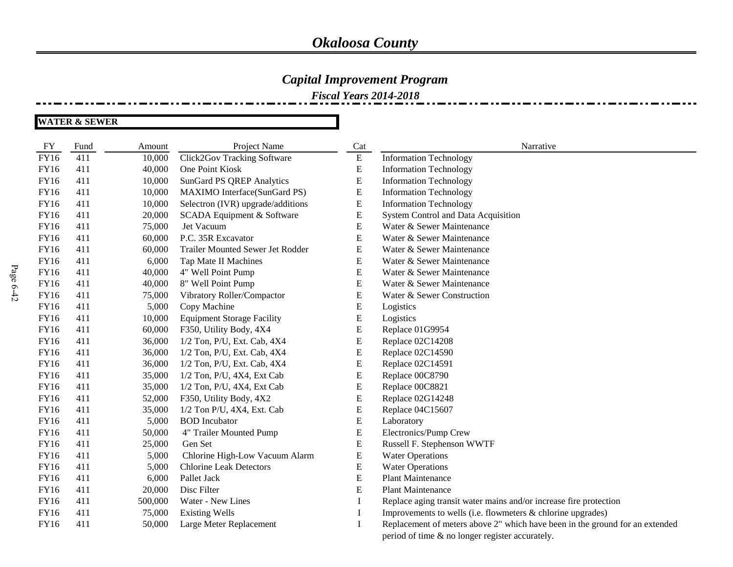### *Capital Improvement Program*

*Fiscal Years 2014-2018*

| FY          | Fund | Amount  | Project Name                       | Cat      | Narrative                                                                    |
|-------------|------|---------|------------------------------------|----------|------------------------------------------------------------------------------|
| FY16        | 411  | 10,000  | <b>Click2Gov Tracking Software</b> | E        | <b>Information Technology</b>                                                |
| <b>FY16</b> | 411  | 40,000  | One Point Kiosk                    | E        | Information Technology                                                       |
| <b>FY16</b> | 411  | 10,000  | <b>SunGard PS QREP Analytics</b>   | E        | <b>Information Technology</b>                                                |
| FY16        | 411  | 10,000  | MAXIMO Interface(SunGard PS)       | E        | <b>Information Technology</b>                                                |
| FY16        | 411  | 10,000  | Selectron (IVR) upgrade/additions  | E        | <b>Information Technology</b>                                                |
| FY16        | 411  | 20,000  | SCADA Equipment & Software         | E        | System Control and Data Acquisition                                          |
| FY16        | 411  | 75,000  | Jet Vacuum                         | E        | Water & Sewer Maintenance                                                    |
| FY16        | 411  | 60,000  | P.C. 35R Excavator                 | E        | Water & Sewer Maintenance                                                    |
| <b>FY16</b> | 411  | 60,000  | Trailer Mounted Sewer Jet Rodder   | E        | Water & Sewer Maintenance                                                    |
| FY16        | 411  | 6,000   | Tap Mate II Machines               | E        | Water & Sewer Maintenance                                                    |
| FY16        | 411  | 40,000  | 4" Well Point Pump                 | E        | Water & Sewer Maintenance                                                    |
| FY16        | 411  | 40,000  | 8" Well Point Pump                 | E        | Water & Sewer Maintenance                                                    |
| FY16        | 411  | 75,000  | Vibratory Roller/Compactor         | E        | Water & Sewer Construction                                                   |
| FY16        | 411  | 5,000   | Copy Machine                       | E        | Logistics                                                                    |
| FY16        | 411  | 10,000  | <b>Equipment Storage Facility</b>  | E        | Logistics                                                                    |
| <b>FY16</b> | 411  | 60,000  | F350, Utility Body, 4X4            | E        | Replace 01G9954                                                              |
| FY16        | 411  | 36,000  | 1/2 Ton, P/U, Ext. Cab, 4X4        | E        | Replace 02C14208                                                             |
| FY16        | 411  | 36,000  | 1/2 Ton, P/U, Ext. Cab, 4X4        | E        | Replace 02C14590                                                             |
| FY16        | 411  | 36,000  | 1/2 Ton, P/U, Ext. Cab, 4X4        | E        | Replace 02C14591                                                             |
| FY16        | 411  | 35,000  | 1/2 Ton, P/U, 4X4, Ext Cab         | E        | Replace 00C8790                                                              |
| FY16        | 411  | 35,000  | 1/2 Ton, P/U, 4X4, Ext Cab         | E        | Replace 00C8821                                                              |
| FY16        | 411  | 52,000  | F350, Utility Body, 4X2            | E        | Replace 02G14248                                                             |
| <b>FY16</b> | 411  | 35,000  | 1/2 Ton P/U, 4X4, Ext. Cab         | E        | Replace 04C15607                                                             |
| FY16        | 411  | 5,000   | <b>BOD</b> Incubator               | E        | Laboratory                                                                   |
| FY16        | 411  | 50,000  | 4" Trailer Mounted Pump            | E        | Electronics/Pump Crew                                                        |
| FY16        | 411  | 25,000  | Gen Set                            | E        | Russell F. Stephenson WWTF                                                   |
| FY16        | 411  | 5,000   | Chlorine High-Low Vacuum Alarm     | E        | <b>Water Operations</b>                                                      |
| FY16        | 411  | 5,000   | <b>Chlorine Leak Detectors</b>     | E        | <b>Water Operations</b>                                                      |
| FY16        | 411  | 6,000   | Pallet Jack                        | E        | <b>Plant Maintenance</b>                                                     |
| <b>FY16</b> | 411  | 20,000  | Disc Filter                        | E        | <b>Plant Maintenance</b>                                                     |
| FY16        | 411  | 500,000 | Water - New Lines                  |          | Replace aging transit water mains and/or increase fire protection            |
| FY16        | 411  | 75,000  | <b>Existing Wells</b>              | $\bf{l}$ | Improvements to wells (i.e. flowmeters & chlorine upgrades)                  |
| FY16        | 411  | 50,000  | Large Meter Replacement            |          | Replacement of meters above 2" which have been in the ground for an extended |
|             |      |         |                                    |          | period of time & no longer register accurately.                              |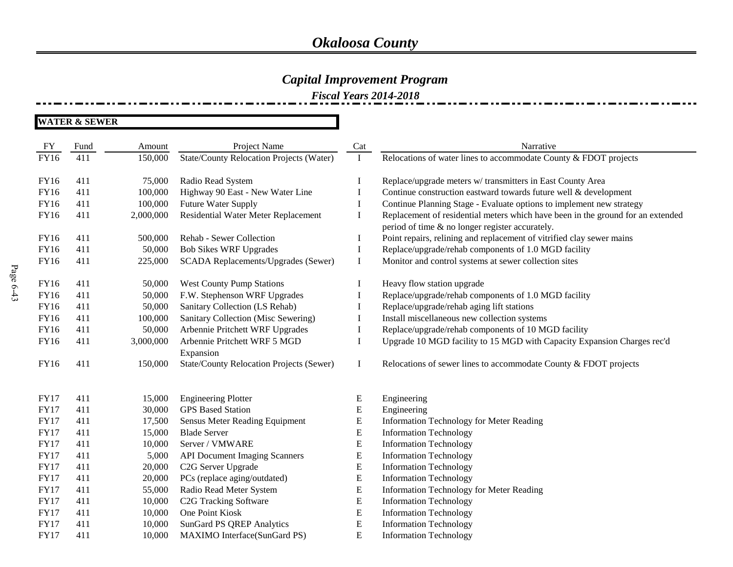### *Capital Improvement Program*

*Fiscal Years 2014-2018*

| FY          | Fund | Amount    | Project Name                                    | Cat       | Narrative                                                                       |
|-------------|------|-----------|-------------------------------------------------|-----------|---------------------------------------------------------------------------------|
| FY16        | 411  | 150,000   | <b>State/County Relocation Projects (Water)</b> | I         | Relocations of water lines to accommodate County & FDOT projects                |
| <b>FY16</b> | 411  | 75,000    | Radio Read System                               | $\bf{l}$  | Replace/upgrade meters w/ transmitters in East County Area                      |
| FY16        | 411  | 100,000   | Highway 90 East - New Water Line                | I         | Continue construction eastward towards future well & development                |
| FY16        | 411  | 100,000   | Future Water Supply                             | I         | Continue Planning Stage - Evaluate options to implement new strategy            |
| FY16        | 411  | 2,000,000 | Residential Water Meter Replacement             | I         | Replacement of residential meters which have been in the ground for an extended |
|             |      |           |                                                 |           | period of time & no longer register accurately.                                 |
| <b>FY16</b> | 411  | 500,000   | Rehab - Sewer Collection                        | $\bf{I}$  | Point repairs, relining and replacement of vitrified clay sewer mains           |
| FY16        | 411  | 50,000    | <b>Bob Sikes WRF Upgrades</b>                   | I         | Replace/upgrade/rehab components of 1.0 MGD facility                            |
| <b>FY16</b> | 411  | 225,000   | SCADA Replacements/Upgrades (Sewer)             | I         | Monitor and control systems at sewer collection sites                           |
| <b>FY16</b> | 411  | 50,000    | <b>West County Pump Stations</b>                |           | Heavy flow station upgrade                                                      |
| <b>FY16</b> | 411  | 50,000    | F.W. Stephenson WRF Upgrades                    | I         | Replace/upgrade/rehab components of 1.0 MGD facility                            |
| FY16        | 411  | 50,000    | Sanitary Collection (LS Rehab)                  | I         | Replace/upgrade/rehab aging lift stations                                       |
| FY16        | 411  | 100,000   | Sanitary Collection (Misc Sewering)             | I         | Install miscellaneous new collection systems                                    |
| <b>FY16</b> | 411  | 50,000    | Arbennie Pritchett WRF Upgrades                 | I         | Replace/upgrade/rehab components of 10 MGD facility                             |
| <b>FY16</b> | 411  | 3,000,000 | Arbennie Pritchett WRF 5 MGD                    | I         | Upgrade 10 MGD facility to 15 MGD with Capacity Expansion Charges rec'd         |
|             |      |           | Expansion                                       |           |                                                                                 |
| <b>FY16</b> | 411  | 150,000   | <b>State/County Relocation Projects (Sewer)</b> | I         | Relocations of sewer lines to accommodate County & FDOT projects                |
| <b>FY17</b> | 411  | 15,000    | <b>Engineering Plotter</b>                      | E         | Engineering                                                                     |
| <b>FY17</b> | 411  | 30,000    | <b>GPS</b> Based Station                        | ${\bf E}$ | Engineering                                                                     |
| <b>FY17</b> | 411  | 17,500    | Sensus Meter Reading Equipment                  | E         | Information Technology for Meter Reading                                        |
| <b>FY17</b> | 411  | 15,000    | <b>Blade Server</b>                             | E         | <b>Information Technology</b>                                                   |
| <b>FY17</b> | 411  | 10,000    | Server / VMWARE                                 | E         | <b>Information Technology</b>                                                   |
| <b>FY17</b> | 411  | 5,000     | <b>API Document Imaging Scanners</b>            | ${\bf E}$ | <b>Information Technology</b>                                                   |
| <b>FY17</b> | 411  | 20,000    | C2G Server Upgrade                              | E         | <b>Information Technology</b>                                                   |
| <b>FY17</b> | 411  | 20,000    | PCs (replace aging/outdated)                    | E         | <b>Information Technology</b>                                                   |
| <b>FY17</b> | 411  | 55,000    | Radio Read Meter System                         | ${\bf E}$ | Information Technology for Meter Reading                                        |
| <b>FY17</b> | 411  | 10,000    | C2G Tracking Software                           | E         | <b>Information Technology</b>                                                   |
| <b>FY17</b> | 411  | 10,000    | One Point Kiosk                                 | E         | <b>Information Technology</b>                                                   |
| <b>FY17</b> | 411  | 10,000    | <b>SunGard PS QREP Analytics</b>                | E         | <b>Information Technology</b>                                                   |
| <b>FY17</b> | 411  | 10,000    | MAXIMO Interface(SunGard PS)                    | ${\bf E}$ | <b>Information Technology</b>                                                   |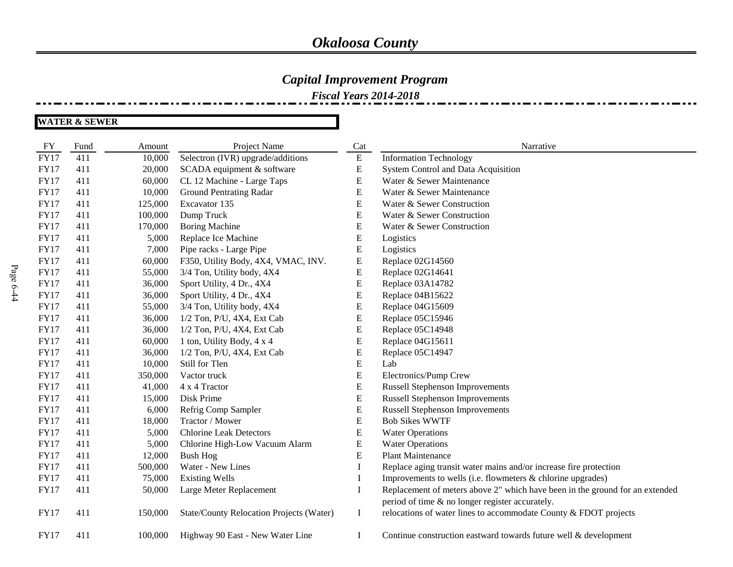### *Capital Improvement Program*

*Fiscal Years 2014-2018*

| FY          | Fund | Amount  | Project Name                             | Cat       | Narrative                                                                    |
|-------------|------|---------|------------------------------------------|-----------|------------------------------------------------------------------------------|
| <b>FY17</b> | 411  | 10,000  | Selectron (IVR) upgrade/additions        | E         | <b>Information Technology</b>                                                |
| <b>FY17</b> | 411  | 20,000  | SCADA equipment & software               | E         | System Control and Data Acquisition                                          |
| <b>FY17</b> | 411  | 60,000  | CL 12 Machine - Large Taps               | ${\bf E}$ | Water & Sewer Maintenance                                                    |
| <b>FY17</b> | 411  | 10,000  | <b>Ground Pentrating Radar</b>           | E         | Water & Sewer Maintenance                                                    |
| <b>FY17</b> | 411  | 125,000 | Excavator 135                            | E         | Water & Sewer Construction                                                   |
| <b>FY17</b> | 411  | 100,000 | Dump Truck                               | E         | Water & Sewer Construction                                                   |
| <b>FY17</b> | 411  | 170,000 | <b>Boring Machine</b>                    | E         | Water & Sewer Construction                                                   |
| <b>FY17</b> | 411  | 5,000   | Replace Ice Machine                      | E         | Logistics                                                                    |
| <b>FY17</b> | 411  | 7,000   | Pipe racks - Large Pipe                  | E         | Logistics                                                                    |
| <b>FY17</b> | 411  | 60,000  | F350, Utility Body, 4X4, VMAC, INV.      | E         | Replace 02G14560                                                             |
| <b>FY17</b> | 411  | 55,000  | 3/4 Ton, Utility body, 4X4               | E         | Replace 02G14641                                                             |
| <b>FY17</b> | 411  | 36,000  | Sport Utility, 4 Dr., 4X4                | ${\bf E}$ | Replace 03A14782                                                             |
| <b>FY17</b> | 411  | 36,000  | Sport Utility, 4 Dr., 4X4                | E         | Replace 04B15622                                                             |
| <b>FY17</b> | 411  | 55,000  | 3/4 Ton, Utility body, 4X4               | E         | Replace 04G15609                                                             |
| <b>FY17</b> | 411  | 36,000  | 1/2 Ton, P/U, 4X4, Ext Cab               | E         | Replace 05C15946                                                             |
| <b>FY17</b> | 411  | 36,000  | 1/2 Ton, P/U, 4X4, Ext Cab               | E         | Replace 05C14948                                                             |
| <b>FY17</b> | 411  | 60,000  | 1 ton, Utility Body, 4 x 4               | E         | Replace 04G15611                                                             |
| <b>FY17</b> | 411  | 36,000  | 1/2 Ton, P/U, 4X4, Ext Cab               | E         | Replace 05C14947                                                             |
| <b>FY17</b> | 411  | 10,000  | Still for Tlen                           | E         | Lab                                                                          |
| <b>FY17</b> | 411  | 350,000 | Vactor truck                             | E         | Electronics/Pump Crew                                                        |
| <b>FY17</b> | 411  | 41,000  | 4 x 4 Tractor                            | ${\bf E}$ | <b>Russell Stephenson Improvements</b>                                       |
| <b>FY17</b> | 411  | 15,000  | Disk Prime                               | E         | Russell Stephenson Improvements                                              |
| <b>FY17</b> | 411  | 6,000   | Refrig Comp Sampler                      | E         | <b>Russell Stephenson Improvements</b>                                       |
| <b>FY17</b> | 411  | 18,000  | Tractor / Mower                          | E         | <b>Bob Sikes WWTF</b>                                                        |
| <b>FY17</b> | 411  | 5,000   | <b>Chlorine Leak Detectors</b>           | E         | <b>Water Operations</b>                                                      |
| <b>FY17</b> | 411  | 5,000   | Chlorine High-Low Vacuum Alarm           | E         | <b>Water Operations</b>                                                      |
| <b>FY17</b> | 411  | 12,000  | <b>Bush Hog</b>                          | E         | <b>Plant Maintenance</b>                                                     |
| <b>FY17</b> | 411  | 500,000 | Water - New Lines                        | Ι         | Replace aging transit water mains and/or increase fire protection            |
| <b>FY17</b> | 411  | 75,000  | <b>Existing Wells</b>                    | Ι.        | Improvements to wells (i.e. flowmeters & chlorine upgrades)                  |
| <b>FY17</b> | 411  | 50,000  | Large Meter Replacement                  | $\bf{I}$  | Replacement of meters above 2" which have been in the ground for an extended |
|             |      |         |                                          |           | period of time & no longer register accurately.                              |
| <b>FY17</b> | 411  | 150,000 | State/County Relocation Projects (Water) | $\bf{I}$  | relocations of water lines to accommodate County & FDOT projects             |
| <b>FY17</b> | 411  | 100,000 | Highway 90 East - New Water Line         | $\bf{I}$  | Continue construction eastward towards future well & development             |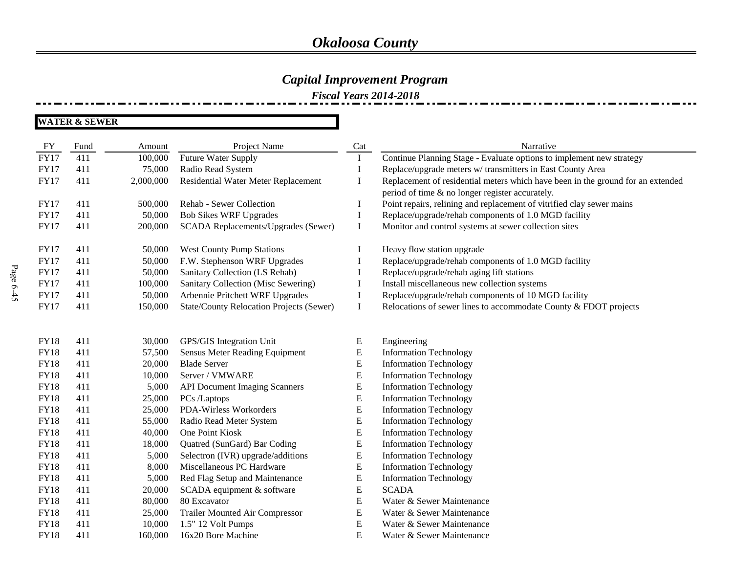### *Capital Improvement Program*

*Fiscal Years 2014-2018*

| FY          | Fund | Amount    | Project Name                                    | Cat       | Narrative                                                                                                                          |
|-------------|------|-----------|-------------------------------------------------|-----------|------------------------------------------------------------------------------------------------------------------------------------|
| <b>FY17</b> | 411  | 100,000   | <b>Future Water Supply</b>                      | $\bf{I}$  | Continue Planning Stage - Evaluate options to implement new strategy                                                               |
| <b>FY17</b> | 411  | 75,000    | Radio Read System                               | I         | Replace/upgrade meters w/ transmitters in East County Area                                                                         |
| <b>FY17</b> | 411  | 2,000,000 | Residential Water Meter Replacement             | $\bf{I}$  | Replacement of residential meters which have been in the ground for an extended<br>period of time & no longer register accurately. |
| <b>FY17</b> | 411  | 500,000   | Rehab - Sewer Collection                        | $\bf{I}$  | Point repairs, relining and replacement of vitrified clay sewer mains                                                              |
| <b>FY17</b> | 411  | 50,000    | <b>Bob Sikes WRF Upgrades</b>                   | $\bf{I}$  | Replace/upgrade/rehab components of 1.0 MGD facility                                                                               |
| <b>FY17</b> | 411  | 200,000   | SCADA Replacements/Upgrades (Sewer)             | $\bf{I}$  | Monitor and control systems at sewer collection sites                                                                              |
| <b>FY17</b> | 411  | 50,000    | <b>West County Pump Stations</b>                | I         | Heavy flow station upgrade                                                                                                         |
| <b>FY17</b> | 411  | 50,000    | F.W. Stephenson WRF Upgrades                    | I         | Replace/upgrade/rehab components of 1.0 MGD facility                                                                               |
| <b>FY17</b> | 411  | 50,000    | Sanitary Collection (LS Rehab)                  | $\bf{I}$  | Replace/upgrade/rehab aging lift stations                                                                                          |
| <b>FY17</b> | 411  | 100,000   | Sanitary Collection (Misc Sewering)             | $\bf{I}$  | Install miscellaneous new collection systems                                                                                       |
| <b>FY17</b> | 411  | 50,000    | Arbennie Pritchett WRF Upgrades                 | $\bf{I}$  | Replace/upgrade/rehab components of 10 MGD facility                                                                                |
| <b>FY17</b> | 411  | 150,000   | <b>State/County Relocation Projects (Sewer)</b> | $\bf{I}$  | Relocations of sewer lines to accommodate County & FDOT projects                                                                   |
|             |      |           |                                                 |           |                                                                                                                                    |
| <b>FY18</b> | 411  | 30,000    | GPS/GIS Integration Unit                        | E         | Engineering                                                                                                                        |
| <b>FY18</b> | 411  | 57,500    | Sensus Meter Reading Equipment                  | ${\bf E}$ | <b>Information Technology</b>                                                                                                      |
| <b>FY18</b> | 411  | 20,000    | <b>Blade Server</b>                             | ${\bf E}$ | <b>Information Technology</b>                                                                                                      |
| <b>FY18</b> | 411  | 10,000    | Server / VMWARE                                 | ${\bf E}$ | <b>Information Technology</b>                                                                                                      |
| <b>FY18</b> | 411  | 5,000     | <b>API Document Imaging Scanners</b>            | ${\bf E}$ | <b>Information Technology</b>                                                                                                      |
| <b>FY18</b> | 411  | 25,000    | PCs /Laptops                                    | ${\bf E}$ | <b>Information Technology</b>                                                                                                      |
| <b>FY18</b> | 411  | 25,000    | PDA-Wirless Workorders                          | ${\bf E}$ | <b>Information Technology</b>                                                                                                      |
| <b>FY18</b> | 411  | 55,000    | Radio Read Meter System                         | ${\bf E}$ | <b>Information Technology</b>                                                                                                      |
| <b>FY18</b> | 411  | 40,000    | One Point Kiosk                                 | ${\bf E}$ | <b>Information Technology</b>                                                                                                      |
| <b>FY18</b> | 411  | 18,000    | Quatred (SunGard) Bar Coding                    | ${\bf E}$ | <b>Information Technology</b>                                                                                                      |
| <b>FY18</b> | 411  | 5,000     | Selectron (IVR) upgrade/additions               | ${\bf E}$ | <b>Information Technology</b>                                                                                                      |
| <b>FY18</b> | 411  | 8,000     | Miscellaneous PC Hardware                       | ${\bf E}$ | <b>Information Technology</b>                                                                                                      |
| <b>FY18</b> | 411  | 5,000     | Red Flag Setup and Maintenance                  | ${\bf E}$ | <b>Information Technology</b>                                                                                                      |
| <b>FY18</b> | 411  | 20,000    | SCADA equipment & software                      | ${\bf E}$ | <b>SCADA</b>                                                                                                                       |
| <b>FY18</b> | 411  | 80,000    | 80 Excavator                                    | ${\bf E}$ | Water & Sewer Maintenance                                                                                                          |
| <b>FY18</b> | 411  | 25,000    | Trailer Mounted Air Compressor                  | ${\bf E}$ | Water & Sewer Maintenance                                                                                                          |
| <b>FY18</b> | 411  | 10,000    | 1.5" 12 Volt Pumps                              | ${\bf E}$ | Water & Sewer Maintenance                                                                                                          |
| <b>FY18</b> | 411  | 160,000   | 16x20 Bore Machine                              | ${\bf E}$ | Water & Sewer Maintenance                                                                                                          |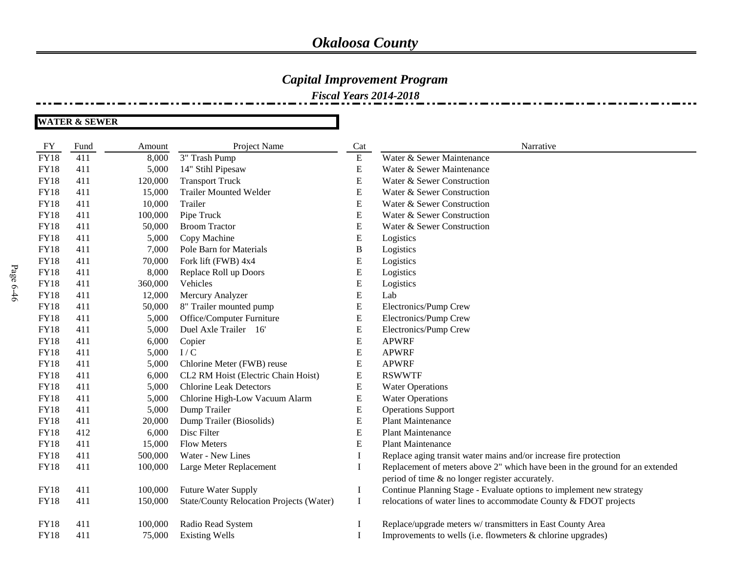#### *Capital Improvement Program*

*Fiscal Years 2014-2018*

**WATER & SEWER**

FY Fund Amount Project Name Cat Cat Narrative FY18 411 8,000 3" Trash Pump E Water & Sewer Maintenance FY18 411 5,000 14" Stihl Pipesaw E Water & Sewer Maintenance FY18 411 120,000 Transport Truck E Water & Sewer Construction FY18 411 15,000 Trailer Mounted Welder E Water & Sewer Construction FY18 411 10,000 Trailer **E** Water & Sewer Construction FY18 411 100,000 Pipe Truck E Water & Sewer Construction FY18 411 50,000 Broom Tractor E Water & Sewer Construction FY18 411 5,000 Copy Machine E Logistics FY18 411 7,000 Pole Barn for Materials B Logistics FY18 411 70,000 Fork lift (FWB) 4x4 E Logistics FY18 411 8,000 Replace Roll up Doors E Logistics FY18 411 360,000 Vehicles E Logistics FY18 411 12,000 Mercury Analyzer E Lab FY18 411 50,000 8" Trailer mounted pump B Electronics/Pump Crew FY18 411 5,000 Office/Computer Furniture E Electronics/Pump Crew FY18 411 5,000 Duel Axle Trailer 16' E Electronics/Pump Crew FY18 411 6,000 Copier E APWRF  $\text{FY18}$  411 5,000 I/C B APWRF FY18 411 5,000 Chlorine Meter (FWB) reuse E APWRF FY18 411 6,000 CL2 RM Hoist (Electric Chain Hoist) E RSWWTF FY18 411 5,000 Chlorine Leak Detectors E Water Operations FY18 411 5,000 Chlorine High-Low Vacuum Alarm E Water Operations FY18 411 5,000 Dump Trailer E Operations Support FY18 411 20,000 Dump Trailer (Biosolids) E Plant Maintenance FY18 412 6,000 Disc Filter **E** Plant Maintenance FY18 411 15,000 Flow Meters **E** Plant Maintenance FY18 411 500,000 Water - New Lines I Replace aging transit water mains and/or increase fire protection FY18 411 100,000 Large Meter Replacement I Replacement of meters above 2" which have been in the ground for an extended period of time & no longer register accurately. FY18 411 100,000 Future Water Supply I Continue Planning Stage - Evaluate options to implement new strategy FY18 411 150,000 State/County Relocation Projects (Water) I relocations of water lines to accommodate County & FDOT projects FY18 411 100,000 Radio Read System I Replace/upgrade meters w/ transmitters in East County Area FY18 411 75,000 Existing Wells I Improvements to wells (i.e. flowmeters & chlorine upgrades)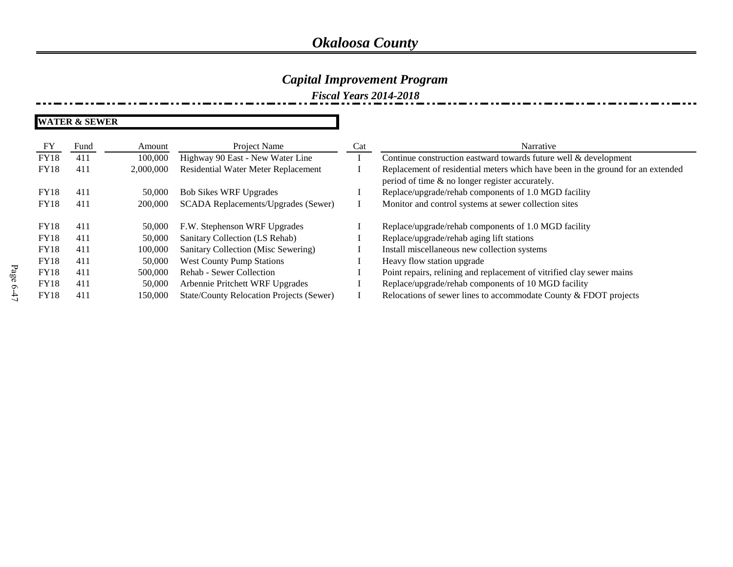### *Capital Improvement Program*

*Fiscal Years 2014-2018*

| FY          | Fund | Amount    | Project Name                                    | Cat | Narrative                                                                                                                          |
|-------------|------|-----------|-------------------------------------------------|-----|------------------------------------------------------------------------------------------------------------------------------------|
| <b>FY18</b> | 411  | 100,000   | Highway 90 East - New Water Line                |     | Continue construction eastward towards future well & development                                                                   |
| <b>FY18</b> | 411  | 2,000,000 | Residential Water Meter Replacement             |     | Replacement of residential meters which have been in the ground for an extended<br>period of time & no longer register accurately. |
| <b>FY18</b> | 411  | 50,000    | <b>Bob Sikes WRF Upgrades</b>                   |     | Replace/upgrade/rehab components of 1.0 MGD facility                                                                               |
| <b>FY18</b> | 411  | 200,000   | SCADA Replacements/Upgrades (Sewer)             |     | Monitor and control systems at sewer collection sites                                                                              |
|             |      |           |                                                 |     |                                                                                                                                    |
| <b>FY18</b> | 411  | 50,000    | F.W. Stephenson WRF Upgrades                    |     | Replace/upgrade/rehab components of 1.0 MGD facility                                                                               |
| <b>FY18</b> | 411  | 50,000    | Sanitary Collection (LS Rehab)                  |     | Replace/upgrade/rehab aging lift stations                                                                                          |
| <b>FY18</b> | 411  | 100,000   | Sanitary Collection (Misc Sewering)             |     | Install miscellaneous new collection systems                                                                                       |
| <b>FY18</b> | 411  | 50,000    | <b>West County Pump Stations</b>                |     | Heavy flow station upgrade                                                                                                         |
| <b>FY18</b> | 411  | 500,000   | Rehab - Sewer Collection                        |     | Point repairs, relining and replacement of vitrified clay sewer mains                                                              |
| <b>FY18</b> | 411  | 50,000    | Arbennie Pritchett WRF Upgrades                 |     | Replace/upgrade/rehab components of 10 MGD facility                                                                                |
| <b>FY18</b> | 411  | 150,000   | <b>State/County Relocation Projects (Sewer)</b> |     | Relocations of sewer lines to accommodate County & FDOT projects                                                                   |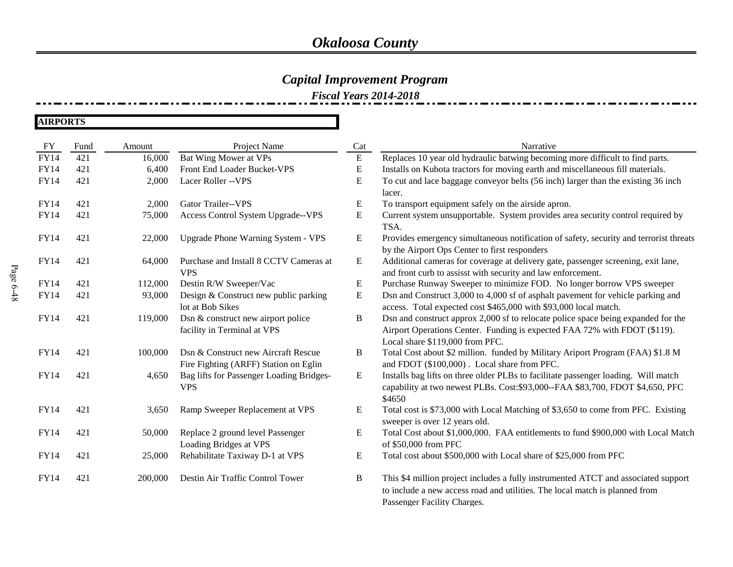### *Capital Improvement Program*

*Fiscal Years 2014-2018*

**AIRPORTS**

| FY          | Fund | Amount  | Project Name                                               | Cat       | Narrative                                                                                                                                                                                        |
|-------------|------|---------|------------------------------------------------------------|-----------|--------------------------------------------------------------------------------------------------------------------------------------------------------------------------------------------------|
| <b>FY14</b> | 421  | 16,000  | Bat Wing Mower at VPs                                      | ${\bf E}$ | Replaces 10 year old hydraulic batwing becoming more difficult to find parts.                                                                                                                    |
| <b>FY14</b> | 421  | 6,400   | Front End Loader Bucket-VPS                                | E         | Installs on Kubota tractors for moving earth and miscellaneous fill materials.                                                                                                                   |
| <b>FY14</b> | 421  | 2,000   | Lacer Roller -- VPS                                        | E         | To cut and lace baggage conveyor belts (56 inch) larger than the existing 36 inch                                                                                                                |
|             |      |         |                                                            |           | lacer.                                                                                                                                                                                           |
| <b>FY14</b> | 421  | 2,000   | <b>Gator Trailer--VPS</b>                                  | E         | To transport equipment safely on the airside apron.                                                                                                                                              |
| <b>FY14</b> | 421  | 75,000  | Access Control System Upgrade--VPS                         | ${\bf E}$ | Current system unsupportable. System provides area security control required by<br>TSA.                                                                                                          |
| <b>FY14</b> | 421  | 22,000  | Upgrade Phone Warning System - VPS                         | E         | Provides emergency simultaneous notification of safety, security and terrorist threats<br>by the Airport Ops Center to first responders                                                          |
| <b>FY14</b> | 421  | 64,000  | Purchase and Install 8 CCTV Cameras at<br><b>VPS</b>       | ${\bf E}$ | Additional cameras for coverage at delivery gate, passenger screening, exit lane,<br>and front curb to assisst with security and law enforcement.                                                |
| <b>FY14</b> | 421  | 112,000 | Destin R/W Sweeper/Vac                                     | E         | Purchase Runway Sweeper to minimize FOD. No longer borrow VPS sweeper                                                                                                                            |
| <b>FY14</b> | 421  | 93,000  | Design & Construct new public parking                      | ${\bf E}$ | Dsn and Construct 3,000 to 4,000 sf of asphalt pavement for vehicle parking and                                                                                                                  |
|             |      |         | lot at Bob Sikes                                           |           | access. Total expected cost \$465,000 with \$93,000 local match.                                                                                                                                 |
| <b>FY14</b> | 421  | 119,000 | Dsn & construct new airport police                         | $\bf{B}$  | Dsn and construct approx 2,000 sf to relocate police space being expanded for the                                                                                                                |
|             |      |         | facility in Terminal at VPS                                |           | Airport Operations Center. Funding is expected FAA 72% with FDOT (\$119).                                                                                                                        |
|             |      |         |                                                            |           | Local share \$119,000 from PFC.                                                                                                                                                                  |
| <b>FY14</b> | 421  | 100,000 | Dsn & Construct new Aircraft Rescue                        | B         | Total Cost about \$2 million. funded by Military Ariport Program (FAA) \$1.8 M                                                                                                                   |
|             |      |         | Fire Fighting (ARFF) Station on Eglin                      |           | and FDOT (\$100,000). Local share from PFC.                                                                                                                                                      |
| <b>FY14</b> | 421  | 4,650   | Bag lifts for Passenger Loading Bridges-                   | E         | Installs bag lifts on three older PLBs to facilitate passenger loading. Will match                                                                                                               |
|             |      |         | <b>VPS</b>                                                 |           | capability at two newest PLBs. Cost:\$93,000--FAA \$83,700, FDOT \$4,650, PFC<br>\$4650                                                                                                          |
| <b>FY14</b> | 421  | 3,650   | Ramp Sweeper Replacement at VPS                            | E         | Total cost is \$73,000 with Local Matching of \$3,650 to come from PFC. Existing<br>sweeper is over 12 years old.                                                                                |
| <b>FY14</b> | 421  | 50,000  | Replace 2 ground level Passenger<br>Loading Bridges at VPS | E         | Total Cost about \$1,000,000. FAA entitlements to fund \$900,000 with Local Match<br>of \$50,000 from PFC                                                                                        |
| FY14        | 421  | 25,000  | Rehabilitate Taxiway D-1 at VPS                            | E         | Total cost about \$500,000 with Local share of \$25,000 from PFC                                                                                                                                 |
| <b>FY14</b> | 421  | 200,000 | Destin Air Traffic Control Tower                           | B         | This \$4 million project includes a fully instrumented ATCT and associated support<br>to include a new access road and utilities. The local match is planned from<br>Passenger Facility Charges. |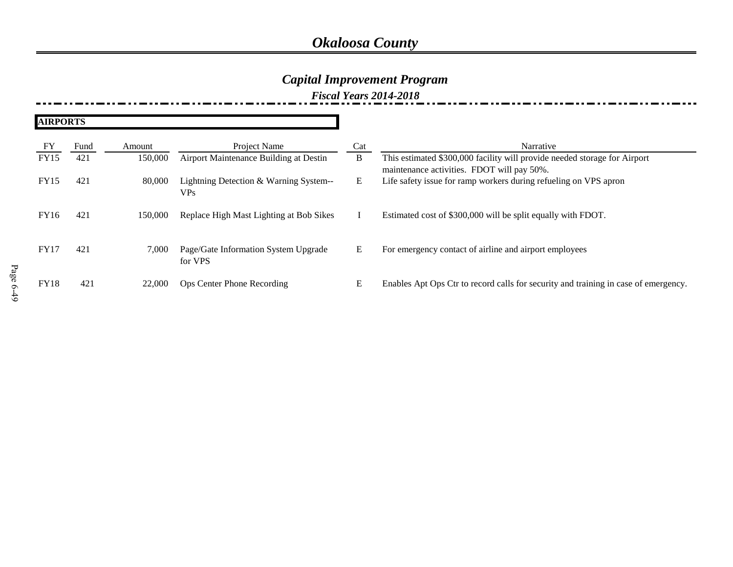### *Capital Improvement Program*

*Fiscal Years 2014-2018*

| <b>AIRPORTS</b> |      |         |                                                 |     |                                                                                                                         |
|-----------------|------|---------|-------------------------------------------------|-----|-------------------------------------------------------------------------------------------------------------------------|
| FY              | Fund | Amount  | Project Name                                    | Cat | Narrative                                                                                                               |
| <b>FY15</b>     | 421  | 150,000 | Airport Maintenance Building at Destin          | B   | This estimated \$300,000 facility will provide needed storage for Airport<br>maintenance activities. FDOT will pay 50%. |
| <b>FY15</b>     | 421  | 80,000  | Lightning Detection & Warning System--<br>VPs.  | E   | Life safety issue for ramp workers during refueling on VPS apron                                                        |
| FY16            | 421  | 150,000 | Replace High Mast Lighting at Bob Sikes         |     | Estimated cost of \$300,000 will be split equally with FDOT.                                                            |
| <b>FY17</b>     | 421  | 7.000   | Page/Gate Information System Upgrade<br>for VPS | Ε   | For emergency contact of airline and airport employees                                                                  |
| <b>FY18</b>     | 421  | 22,000  | Ops Center Phone Recording                      | Ε   | Enables Apt Ops Ctr to record calls for security and training in case of emergency.                                     |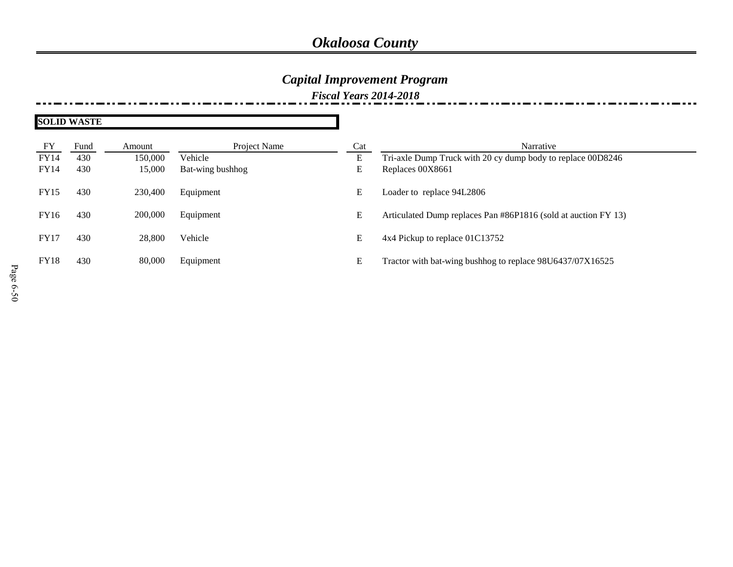## *Capital Improvement Program*

*Fiscal Years 2014-2018*

| <b>SOLID WASTE</b> |      |         |                  |     |                                                                |
|--------------------|------|---------|------------------|-----|----------------------------------------------------------------|
| FY                 | Fund | Amount  | Project Name     | Cat | Narrative                                                      |
| <b>FY14</b>        | 430  | 150,000 | Vehicle          | E   | Tri-axle Dump Truck with 20 cy dump body to replace 00D8246    |
| FY14               | 430  | 15,000  | Bat-wing bushhog | E   | Replaces 00X8661                                               |
| <b>FY15</b>        | 430  | 230,400 | Equipment        | E   | Loader to replace 94L2806                                      |
| FY16               | 430  | 200,000 | Equipment        | E   | Articulated Dump replaces Pan #86P1816 (sold at auction FY 13) |
| FY17               | 430  | 28,800  | Vehicle          | E   | 4x4 Pickup to replace 01C13752                                 |
| <b>FY18</b>        | 430  | 80,000  | Equipment        | E   | Tractor with bat-wing bushhog to replace 98U6437/07X16525      |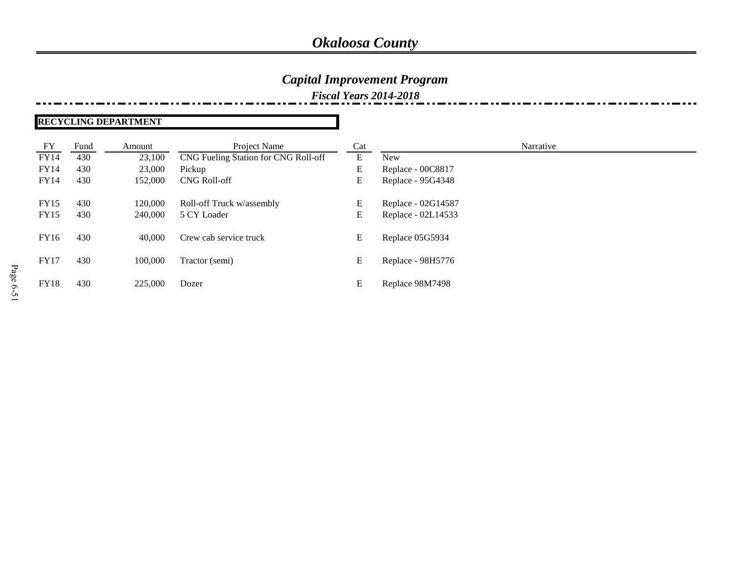### *Capital Improvement Program*

*Fiscal Years 2014-2018*

#### **RECYCLING DEPARTMENT**

| FY          | Fund | Amount  | Project Name                         | Cat | Narrative          |
|-------------|------|---------|--------------------------------------|-----|--------------------|
| FY14        | 430  | 23,100  | CNG Fueling Station for CNG Roll-off | Ε   | <b>New</b>         |
| FY14        | 430  | 23,000  | Pickup                               | Е   | Replace - 00C8817  |
| FY14        | 430  | 152,000 | <b>CNG Roll-off</b>                  | E   | Replace - 95G4348  |
| <b>FY15</b> | 430  | 120.000 | Roll-off Truck w/assembly            | E   | Replace - 02G14587 |
| <b>FY15</b> | 430  | 240,000 | 5 CY Loader                          | E   | Replace - 02L14533 |
| FY16        | 430  | 40,000  | Crew cab service truck               | E   | Replace 05G5934    |
| <b>FY17</b> | 430  | 100,000 | Tractor (semi)                       | E   | Replace - 98H5776  |
| <b>FY18</b> | 430  | 225,000 | Dozer                                | E   | Replace 98M7498    |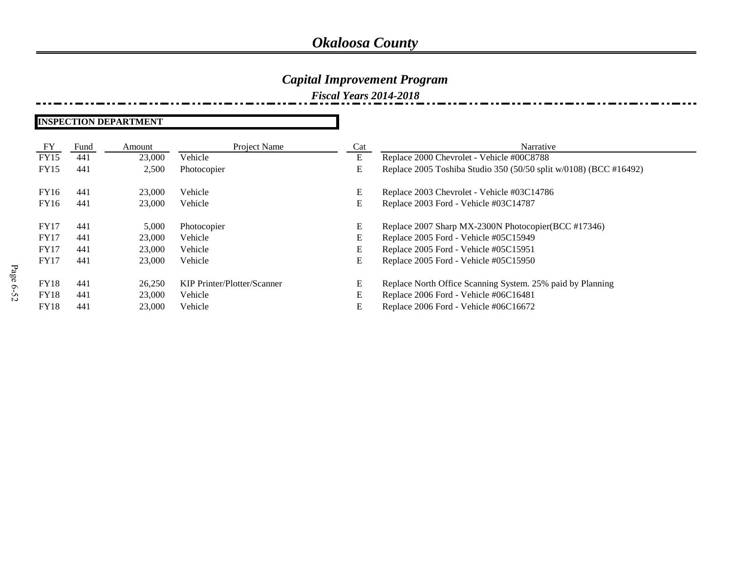### *Capital Improvement Program*

*Fiscal Years 2014-2018*

#### **INSPECTION DEPARTMENT**

| FY          | Fund | Amount | Project Name                | Cat | Narrative                                                         |
|-------------|------|--------|-----------------------------|-----|-------------------------------------------------------------------|
| <b>FY15</b> | 441  | 23,000 | Vehicle                     | E   | Replace 2000 Chevrolet - Vehicle #00C8788                         |
| <b>FY15</b> | 441  | 2,500  | Photocopier                 | E   | Replace 2005 Toshiba Studio 350 (50/50 split w/0108) (BCC #16492) |
| FY16        | 441  | 23,000 | Vehicle                     | E   | Replace 2003 Chevrolet - Vehicle #03C14786                        |
| FY16        | 441  | 23,000 | Vehicle                     | E   | Replace 2003 Ford - Vehicle #03C14787                             |
| FY17        | 441  | 5,000  | Photocopier                 | E   | Replace 2007 Sharp MX-2300N Photocopier(BCC #17346)               |
| FY17        | 441  | 23,000 | Vehicle                     | E   | Replace 2005 Ford - Vehicle #05C15949                             |
| <b>FY17</b> | 441  | 23,000 | Vehicle                     | E   | Replace 2005 Ford - Vehicle #05C15951                             |
| FY17        | 441  | 23,000 | Vehicle                     | E   | Replace 2005 Ford - Vehicle #05C15950                             |
| <b>FY18</b> | 441  | 26.250 | KIP Printer/Plotter/Scanner | E   | Replace North Office Scanning System. 25% paid by Planning        |
| <b>FY18</b> | 441  | 23,000 | Vehicle                     | E   | Replace 2006 Ford - Vehicle #06C16481                             |
| <b>FY18</b> | 441  | 23,000 | Vehicle                     | E   | Replace 2006 Ford - Vehicle #06C16672                             |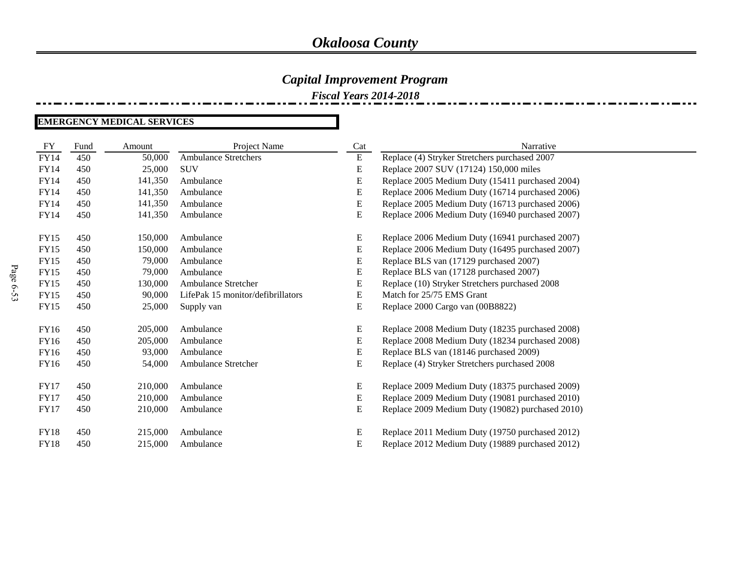*Fiscal Years 2014-2018*

#### **EMERGENCY MEDICAL SERVICES**

| FY          | Fund | Amount  | Project Name                      | Cat       | Narrative                                        |
|-------------|------|---------|-----------------------------------|-----------|--------------------------------------------------|
| <b>FY14</b> | 450  | 50,000  | <b>Ambulance Stretchers</b>       | E         | Replace (4) Stryker Stretchers purchased 2007    |
| <b>FY14</b> | 450  | 25,000  | <b>SUV</b>                        | E         | Replace 2007 SUV (17124) 150,000 miles           |
| <b>FY14</b> | 450  | 141,350 | Ambulance                         | ${\bf E}$ | Replace 2005 Medium Duty (15411 purchased 2004)  |
| FY14        | 450  | 141,350 | Ambulance                         | ${\bf E}$ | Replace 2006 Medium Duty (16714 purchased 2006)  |
| <b>FY14</b> | 450  | 141,350 | Ambulance                         | E         | Replace 2005 Medium Duty (16713 purchased 2006)  |
| <b>FY14</b> | 450  | 141,350 | Ambulance                         | E         | Replace 2006 Medium Duty (16940 purchased 2007)  |
| FY15        | 450  | 150,000 | Ambulance                         | E         | Replace 2006 Medium Duty (16941 purchased 2007)  |
| <b>FY15</b> | 450  | 150,000 | Ambulance                         | E         | Replace 2006 Medium Duty (16495 purchased 2007)  |
| <b>FY15</b> | 450  | 79,000  | Ambulance                         | E         | Replace BLS van (17129 purchased 2007)           |
| <b>FY15</b> | 450  | 79,000  | Ambulance                         | ${\bf E}$ | Replace BLS van (17128 purchased 2007)           |
| <b>FY15</b> | 450  | 130,000 | <b>Ambulance Stretcher</b>        | E         | Replace (10) Stryker Stretchers purchased 2008   |
| <b>FY15</b> | 450  | 90,000  | LifePak 15 monitor/defibrillators | E         | Match for 25/75 EMS Grant                        |
| <b>FY15</b> | 450  | 25,000  | Supply van                        | E         | Replace 2000 Cargo van (00B8822)                 |
| FY16        | 450  | 205,000 | Ambulance                         | E         | Replace 2008 Medium Duty (18235 purchased 2008)  |
| FY16        | 450  | 205,000 | Ambulance                         | E         | Replace 2008 Medium Duty (18234 purchased 2008)  |
| FY16        | 450  | 93,000  | Ambulance                         | E         | Replace BLS van (18146 purchased 2009)           |
| <b>FY16</b> | 450  | 54,000  | Ambulance Stretcher               | E         | Replace (4) Stryker Stretchers purchased 2008    |
| <b>FY17</b> | 450  | 210,000 | Ambulance                         | E         | Replace 2009 Medium Duty (18375 purchased 2009)  |
| <b>FY17</b> | 450  | 210,000 | Ambulance                         | E         | Replace 2009 Medium Duty (19081 purchased 2010)  |
| <b>FY17</b> | 450  | 210,000 | Ambulance                         | E         | Replace 2009 Medium Duty (19082) purchased 2010) |
| FY18        | 450  | 215,000 | Ambulance                         | E         | Replace 2011 Medium Duty (19750 purchased 2012)  |
| <b>FY18</b> | 450  | 215,000 | Ambulance                         | E         | Replace 2012 Medium Duty (19889 purchased 2012)  |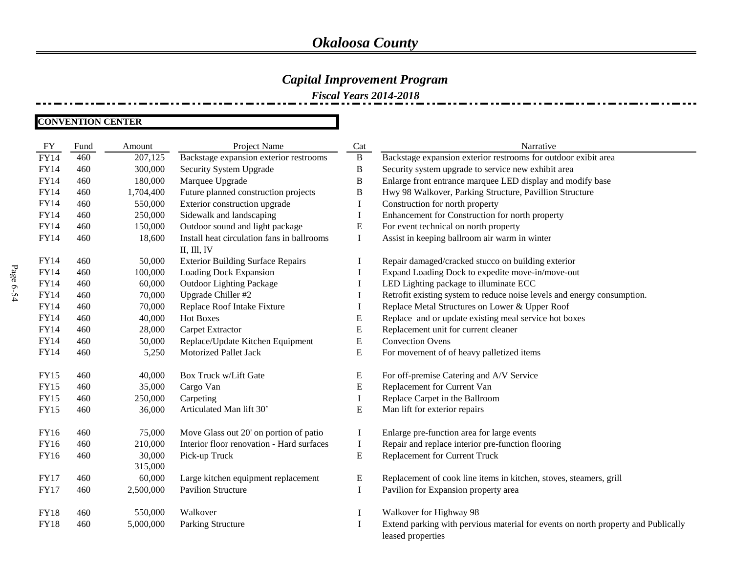### *Capital Improvement Program*

*Fiscal Years 2014-2018*

#### **CONVENTION CENTER**

| FY          | Fund | Amount    | Project Name                               | Cat          | Narrative                                                                         |
|-------------|------|-----------|--------------------------------------------|--------------|-----------------------------------------------------------------------------------|
| <b>FY14</b> | 460  | 207,125   | Backstage expansion exterior restrooms     | $\bf{B}$     | Backstage expansion exterior restrooms for outdoor exibit area                    |
| <b>FY14</b> | 460  | 300,000   | Security System Upgrade                    | $\, {\bf B}$ | Security system upgrade to service new exhibit area                               |
| <b>FY14</b> | 460  | 180,000   | Marquee Upgrade                            | $\, {\bf B}$ | Enlarge front entrance marquee LED display and modify base                        |
| FY14        | 460  | 1,704,400 | Future planned construction projects       | $\, {\bf B}$ | Hwy 98 Walkover, Parking Structure, Pavillion Structure                           |
| <b>FY14</b> | 460  | 550,000   | Exterior construction upgrade              | $\bf{I}$     | Construction for north property                                                   |
| <b>FY14</b> | 460  | 250,000   | Sidewalk and landscaping                   | $\bf{I}$     | Enhancement for Construction for north property                                   |
| <b>FY14</b> | 460  | 150,000   | Outdoor sound and light package            | ${\bf E}$    | For event technical on north property                                             |
| FY14        | 460  | 18,600    | Install heat circulation fans in ballrooms | $\mathbf I$  | Assist in keeping ballroom air warm in winter                                     |
|             |      |           | II, III, IV                                |              |                                                                                   |
| FY14        | 460  | 50,000    | <b>Exterior Building Surface Repairs</b>   |              | Repair damaged/cracked stucco on building exterior                                |
| <b>FY14</b> | 460  | 100,000   | Loading Dock Expansion                     | $\bf{I}$     | Expand Loading Dock to expedite move-in/move-out                                  |
| FY14        | 460  | 60,000    | <b>Outdoor Lighting Package</b>            | $\bf{I}$     | LED Lighting package to illuminate ECC                                            |
| <b>FY14</b> | 460  | 70,000    | Upgrade Chiller #2                         | $\bf{I}$     | Retrofit existing system to reduce noise levels and energy consumption.           |
| FY14        | 460  | 70,000    | Replace Roof Intake Fixture                | $\bf{I}$     | Replace Metal Structures on Lower & Upper Roof                                    |
| <b>FY14</b> | 460  | 40,000    | <b>Hot Boxes</b>                           | E            | Replace and or update existing meal service hot boxes                             |
| FY14        | 460  | 28,000    | Carpet Extractor                           | ${\bf E}$    | Replacement unit for current cleaner                                              |
| FY14        | 460  | 50,000    | Replace/Update Kitchen Equipment           | E            | <b>Convection Ovens</b>                                                           |
| FY14        | 460  | 5,250     | Motorized Pallet Jack                      | E            | For movement of of heavy palletized items                                         |
|             |      |           |                                            |              |                                                                                   |
| FY15        | 460  | 40,000    | Box Truck w/Lift Gate                      | ${\bf E}$    | For off-premise Catering and A/V Service                                          |
| <b>FY15</b> | 460  | 35,000    | Cargo Van                                  | ${\bf E}$    | Replacement for Current Van                                                       |
| <b>FY15</b> | 460  | 250,000   | Carpeting                                  | $\bf{I}$     | Replace Carpet in the Ballroom                                                    |
| <b>FY15</b> | 460  | 36,000    | Articulated Man lift 30'                   | ${\bf E}$    | Man lift for exterior repairs                                                     |
|             |      |           |                                            |              |                                                                                   |
| FY16        | 460  | 75,000    | Move Glass out 20' on portion of patio     | $\bf{I}$     | Enlarge pre-function area for large events                                        |
| FY16        | 460  | 210,000   | Interior floor renovation - Hard surfaces  | $\mathbf I$  | Repair and replace interior pre-function flooring                                 |
| FY16        | 460  | 30,000    | Pick-up Truck                              | ${\bf E}$    | Replacement for Current Truck                                                     |
|             |      | 315,000   |                                            |              |                                                                                   |
| <b>FY17</b> | 460  | 60,000    | Large kitchen equipment replacement        | E            | Replacement of cook line items in kitchen, stoves, steamers, grill                |
| <b>FY17</b> | 460  | 2,500,000 | <b>Pavilion Structure</b>                  | $\bf{I}$     | Pavilion for Expansion property area                                              |
|             |      |           |                                            |              |                                                                                   |
| <b>FY18</b> | 460  | 550,000   | Walkover                                   | I            | Walkover for Highway 98                                                           |
| <b>FY18</b> | 460  | 5,000,000 | Parking Structure                          | $\bf{I}$     | Extend parking with pervious material for events on north property and Publically |
|             |      |           |                                            |              | leased properties                                                                 |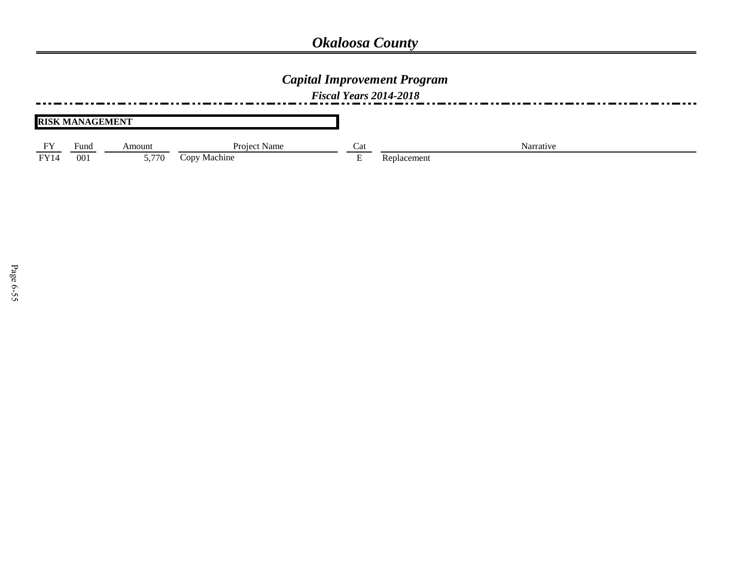## *Capital Improvement Program*

*Fiscal Years 2014-2018*

|  |  | <b>RISK MANAGEMENT</b> |
|--|--|------------------------|
|--|--|------------------------|

| <b>FY</b> | Fund            | <b>Contract Contract Contract Contract</b><br>Amount | <b>Project Name</b> | Cat | Narrative   |
|-----------|-----------------|------------------------------------------------------|---------------------|-----|-------------|
| FY14      | 00 <sub>1</sub> | 5.770                                                | Machine<br>CODV     |     | Replacement |